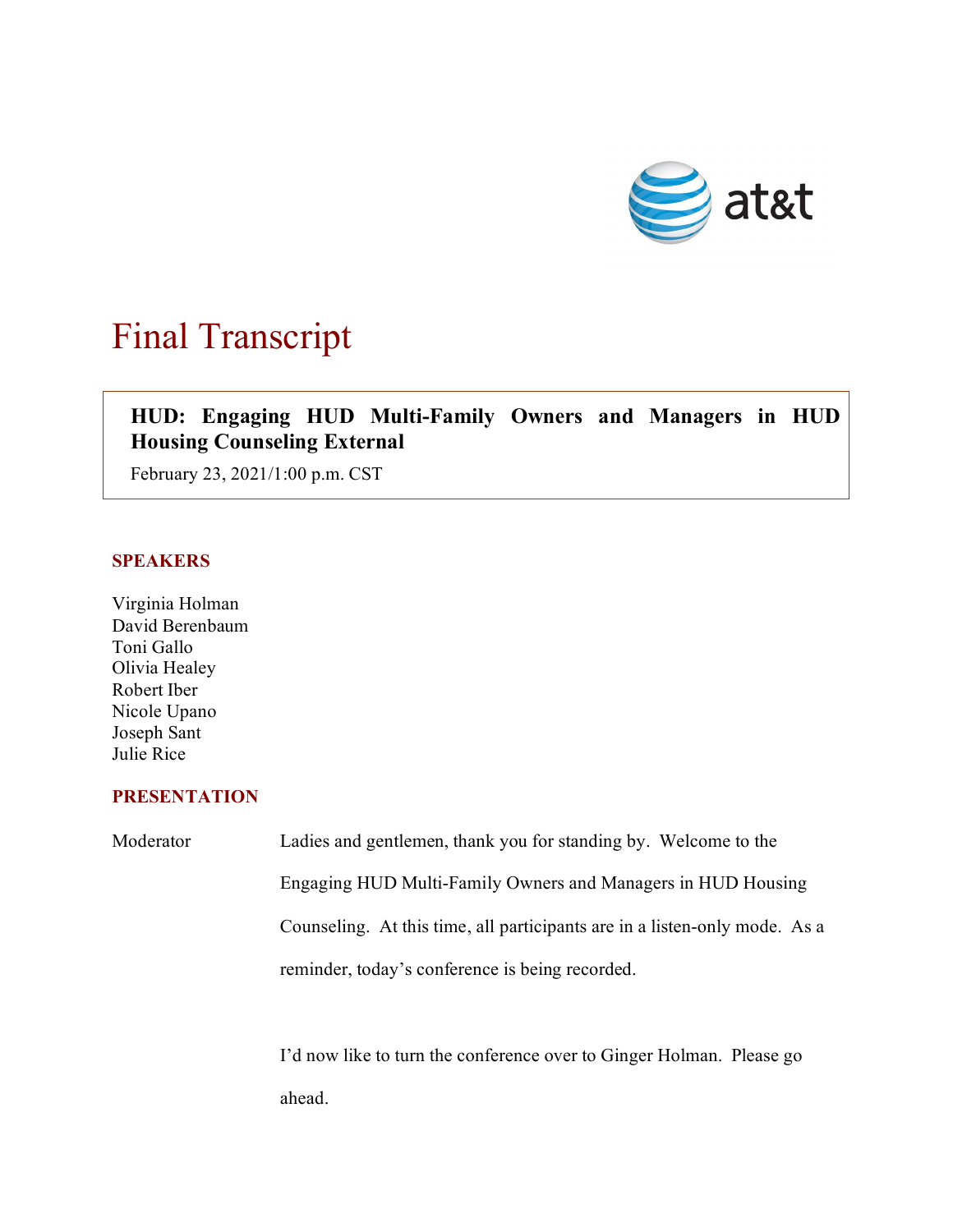

## Final Transcript

## $\overline{\phantom{a}}$ **HUD: Engaging HUD Multi-Family Owners and Managers in HUD Housing Counseling External**

February 23, 2021/1:00 p.m. CST

## **SPEAKERS**

Virginia Holman David Berenbaum Toni Gallo Olivia Healey Robert Iber Nicole Upano Joseph Sant Julie Rice

## **PRESENTATION**

Moderator Ladies and gentlemen, thank you for standing by. Welcome to the Engaging HUD Multi-Family Owners and Managers in HUD Housing Counseling. At this time, all participants are in a listen-only mode. As a reminder, today's conference is being recorded.

> I'd now like to turn the conference over to Ginger Holman. Please go ahead.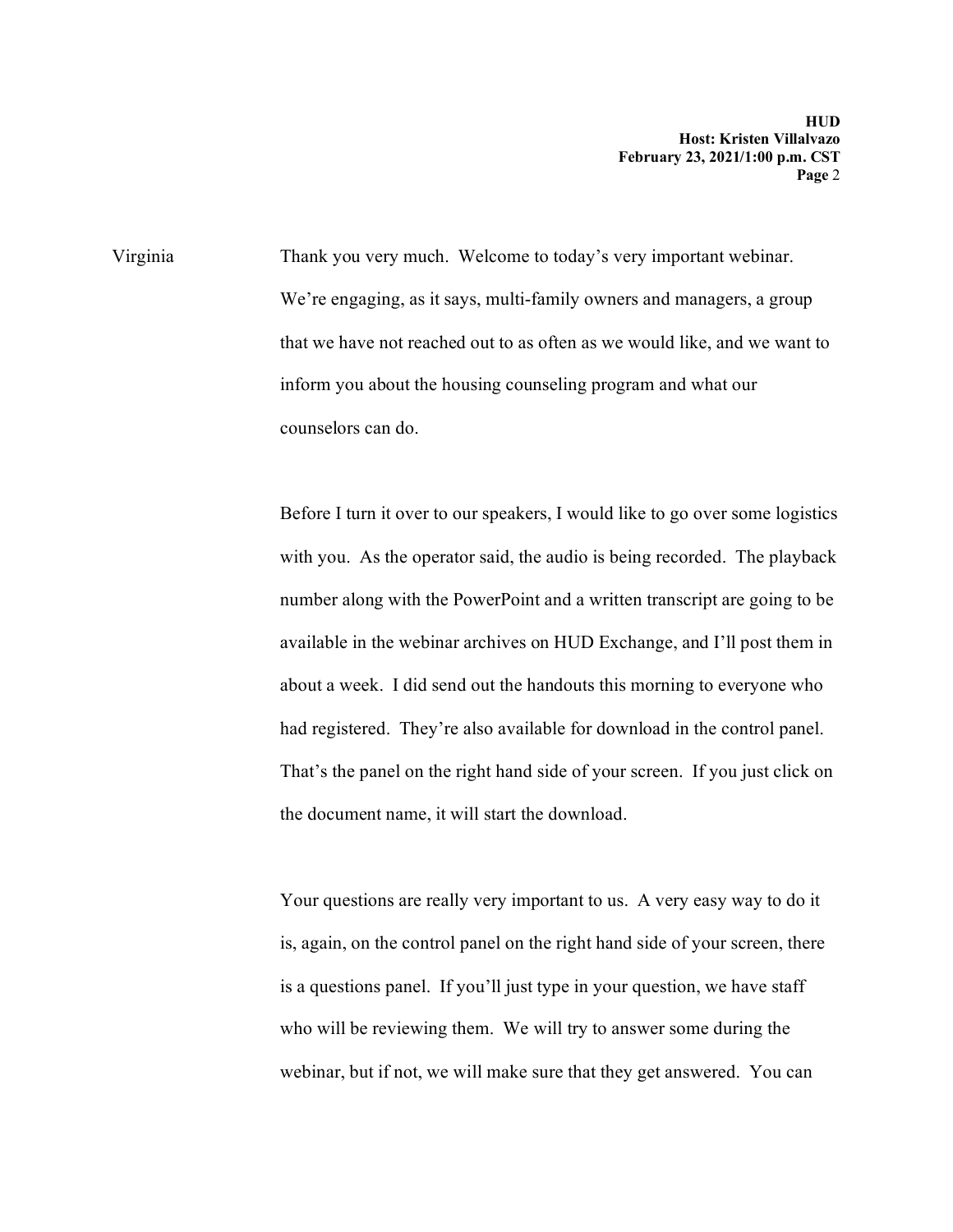Virginia Thank you very much. Welcome to today's very important webinar. We're engaging, as it says, multi-family owners and managers, a group that we have not reached out to as often as we would like, and we want to inform you about the housing counseling program and what our counselors can do.

> Before I turn it over to our speakers, I would like to go over some logistics with you. As the operator said, the audio is being recorded. The playback number along with the PowerPoint and a written transcript are going to be available in the webinar archives on HUD Exchange, and I'll post them in about a week. I did send out the handouts this morning to everyone who had registered. They're also available for download in the control panel. That's the panel on the right hand side of your screen. If you just click on the document name, it will start the download.

Your questions are really very important to us. A very easy way to do it is, again, on the control panel on the right hand side of your screen, there is a questions panel. If you'll just type in your question, we have staff who will be reviewing them. We will try to answer some during the webinar, but if not, we will make sure that they get answered. You can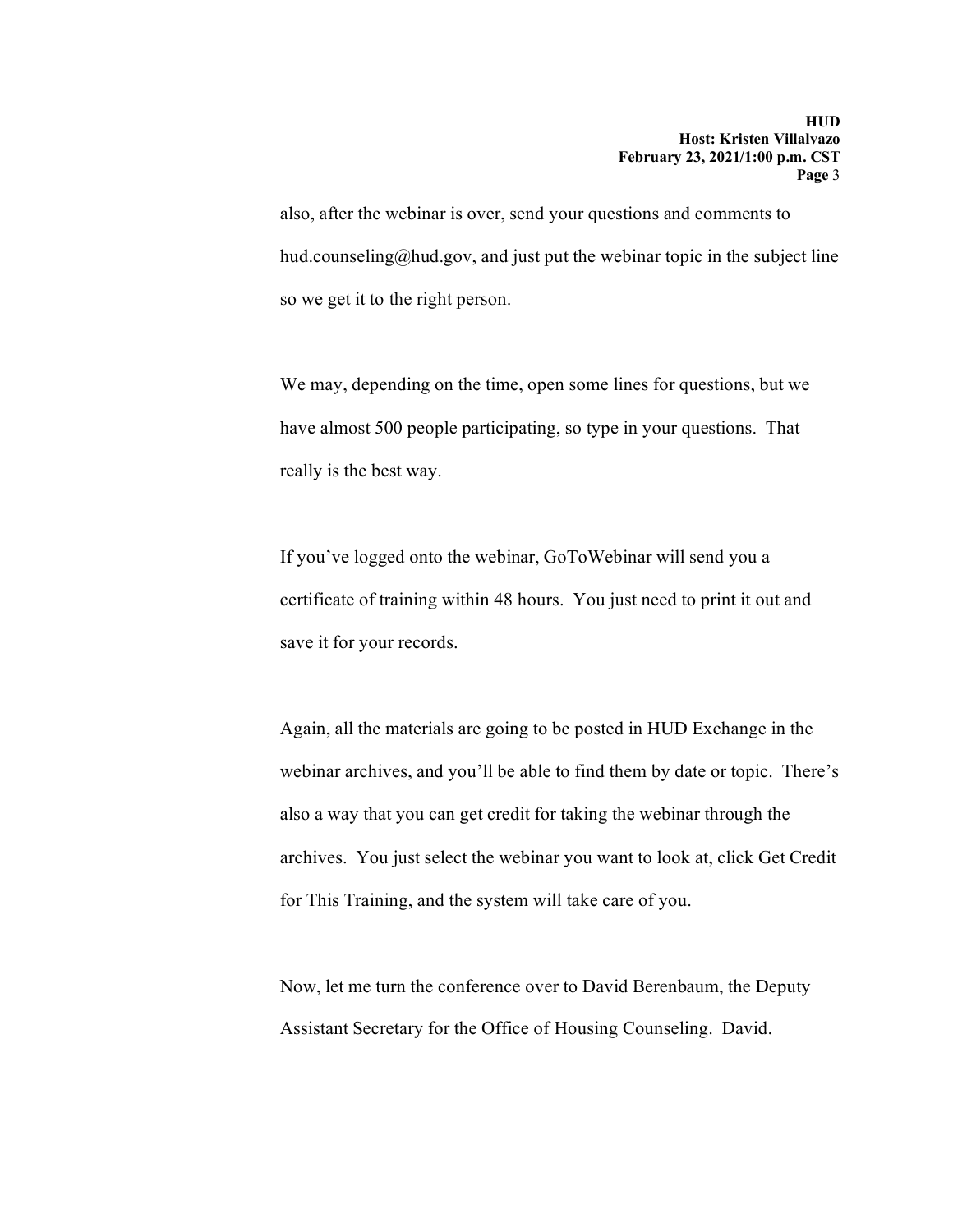also, after the webinar is over, send your questions and comments to hud.counseling@hud.gov, and just put the webinar topic in the subject line so we get it to the right person.

We may, depending on the time, open some lines for questions, but we have almost 500 people participating, so type in your questions. That really is the best way.

If you've logged onto the webinar, GoToWebinar will send you a certificate of training within 48 hours. You just need to print it out and save it for your records.

Again, all the materials are going to be posted in HUD Exchange in the webinar archives, and you'll be able to find them by date or topic. There's also a way that you can get credit for taking the webinar through the archives. You just select the webinar you want to look at, click Get Credit for This Training, and the system will take care of you.

Now, let me turn the conference over to David Berenbaum, the Deputy Assistant Secretary for the Office of Housing Counseling. David.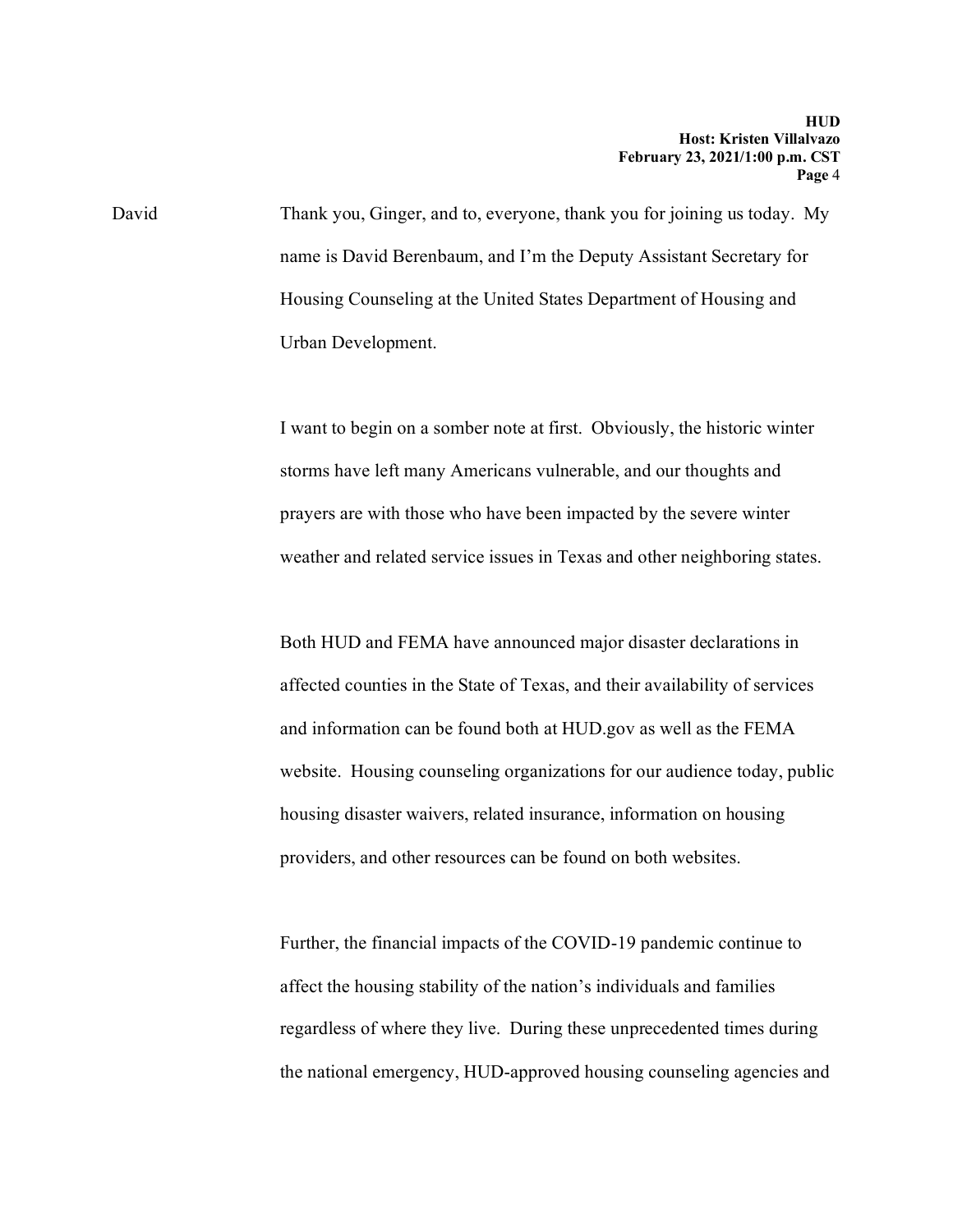David Thank you, Ginger, and to, everyone, thank you for joining us today. My name is David Berenbaum, and I'm the Deputy Assistant Secretary for Housing Counseling at the United States Department of Housing and Urban Development.

> I want to begin on a somber note at first. Obviously, the historic winter storms have left many Americans vulnerable, and our thoughts and prayers are with those who have been impacted by the severe winter weather and related service issues in Texas and other neighboring states.

Both HUD and FEMA have announced major disaster declarations in affected counties in the State of Texas, and their availability of services and information can be found both at HUD.gov as well as the FEMA website. Housing counseling organizations for our audience today, public housing disaster waivers, related insurance, information on housing providers, and other resources can be found on both websites.

Further, the financial impacts of the COVID-19 pandemic continue to affect the housing stability of the nation's individuals and families regardless of where they live. During these unprecedented times during the national emergency, HUD-approved housing counseling agencies and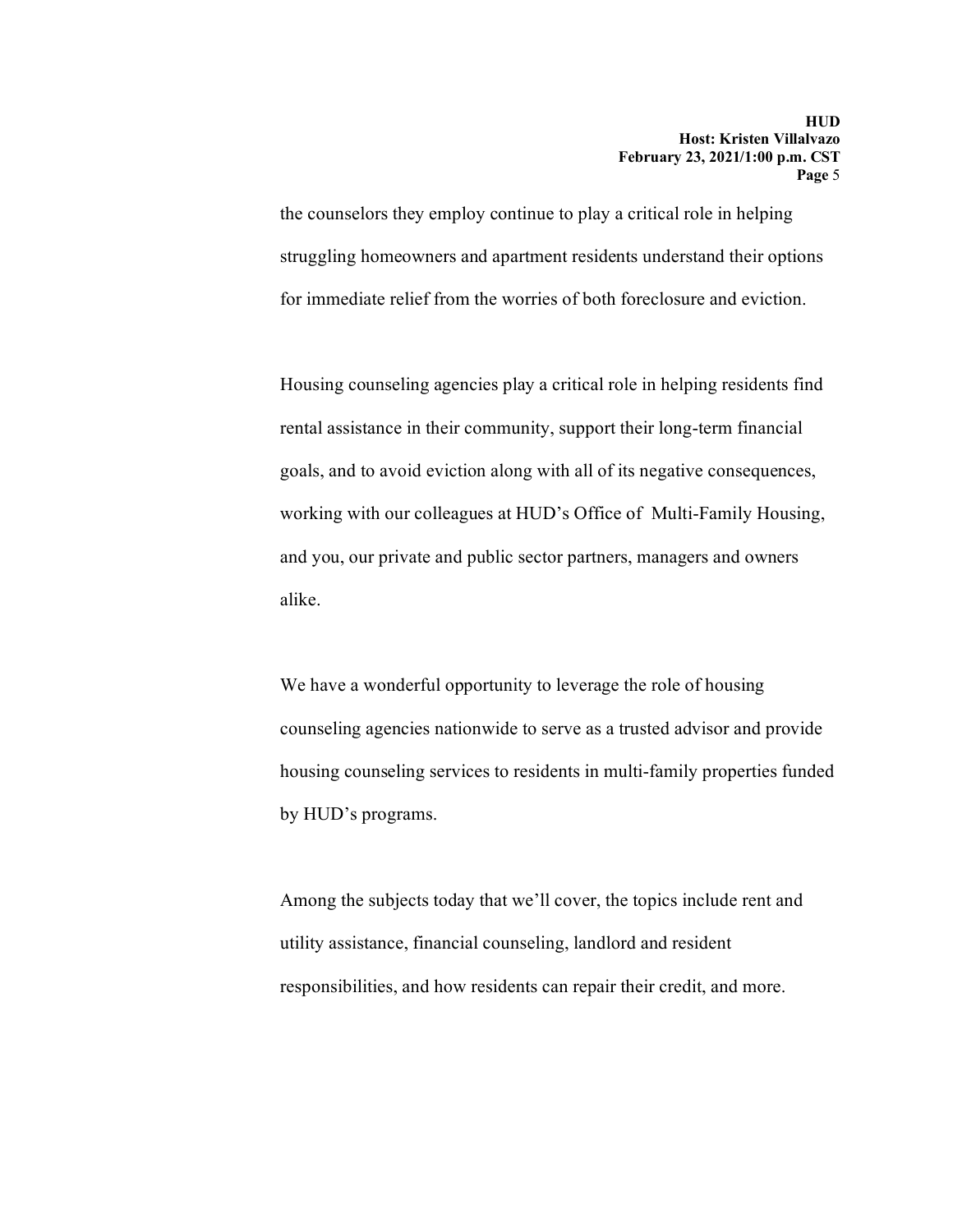the counselors they employ continue to play a critical role in helping struggling homeowners and apartment residents understand their options for immediate relief from the worries of both foreclosure and eviction.

Housing counseling agencies play a critical role in helping residents find rental assistance in their community, support their long-term financial goals, and to avoid eviction along with all of its negative consequences, working with our colleagues at HUD's Office of Multi-Family Housing, and you, our private and public sector partners, managers and owners alike.

We have a wonderful opportunity to leverage the role of housing counseling agencies nationwide to serve as a trusted advisor and provide housing counseling services to residents in multi-family properties funded by HUD's programs.

Among the subjects today that we'll cover, the topics include rent and utility assistance, financial counseling, landlord and resident responsibilities, and how residents can repair their credit, and more.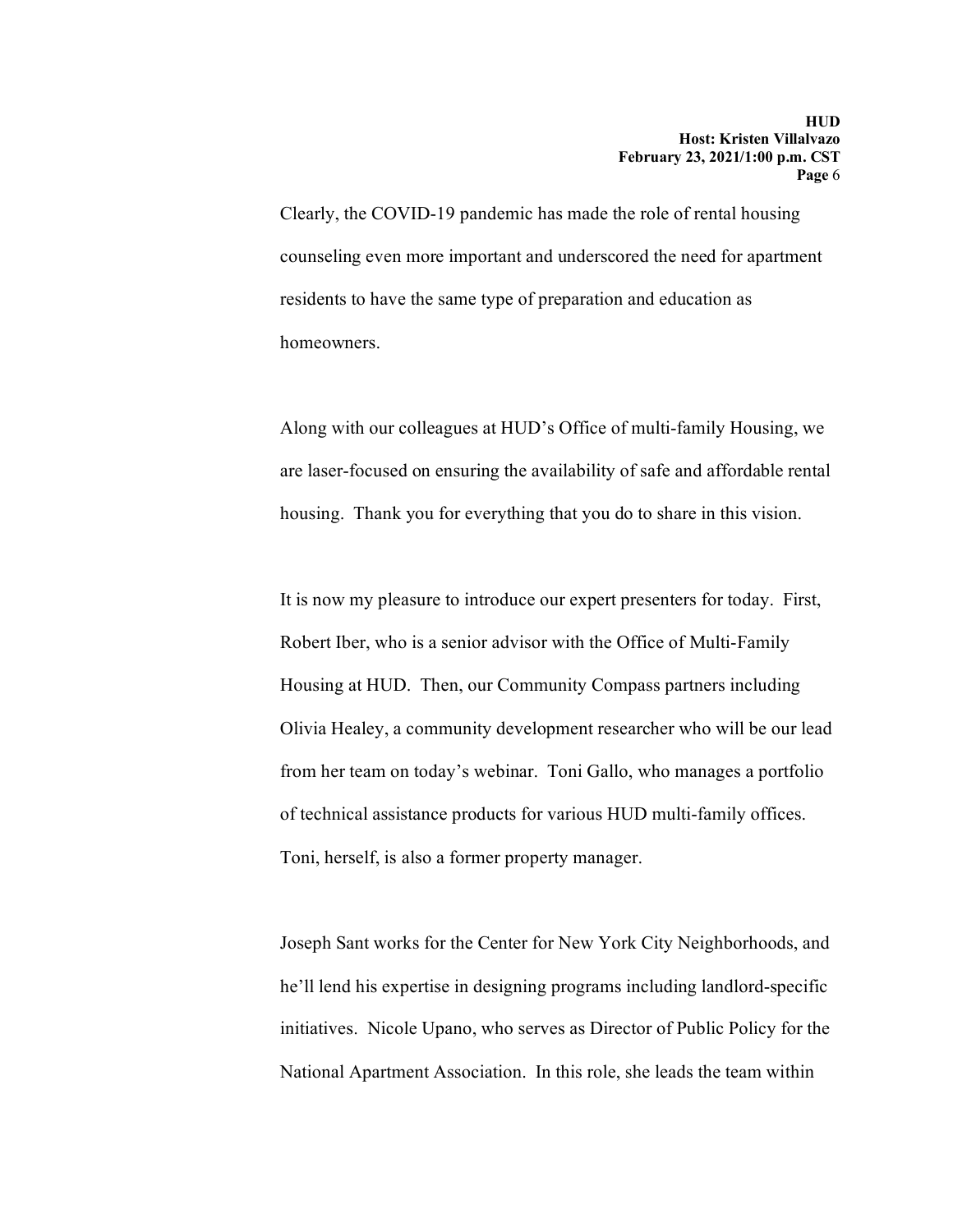Clearly, the COVID-19 pandemic has made the role of rental housing counseling even more important and underscored the need for apartment residents to have the same type of preparation and education as homeowners.

Along with our colleagues at HUD's Office of multi-family Housing, we are laser-focused on ensuring the availability of safe and affordable rental housing. Thank you for everything that you do to share in this vision.

It is now my pleasure to introduce our expert presenters for today. First, Robert Iber, who is a senior advisor with the Office of Multi-Family Housing at HUD. Then, our Community Compass partners including Olivia Healey, a community development researcher who will be our lead from her team on today's webinar. Toni Gallo, who manages a portfolio of technical assistance products for various HUD multi-family offices. Toni, herself, is also a former property manager.

Joseph Sant works for the Center for New York City Neighborhoods, and he'll lend his expertise in designing programs including landlord-specific initiatives. Nicole Upano, who serves as Director of Public Policy for the National Apartment Association. In this role, she leads the team within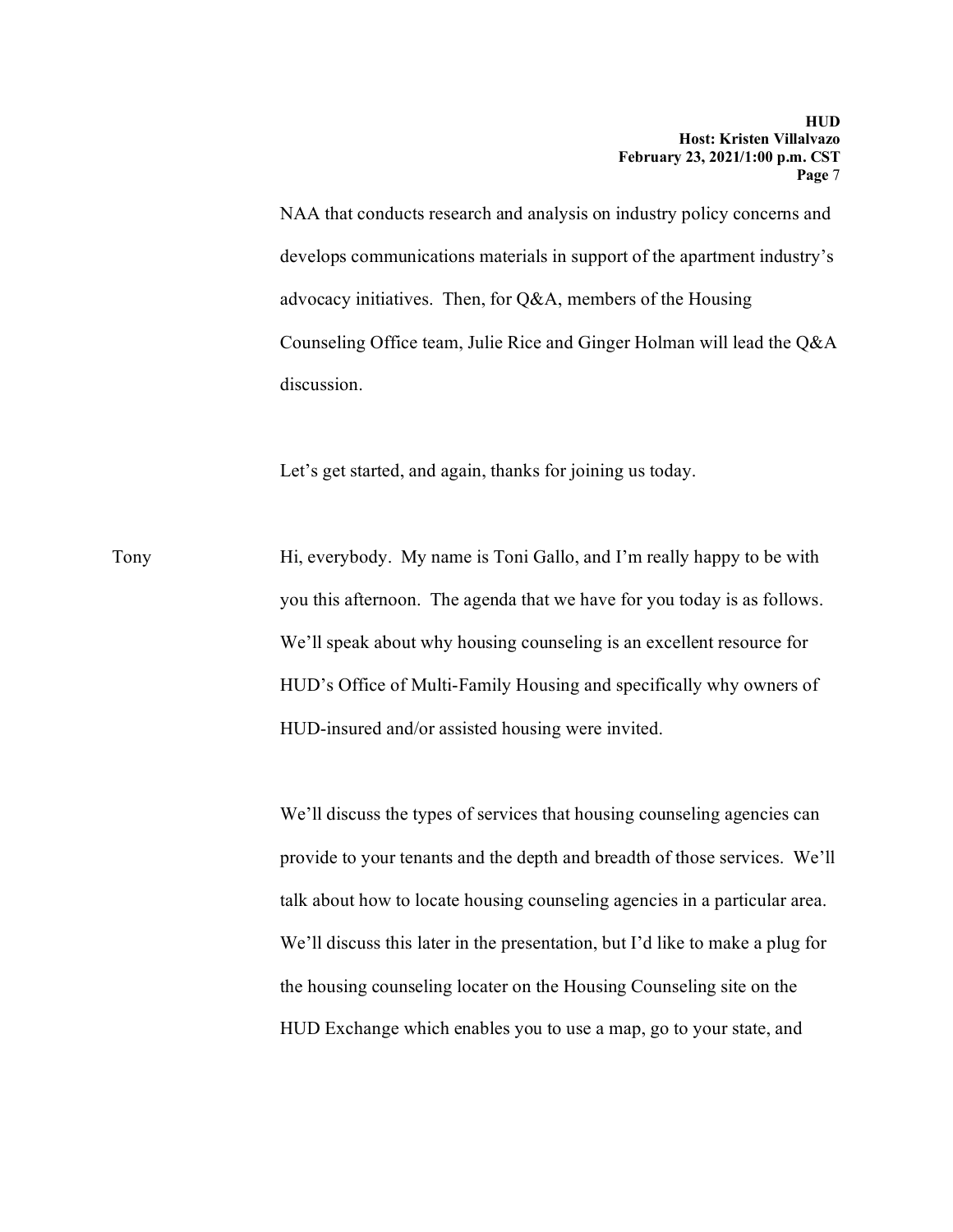NAA that conducts research and analysis on industry policy concerns and develops communications materials in support of the apartment industry's advocacy initiatives. Then, for Q&A, members of the Housing Counseling Office team, Julie Rice and Ginger Holman will lead the Q&A discussion.

Let's get started, and again, thanks for joining us today.

Tony Hi, everybody. My name is Toni Gallo, and I'm really happy to be with you this afternoon. The agenda that we have for you today is as follows. We'll speak about why housing counseling is an excellent resource for HUD's Office of Multi-Family Housing and specifically why owners of HUD-insured and/or assisted housing were invited.

> We'll discuss the types of services that housing counseling agencies can provide to your tenants and the depth and breadth of those services. We'll talk about how to locate housing counseling agencies in a particular area. We'll discuss this later in the presentation, but I'd like to make a plug for the housing counseling locater on the Housing Counseling site on the HUD Exchange which enables you to use a map, go to your state, and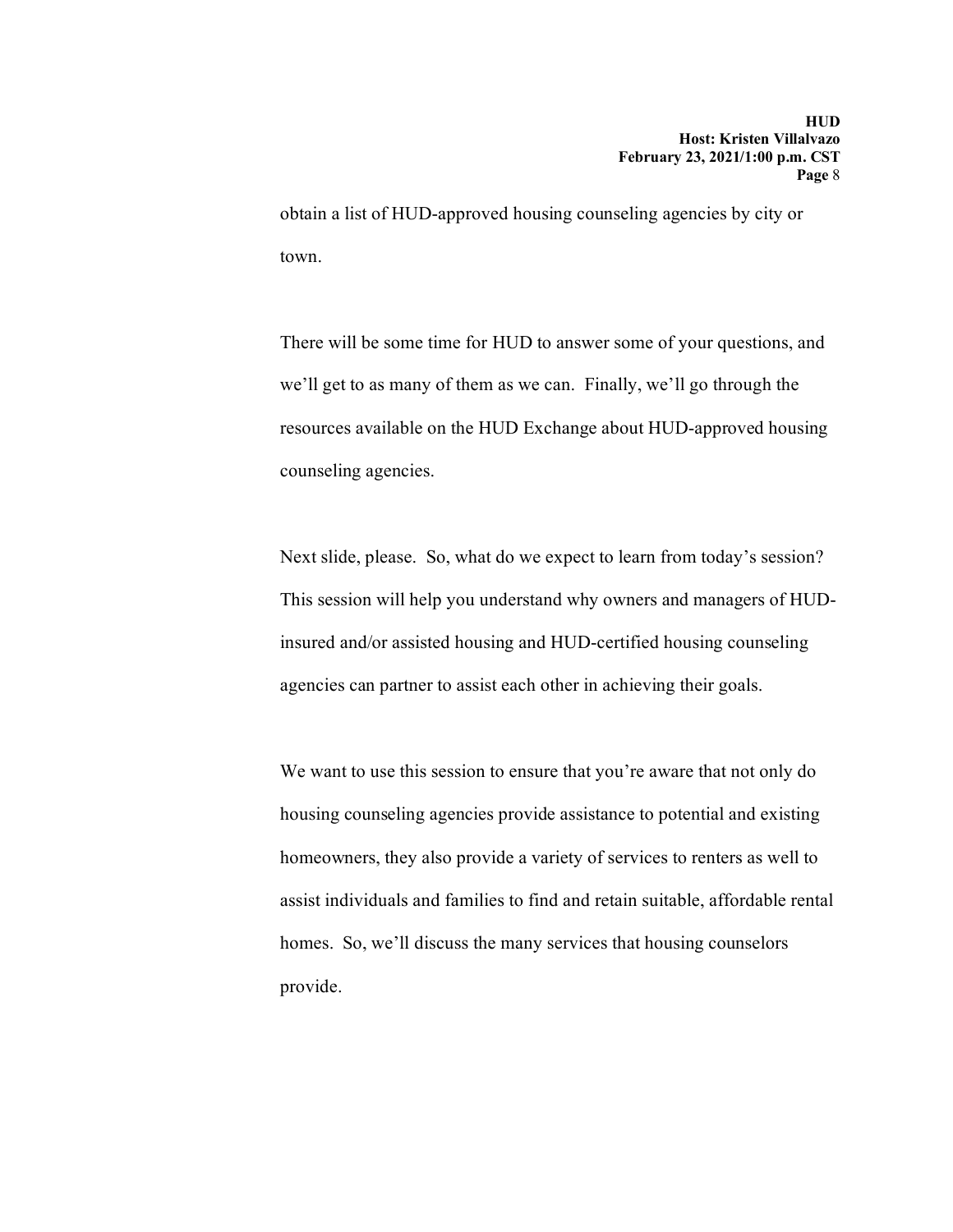obtain a list of HUD-approved housing counseling agencies by city or town.

There will be some time for HUD to answer some of your questions, and we'll get to as many of them as we can. Finally, we'll go through the resources available on the HUD Exchange about HUD-approved housing counseling agencies.

Next slide, please. So, what do we expect to learn from today's session? This session will help you understand why owners and managers of HUDinsured and/or assisted housing and HUD-certified housing counseling agencies can partner to assist each other in achieving their goals.

We want to use this session to ensure that you're aware that not only do housing counseling agencies provide assistance to potential and existing homeowners, they also provide a variety of services to renters as well to assist individuals and families to find and retain suitable, affordable rental homes. So, we'll discuss the many services that housing counselors provide.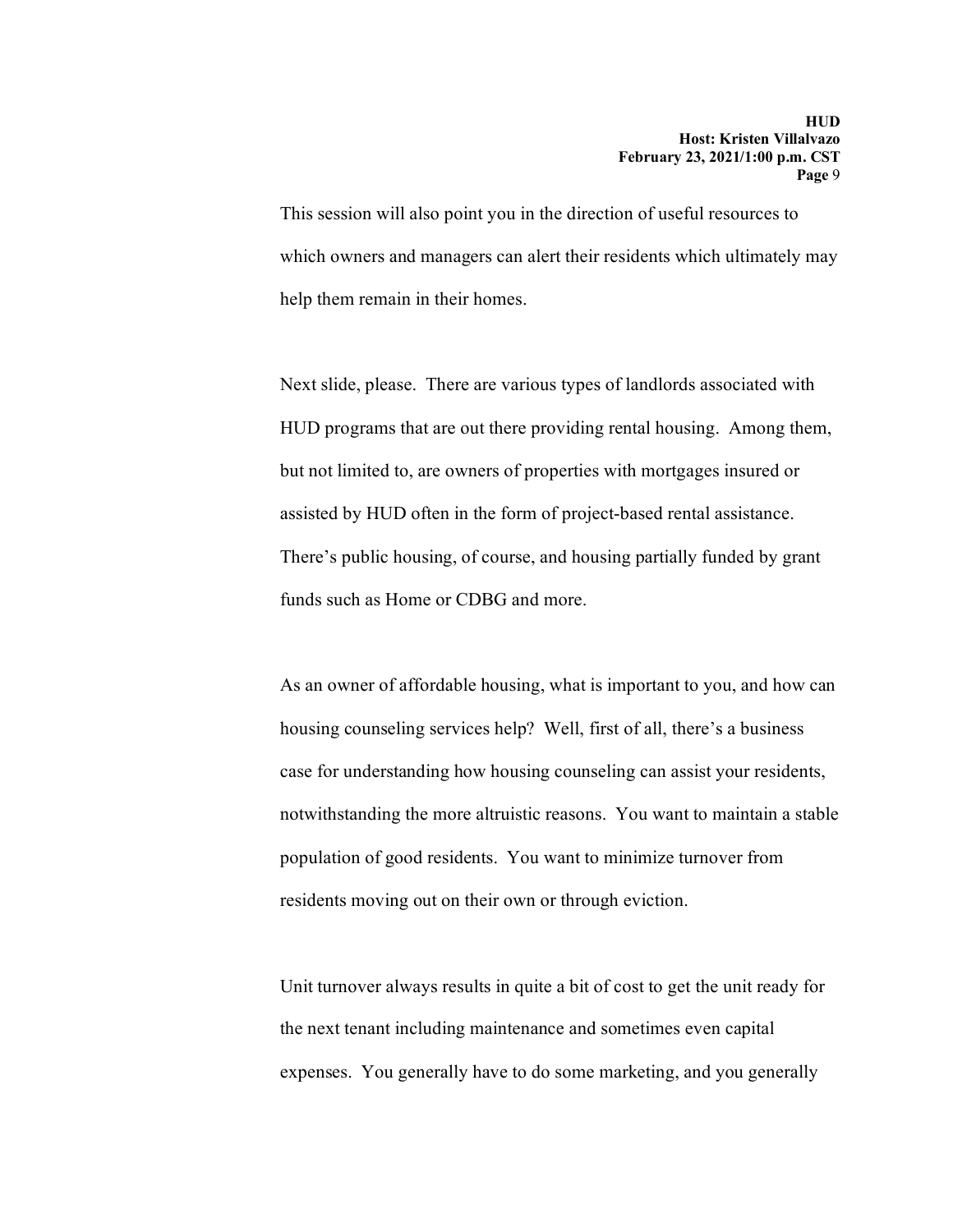This session will also point you in the direction of useful resources to which owners and managers can alert their residents which ultimately may help them remain in their homes.

Next slide, please. There are various types of landlords associated with HUD programs that are out there providing rental housing. Among them, but not limited to, are owners of properties with mortgages insured or assisted by HUD often in the form of project-based rental assistance. There's public housing, of course, and housing partially funded by grant funds such as Home or CDBG and more.

As an owner of affordable housing, what is important to you, and how can housing counseling services help? Well, first of all, there's a business case for understanding how housing counseling can assist your residents, notwithstanding the more altruistic reasons. You want to maintain a stable population of good residents. You want to minimize turnover from residents moving out on their own or through eviction.

Unit turnover always results in quite a bit of cost to get the unit ready for the next tenant including maintenance and sometimes even capital expenses. You generally have to do some marketing, and you generally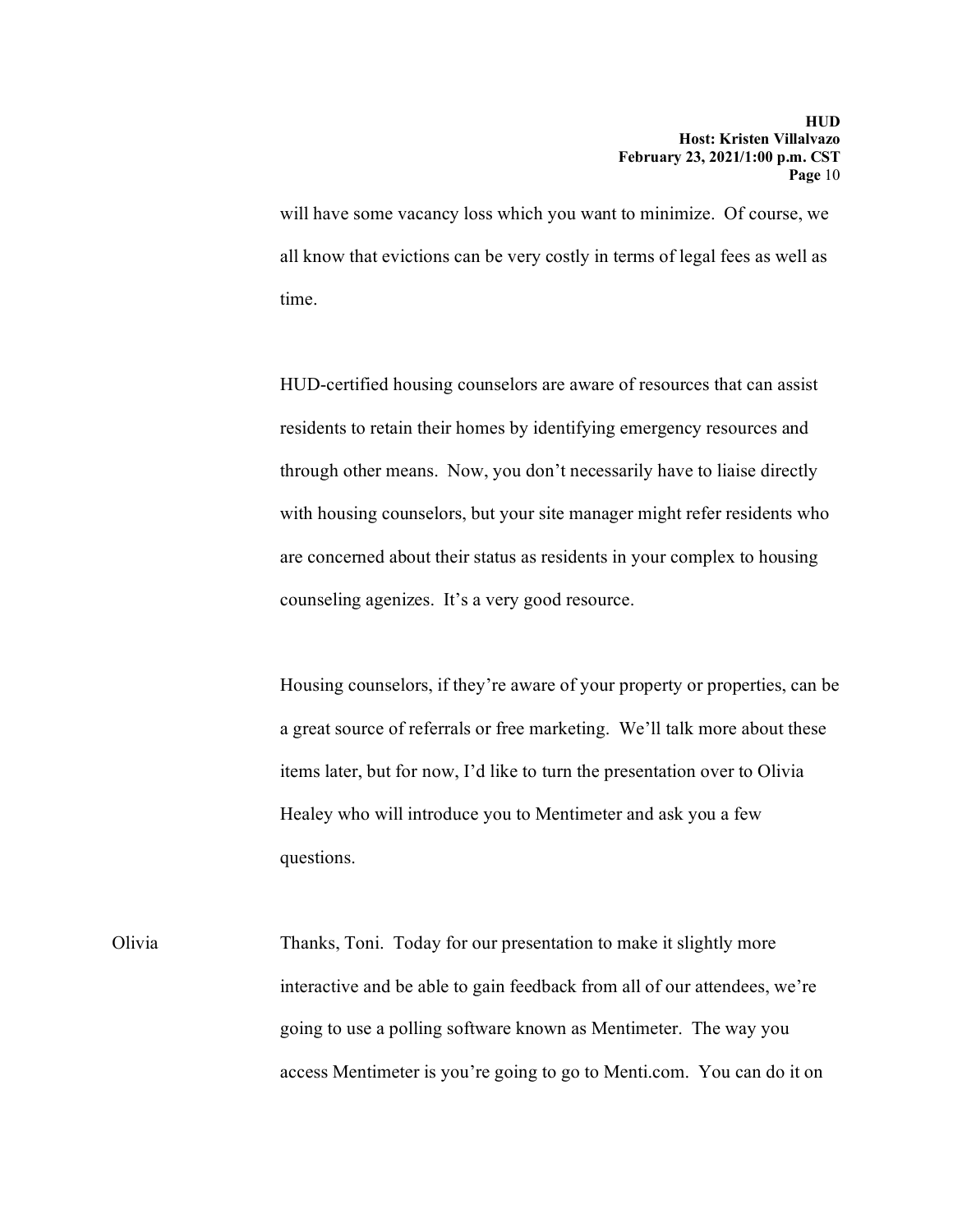will have some vacancy loss which you want to minimize. Of course, we all know that evictions can be very costly in terms of legal fees as well as time.

HUD-certified housing counselors are aware of resources that can assist residents to retain their homes by identifying emergency resources and through other means. Now, you don't necessarily have to liaise directly with housing counselors, but your site manager might refer residents who are concerned about their status as residents in your complex to housing counseling agenizes. It's a very good resource.

Housing counselors, if they're aware of your property or properties, can be a great source of referrals or free marketing. We'll talk more about these items later, but for now, I'd like to turn the presentation over to Olivia Healey who will introduce you to Mentimeter and ask you a few questions.

Olivia Thanks, Toni. Today for our presentation to make it slightly more interactive and be able to gain feedback from all of our attendees, we're going to use a polling software known as Mentimeter. The way you access Mentimeter is you're going to go to Menti.com. You can do it on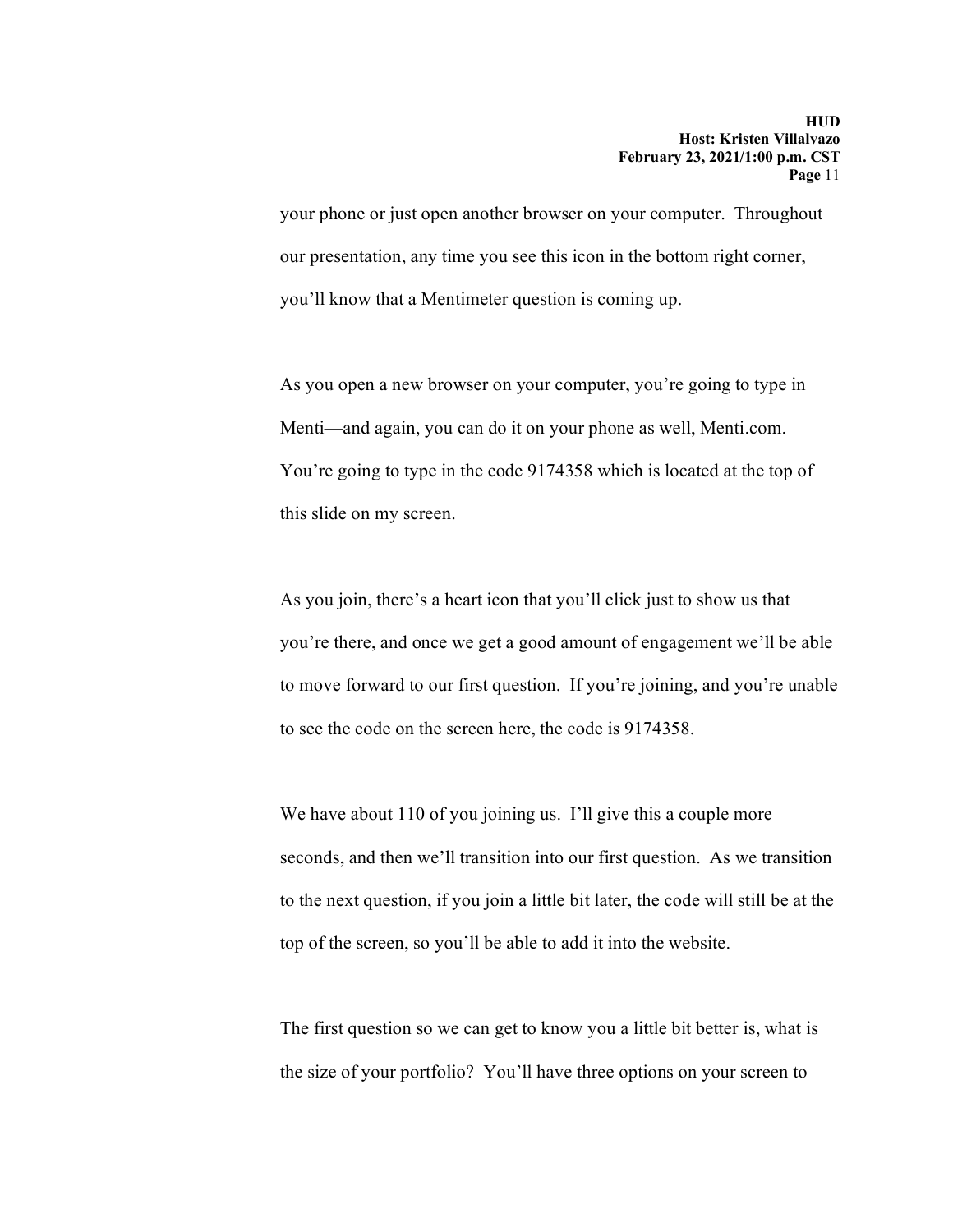your phone or just open another browser on your computer. Throughout our presentation, any time you see this icon in the bottom right corner, you'll know that a Mentimeter question is coming up.

As you open a new browser on your computer, you're going to type in Menti—and again, you can do it on your phone as well, Menti.com. You're going to type in the code 9174358 which is located at the top of this slide on my screen.

As you join, there's a heart icon that you'll click just to show us that you're there, and once we get a good amount of engagement we'll be able to move forward to our first question. If you're joining, and you're unable to see the code on the screen here, the code is 9174358.

We have about 110 of you joining us. I'll give this a couple more seconds, and then we'll transition into our first question. As we transition to the next question, if you join a little bit later, the code will still be at the top of the screen, so you'll be able to add it into the website.

The first question so we can get to know you a little bit better is, what is the size of your portfolio? You'll have three options on your screen to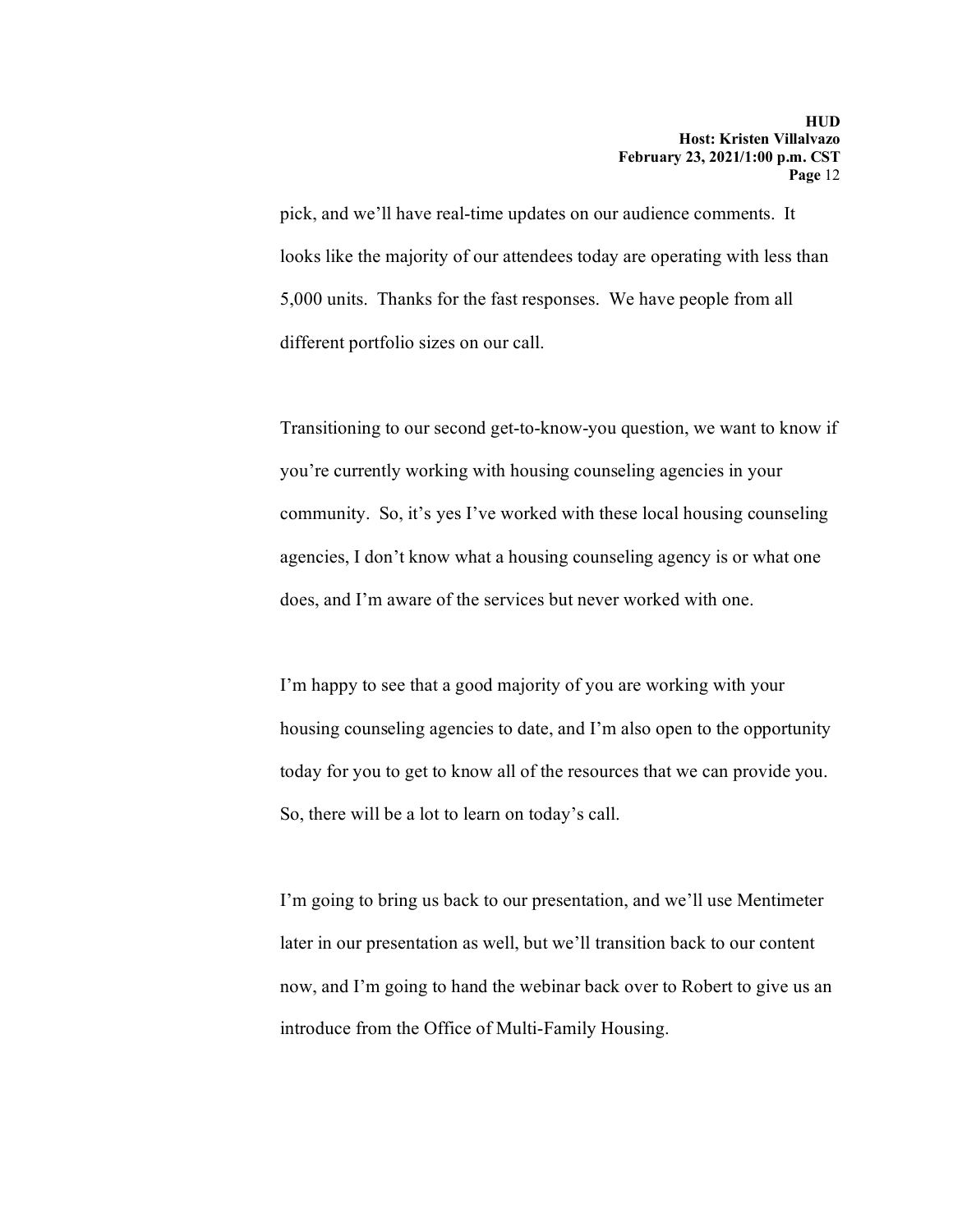pick, and we'll have real-time updates on our audience comments. It looks like the majority of our attendees today are operating with less than 5,000 units. Thanks for the fast responses. We have people from all different portfolio sizes on our call.

Transitioning to our second get-to-know-you question, we want to know if you're currently working with housing counseling agencies in your community. So, it's yes I've worked with these local housing counseling agencies, I don't know what a housing counseling agency is or what one does, and I'm aware of the services but never worked with one.

I'm happy to see that a good majority of you are working with your housing counseling agencies to date, and I'm also open to the opportunity today for you to get to know all of the resources that we can provide you. So, there will be a lot to learn on today's call.

I'm going to bring us back to our presentation, and we'll use Mentimeter later in our presentation as well, but we'll transition back to our content now, and I'm going to hand the webinar back over to Robert to give us an introduce from the Office of Multi-Family Housing.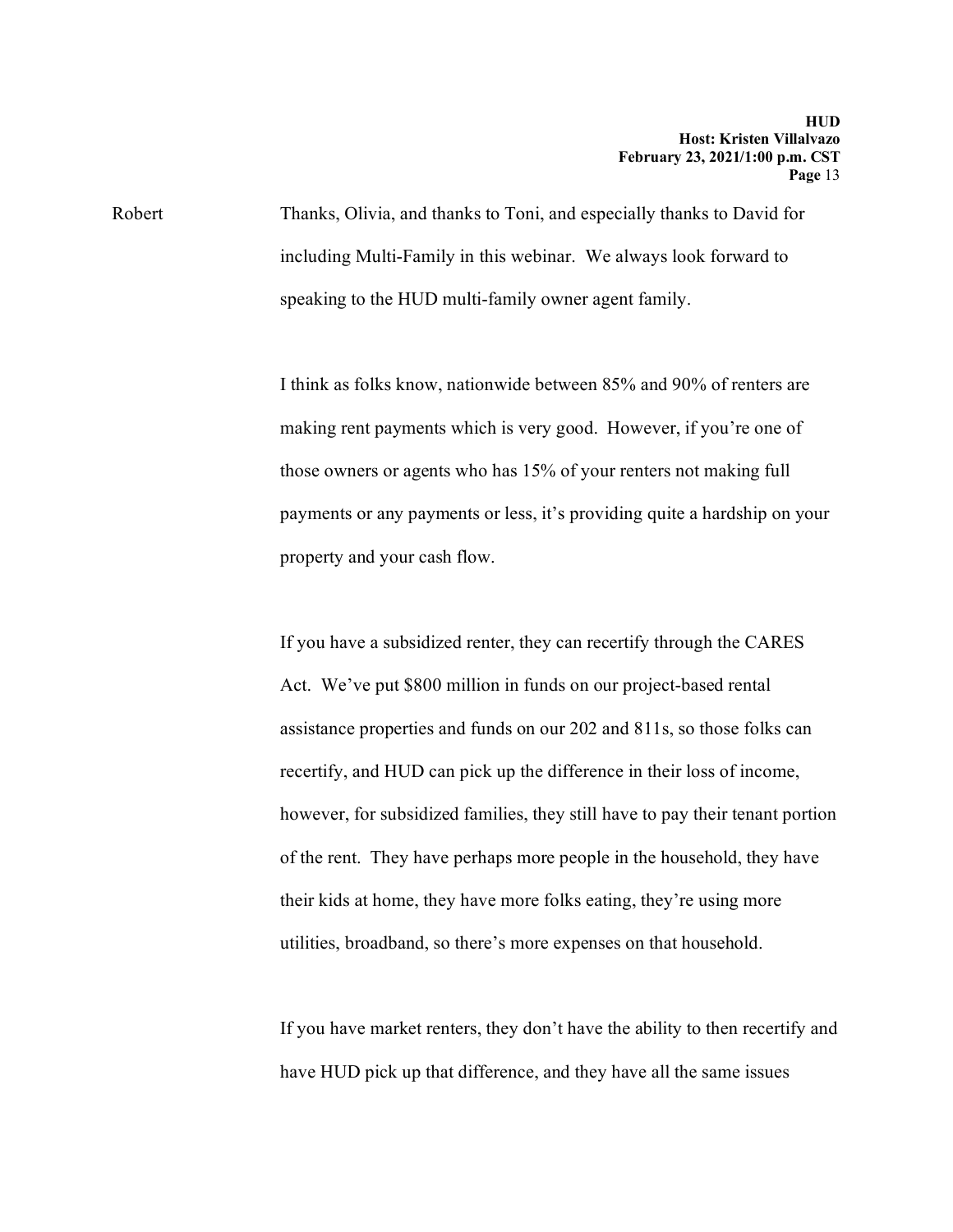Robert Thanks, Olivia, and thanks to Toni, and especially thanks to David for including Multi-Family in this webinar. We always look forward to speaking to the HUD multi-family owner agent family.

> I think as folks know, nationwide between 85% and 90% of renters are making rent payments which is very good. However, if you're one of those owners or agents who has 15% of your renters not making full payments or any payments or less, it's providing quite a hardship on your property and your cash flow.

If you have a subsidized renter, they can recertify through the CARES Act. We've put \$800 million in funds on our project-based rental assistance properties and funds on our 202 and 811s, so those folks can recertify, and HUD can pick up the difference in their loss of income, however, for subsidized families, they still have to pay their tenant portion of the rent. They have perhaps more people in the household, they have their kids at home, they have more folks eating, they're using more utilities, broadband, so there's more expenses on that household.

If you have market renters, they don't have the ability to then recertify and have HUD pick up that difference, and they have all the same issues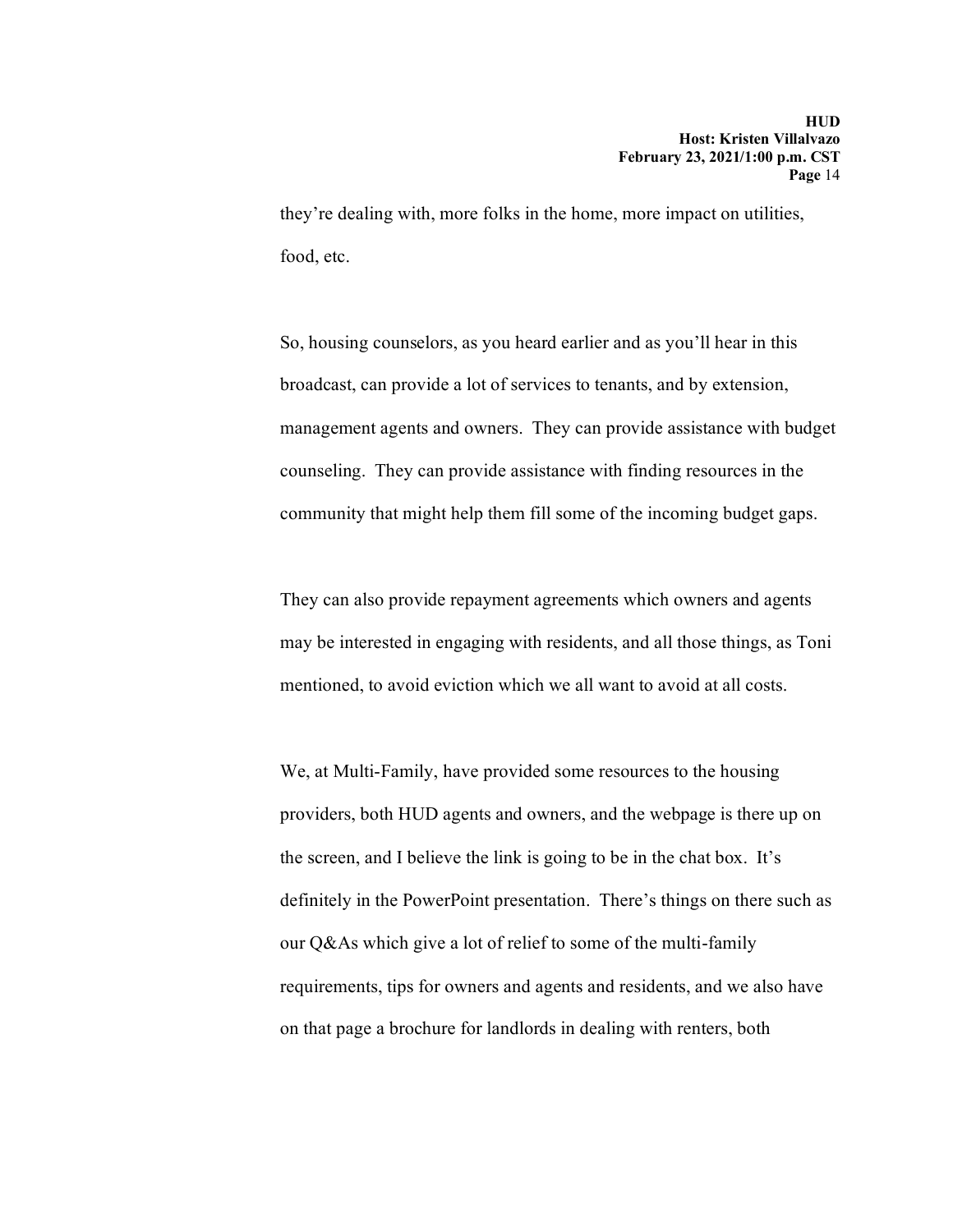they're dealing with, more folks in the home, more impact on utilities, food, etc.

So, housing counselors, as you heard earlier and as you'll hear in this broadcast, can provide a lot of services to tenants, and by extension, management agents and owners. They can provide assistance with budget counseling. They can provide assistance with finding resources in the community that might help them fill some of the incoming budget gaps.

They can also provide repayment agreements which owners and agents may be interested in engaging with residents, and all those things, as Toni mentioned, to avoid eviction which we all want to avoid at all costs.

We, at Multi-Family, have provided some resources to the housing providers, both HUD agents and owners, and the webpage is there up on the screen, and I believe the link is going to be in the chat box. It's definitely in the PowerPoint presentation. There's things on there such as our Q&As which give a lot of relief to some of the multi-family requirements, tips for owners and agents and residents, and we also have on that page a brochure for landlords in dealing with renters, both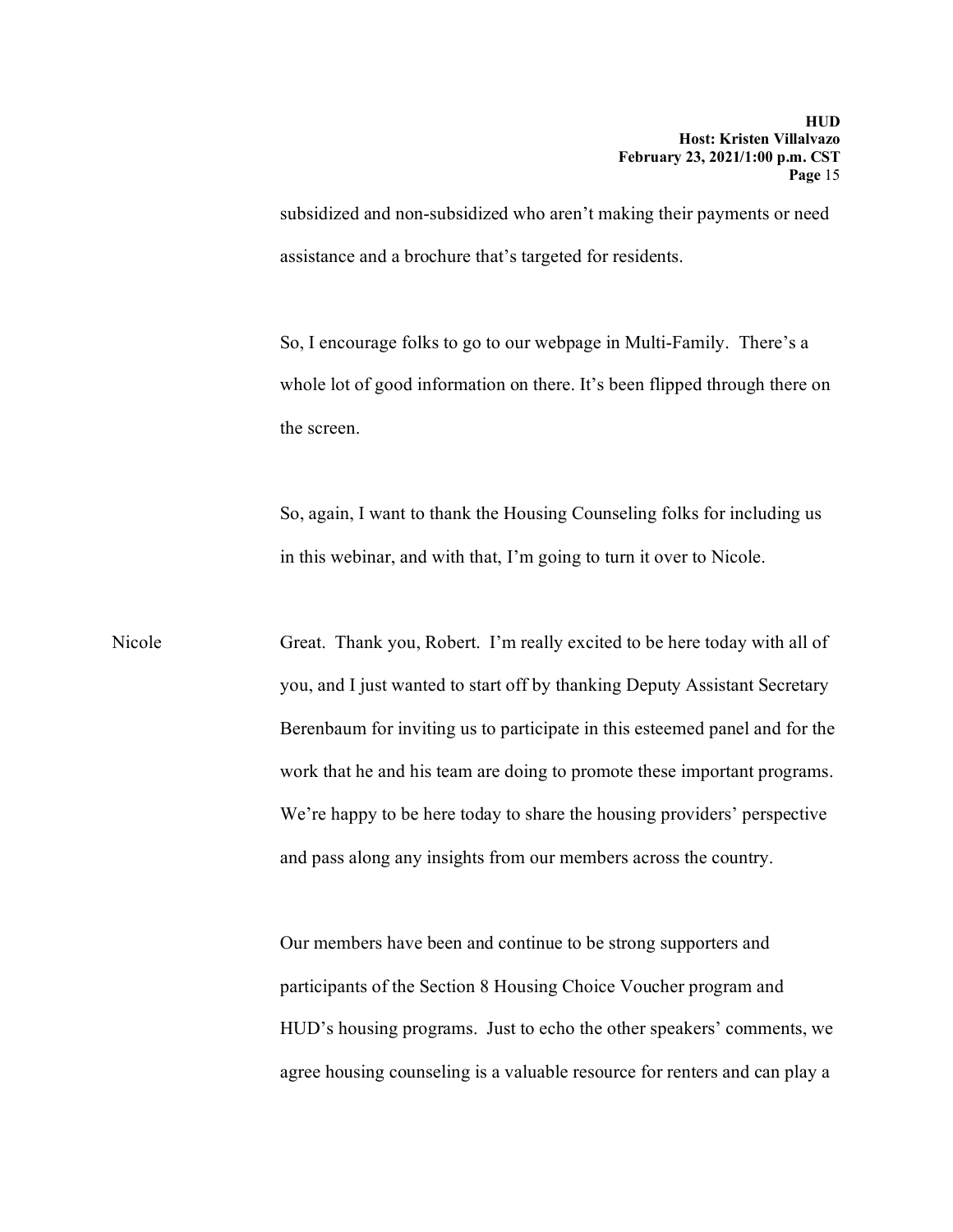subsidized and non-subsidized who aren't making their payments or need assistance and a brochure that's targeted for residents.

So, I encourage folks to go to our webpage in Multi-Family. There's a whole lot of good information on there. It's been flipped through there on the screen.

So, again, I want to thank the Housing Counseling folks for including us in this webinar, and with that, I'm going to turn it over to Nicole.

Nicole Great. Thank you, Robert. I'm really excited to be here today with all of you, and I just wanted to start off by thanking Deputy Assistant Secretary Berenbaum for inviting us to participate in this esteemed panel and for the work that he and his team are doing to promote these important programs. We're happy to be here today to share the housing providers' perspective and pass along any insights from our members across the country.

> Our members have been and continue to be strong supporters and participants of the Section 8 Housing Choice Voucher program and HUD's housing programs. Just to echo the other speakers' comments, we agree housing counseling is a valuable resource for renters and can play a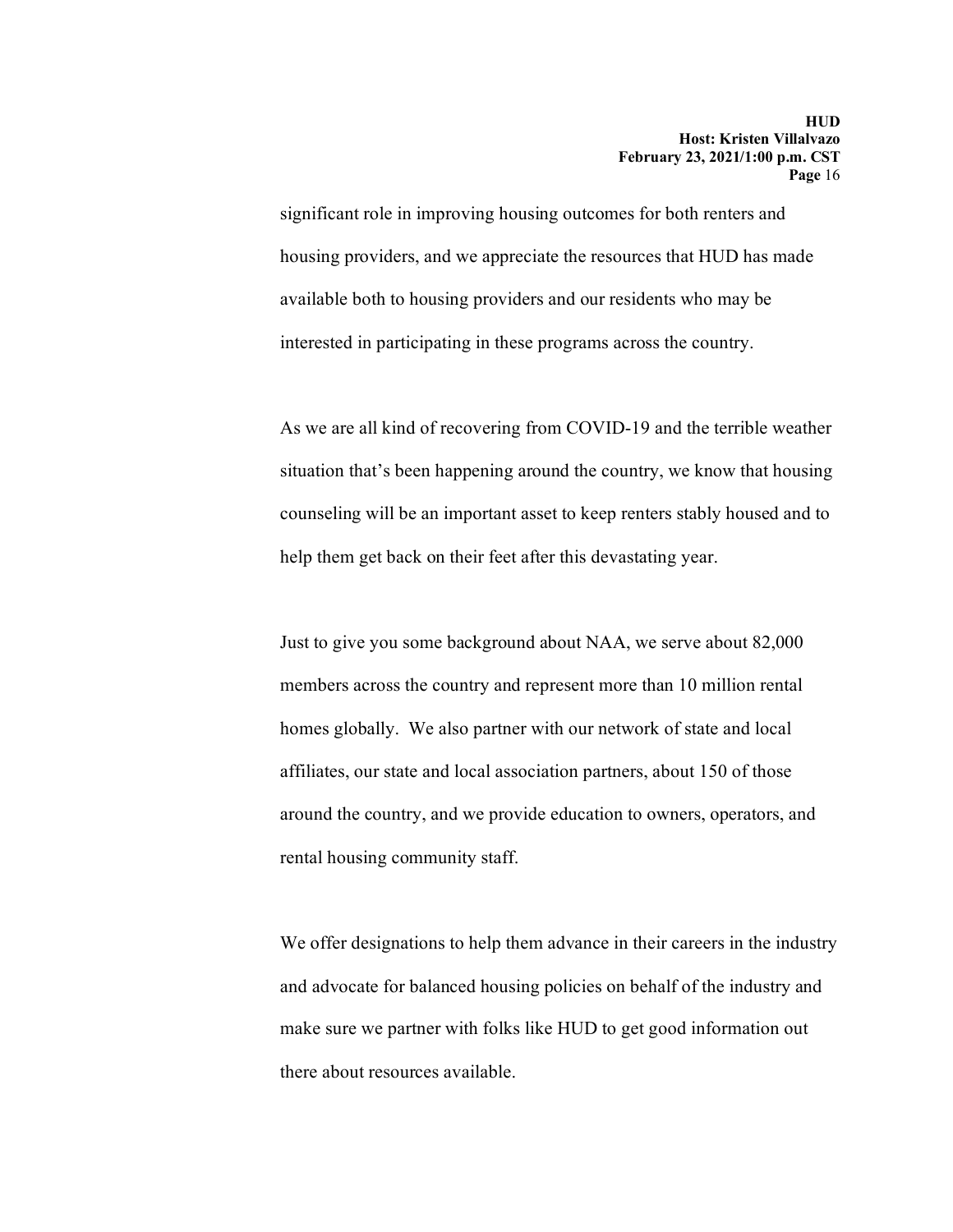significant role in improving housing outcomes for both renters and housing providers, and we appreciate the resources that HUD has made available both to housing providers and our residents who may be interested in participating in these programs across the country.

As we are all kind of recovering from COVID-19 and the terrible weather situation that's been happening around the country, we know that housing counseling will be an important asset to keep renters stably housed and to help them get back on their feet after this devastating year.

Just to give you some background about NAA, we serve about 82,000 members across the country and represent more than 10 million rental homes globally. We also partner with our network of state and local affiliates, our state and local association partners, about 150 of those around the country, and we provide education to owners, operators, and rental housing community staff.

We offer designations to help them advance in their careers in the industry and advocate for balanced housing policies on behalf of the industry and make sure we partner with folks like HUD to get good information out there about resources available.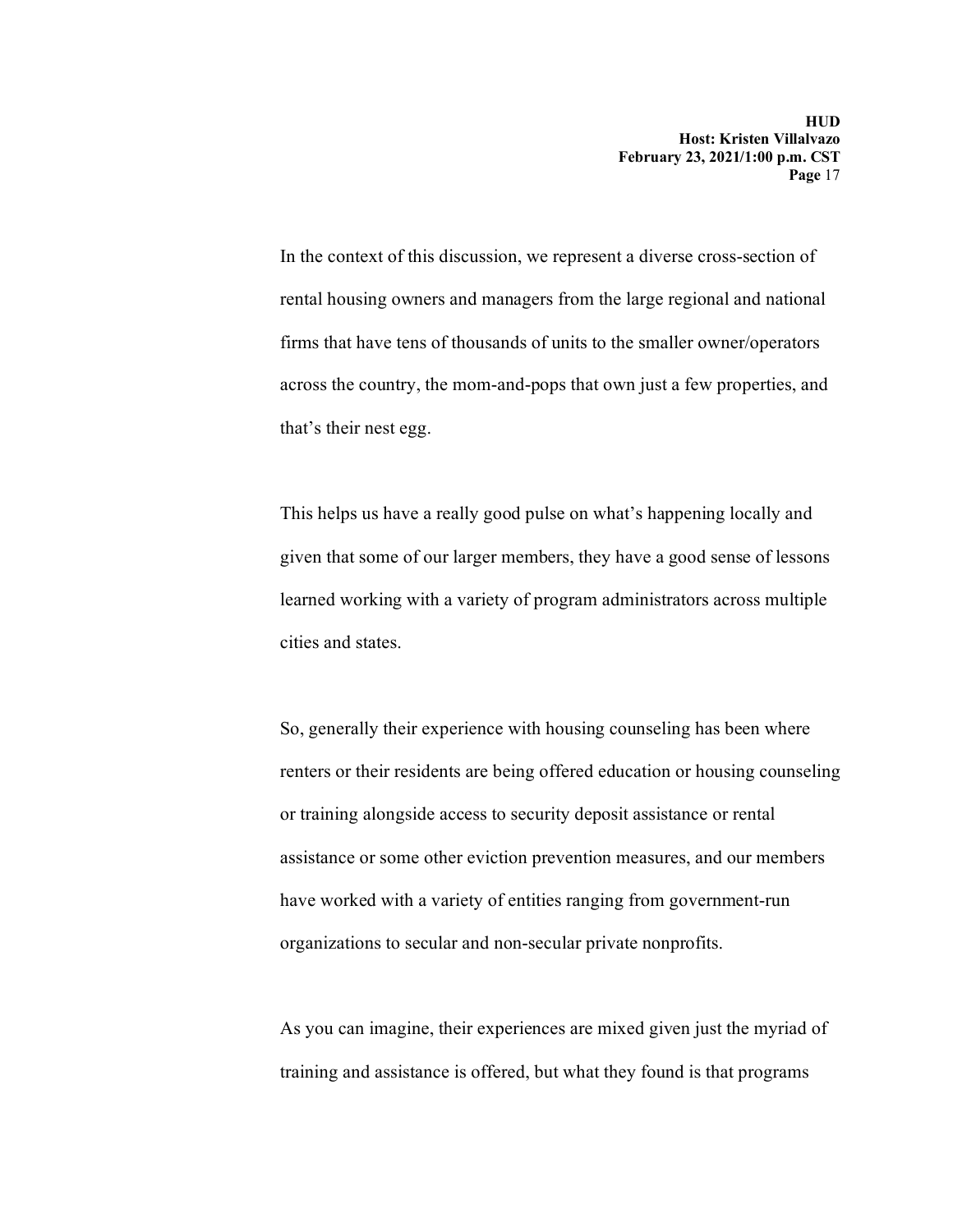In the context of this discussion, we represent a diverse cross-section of rental housing owners and managers from the large regional and national firms that have tens of thousands of units to the smaller owner/operators across the country, the mom-and-pops that own just a few properties, and that's their nest egg.

This helps us have a really good pulse on what's happening locally and given that some of our larger members, they have a good sense of lessons learned working with a variety of program administrators across multiple cities and states.

So, generally their experience with housing counseling has been where renters or their residents are being offered education or housing counseling or training alongside access to security deposit assistance or rental assistance or some other eviction prevention measures, and our members have worked with a variety of entities ranging from government-run organizations to secular and non-secular private nonprofits.

As you can imagine, their experiences are mixed given just the myriad of training and assistance is offered, but what they found is that programs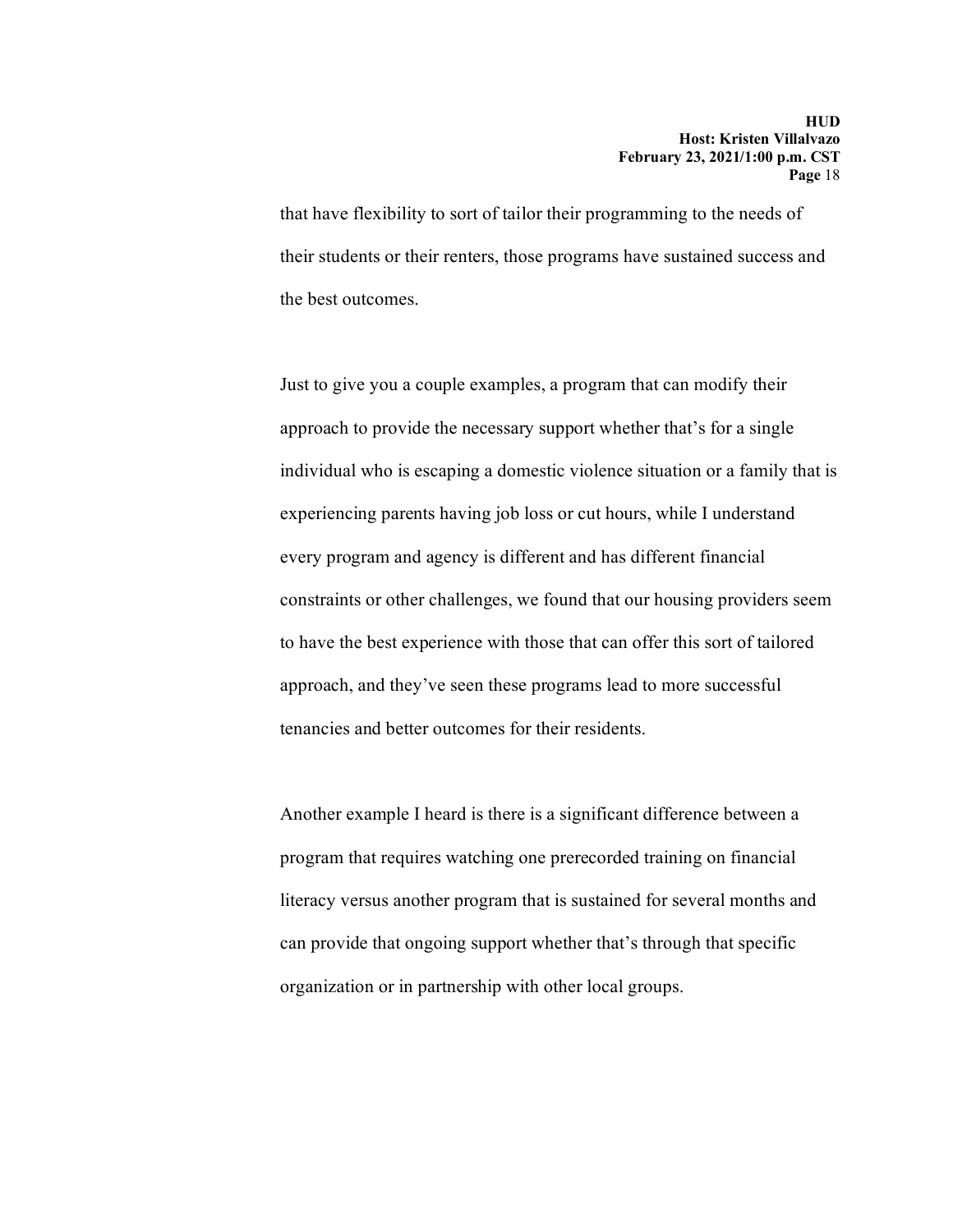that have flexibility to sort of tailor their programming to the needs of their students or their renters, those programs have sustained success and the best outcomes.

Just to give you a couple examples, a program that can modify their approach to provide the necessary support whether that's for a single individual who is escaping a domestic violence situation or a family that is experiencing parents having job loss or cut hours, while I understand every program and agency is different and has different financial constraints or other challenges, we found that our housing providers seem to have the best experience with those that can offer this sort of tailored approach, and they've seen these programs lead to more successful tenancies and better outcomes for their residents.

Another example I heard is there is a significant difference between a program that requires watching one prerecorded training on financial literacy versus another program that is sustained for several months and can provide that ongoing support whether that's through that specific organization or in partnership with other local groups.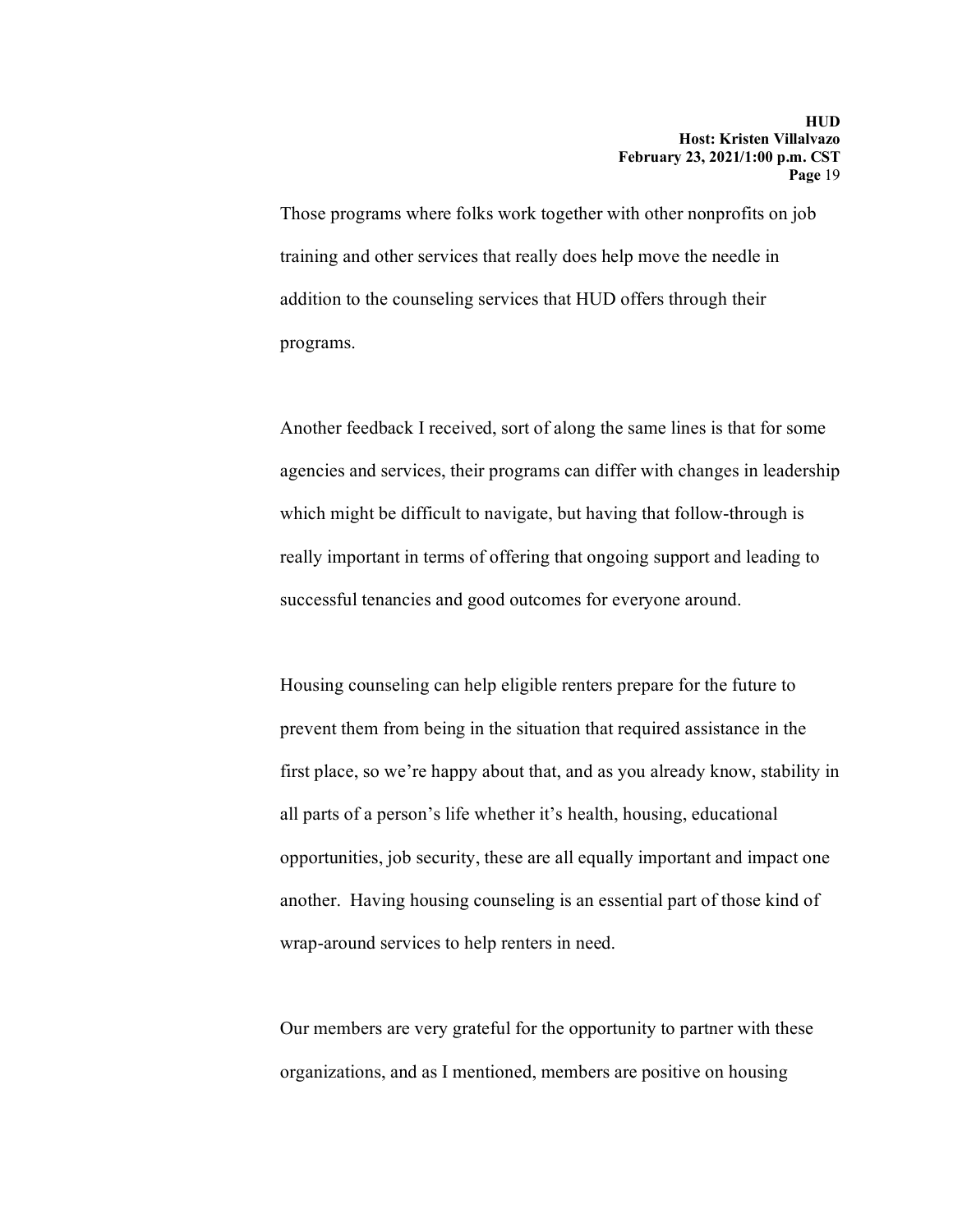Those programs where folks work together with other nonprofits on job training and other services that really does help move the needle in addition to the counseling services that HUD offers through their programs.

Another feedback I received, sort of along the same lines is that for some agencies and services, their programs can differ with changes in leadership which might be difficult to navigate, but having that follow-through is really important in terms of offering that ongoing support and leading to successful tenancies and good outcomes for everyone around.

Housing counseling can help eligible renters prepare for the future to prevent them from being in the situation that required assistance in the first place, so we're happy about that, and as you already know, stability in all parts of a person's life whether it's health, housing, educational opportunities, job security, these are all equally important and impact one another. Having housing counseling is an essential part of those kind of wrap-around services to help renters in need.

Our members are very grateful for the opportunity to partner with these organizations, and as I mentioned, members are positive on housing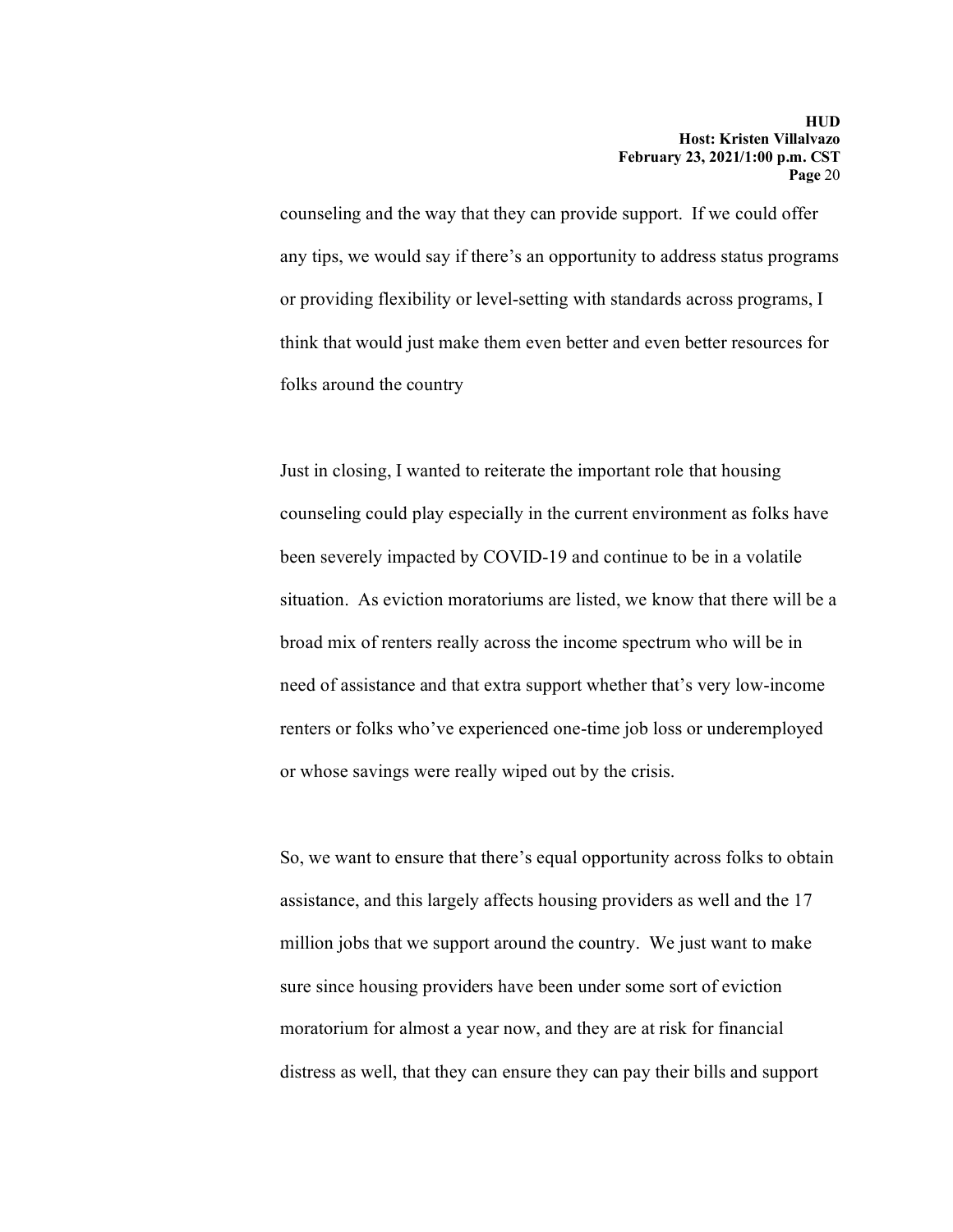counseling and the way that they can provide support. If we could offer any tips, we would say if there's an opportunity to address status programs or providing flexibility or level-setting with standards across programs, I think that would just make them even better and even better resources for folks around the country

Just in closing, I wanted to reiterate the important role that housing counseling could play especially in the current environment as folks have been severely impacted by COVID-19 and continue to be in a volatile situation. As eviction moratoriums are listed, we know that there will be a broad mix of renters really across the income spectrum who will be in need of assistance and that extra support whether that's very low-income renters or folks who've experienced one-time job loss or underemployed or whose savings were really wiped out by the crisis.

So, we want to ensure that there's equal opportunity across folks to obtain assistance, and this largely affects housing providers as well and the 17 million jobs that we support around the country. We just want to make sure since housing providers have been under some sort of eviction moratorium for almost a year now, and they are at risk for financial distress as well, that they can ensure they can pay their bills and support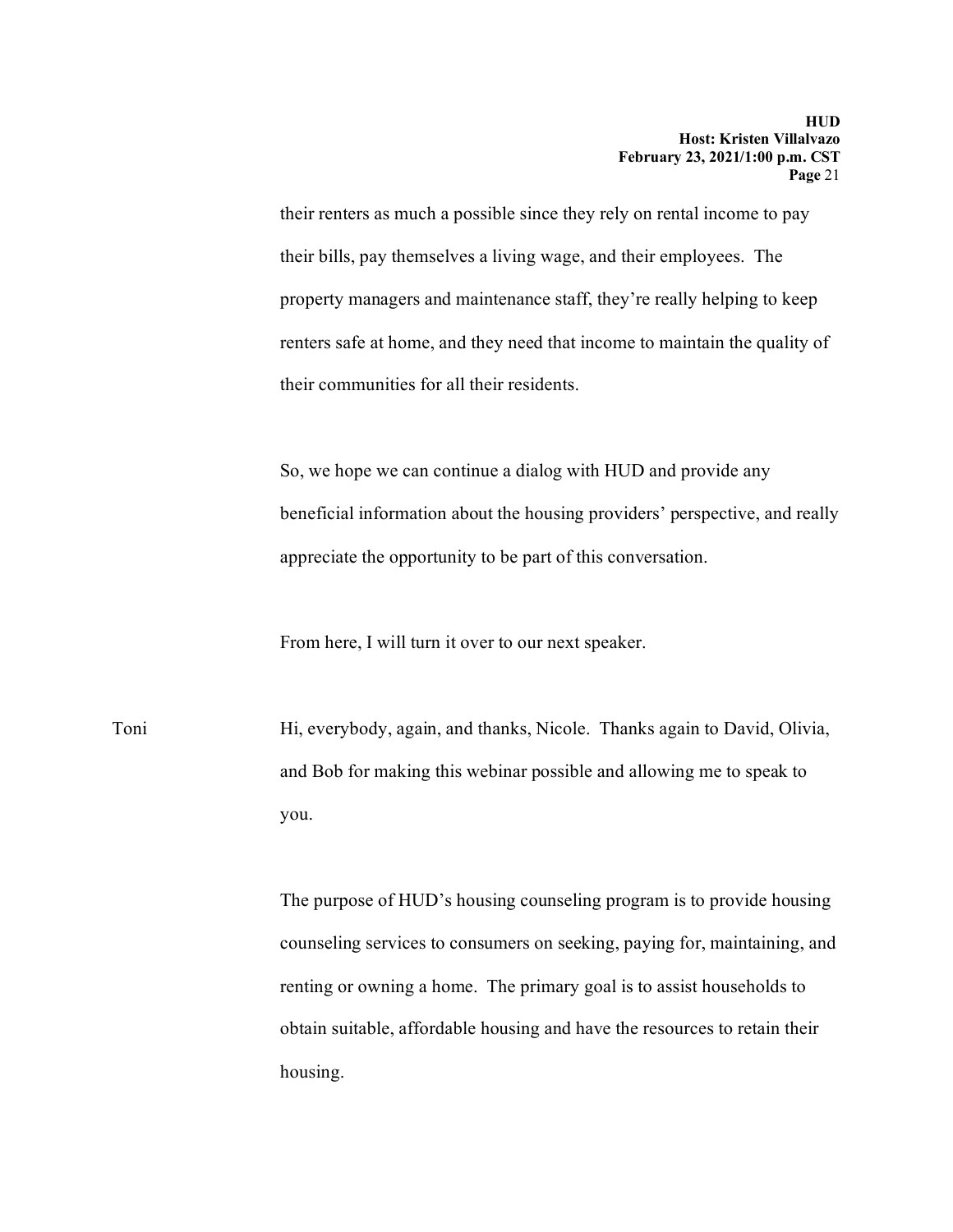their renters as much a possible since they rely on rental income to pay their bills, pay themselves a living wage, and their employees. The property managers and maintenance staff, they're really helping to keep renters safe at home, and they need that income to maintain the quality of their communities for all their residents.

So, we hope we can continue a dialog with HUD and provide any beneficial information about the housing providers' perspective, and really appreciate the opportunity to be part of this conversation.

From here, I will turn it over to our next speaker.

Toni Hi, everybody, again, and thanks, Nicole. Thanks again to David, Olivia, and Bob for making this webinar possible and allowing me to speak to you.

> The purpose of HUD's housing counseling program is to provide housing counseling services to consumers on seeking, paying for, maintaining, and renting or owning a home. The primary goal is to assist households to obtain suitable, affordable housing and have the resources to retain their housing.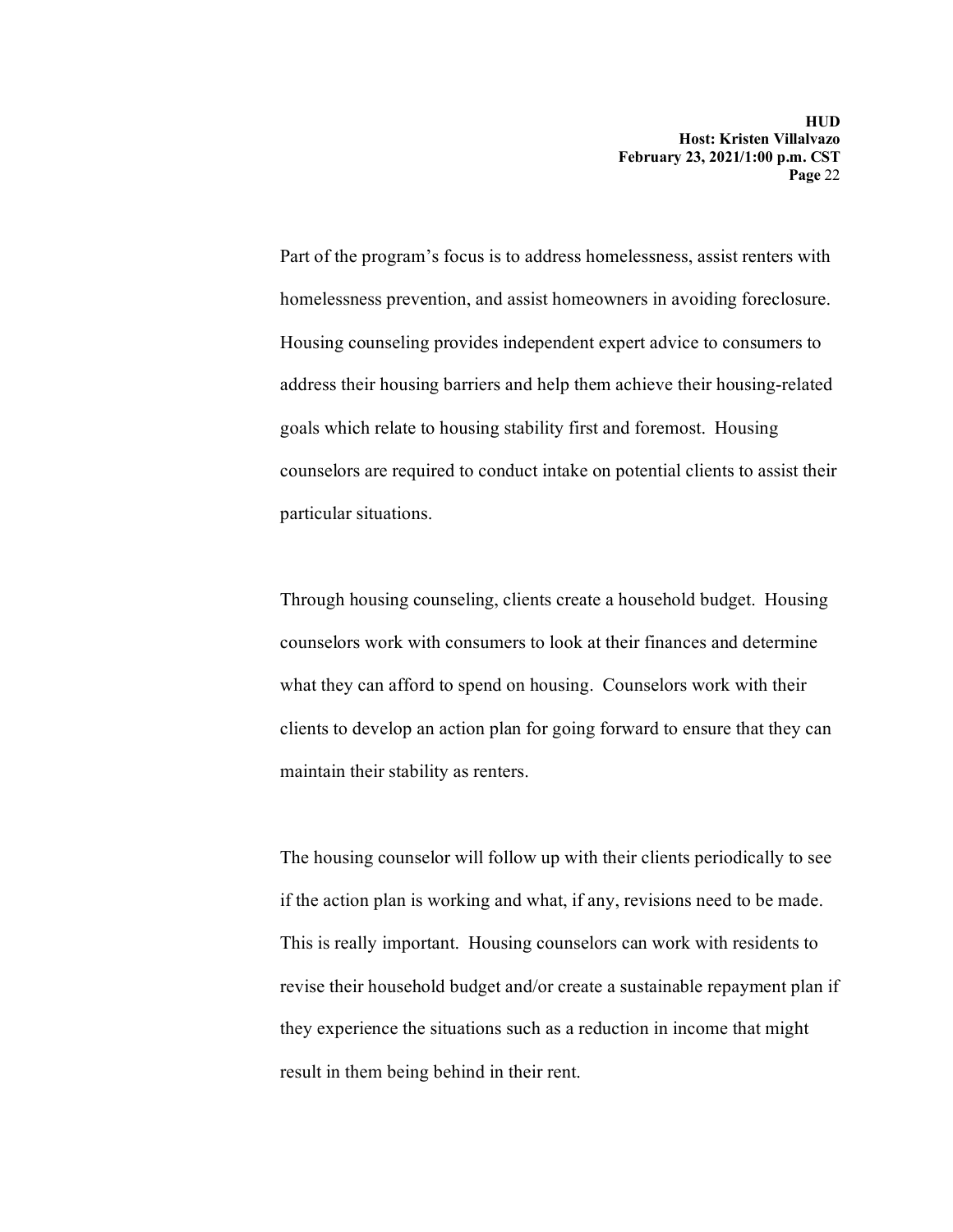Part of the program's focus is to address homelessness, assist renters with homelessness prevention, and assist homeowners in avoiding foreclosure. Housing counseling provides independent expert advice to consumers to address their housing barriers and help them achieve their housing-related goals which relate to housing stability first and foremost. Housing counselors are required to conduct intake on potential clients to assist their particular situations.

Through housing counseling, clients create a household budget. Housing counselors work with consumers to look at their finances and determine what they can afford to spend on housing. Counselors work with their clients to develop an action plan for going forward to ensure that they can maintain their stability as renters.

The housing counselor will follow up with their clients periodically to see if the action plan is working and what, if any, revisions need to be made. This is really important. Housing counselors can work with residents to revise their household budget and/or create a sustainable repayment plan if they experience the situations such as a reduction in income that might result in them being behind in their rent.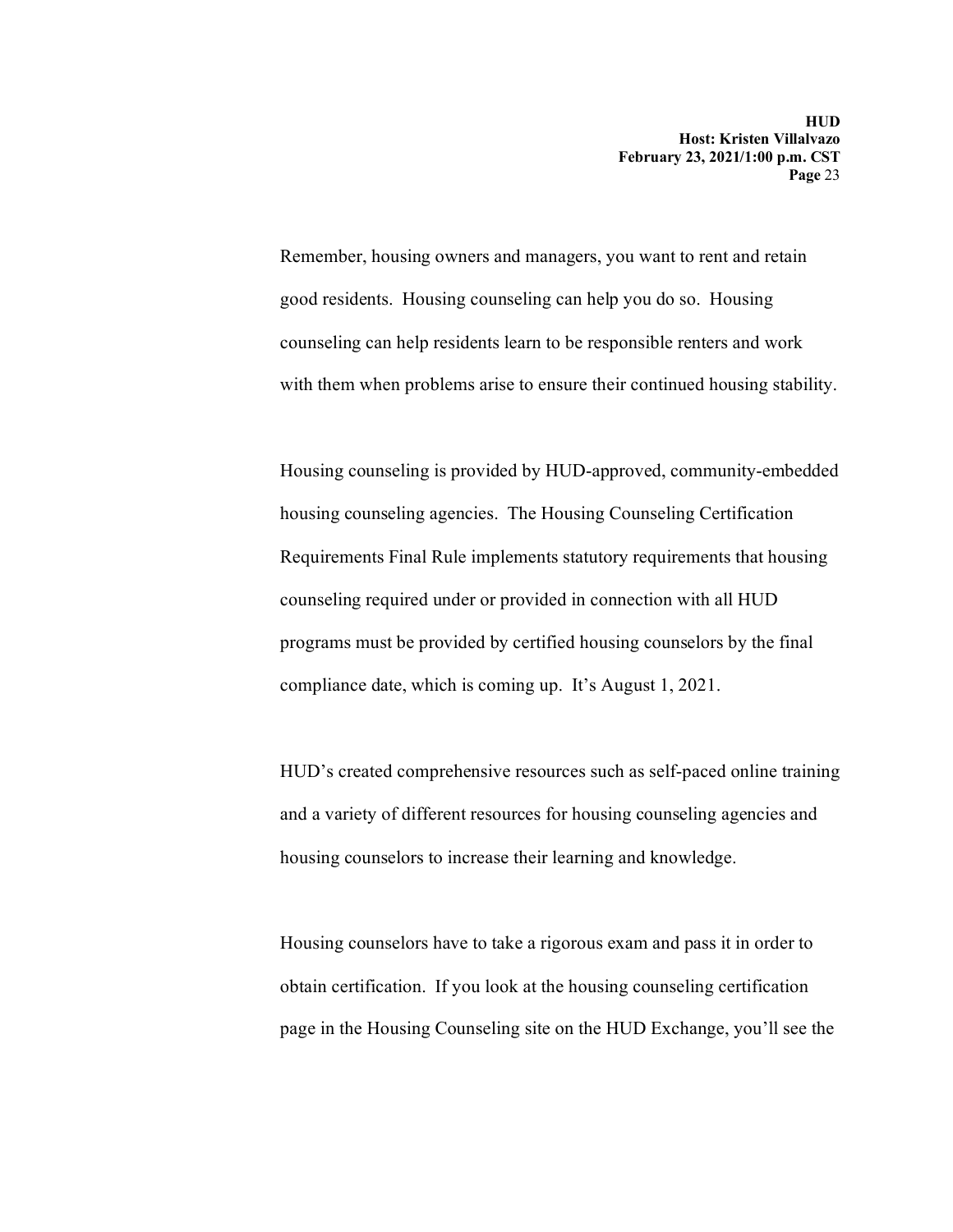Remember, housing owners and managers, you want to rent and retain good residents. Housing counseling can help you do so. Housing counseling can help residents learn to be responsible renters and work with them when problems arise to ensure their continued housing stability.

Housing counseling is provided by HUD-approved, community-embedded housing counseling agencies. The Housing Counseling Certification Requirements Final Rule implements statutory requirements that housing counseling required under or provided in connection with all HUD programs must be provided by certified housing counselors by the final compliance date, which is coming up. It's August 1, 2021.

HUD's created comprehensive resources such as self-paced online training and a variety of different resources for housing counseling agencies and housing counselors to increase their learning and knowledge.

Housing counselors have to take a rigorous exam and pass it in order to obtain certification. If you look at the housing counseling certification page in the Housing Counseling site on the HUD Exchange, you'll see the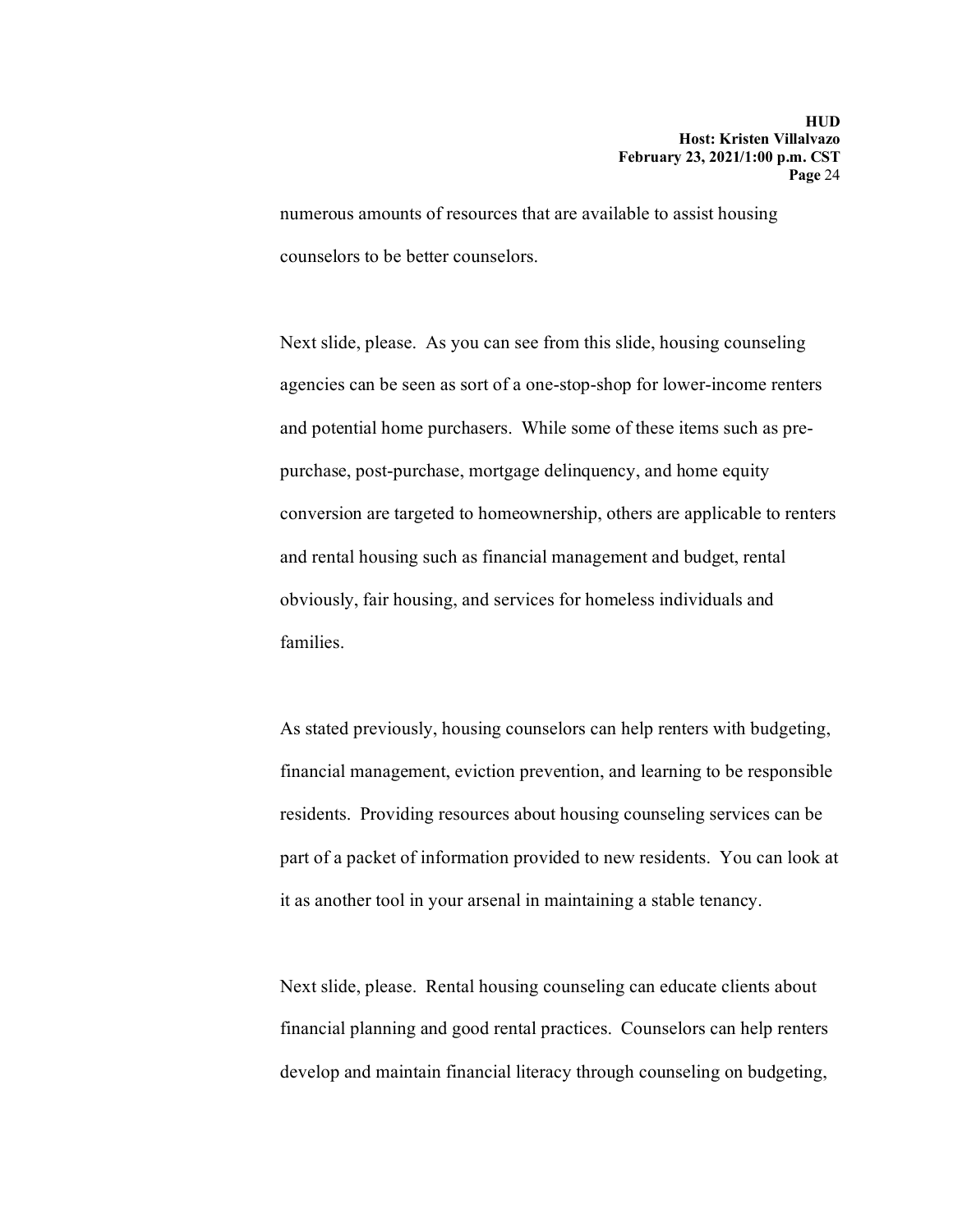numerous amounts of resources that are available to assist housing counselors to be better counselors.

Next slide, please. As you can see from this slide, housing counseling agencies can be seen as sort of a one-stop-shop for lower-income renters and potential home purchasers. While some of these items such as prepurchase, post-purchase, mortgage delinquency, and home equity conversion are targeted to homeownership, others are applicable to renters and rental housing such as financial management and budget, rental obviously, fair housing, and services for homeless individuals and families.

As stated previously, housing counselors can help renters with budgeting, financial management, eviction prevention, and learning to be responsible residents. Providing resources about housing counseling services can be part of a packet of information provided to new residents. You can look at it as another tool in your arsenal in maintaining a stable tenancy.

Next slide, please. Rental housing counseling can educate clients about financial planning and good rental practices. Counselors can help renters develop and maintain financial literacy through counseling on budgeting,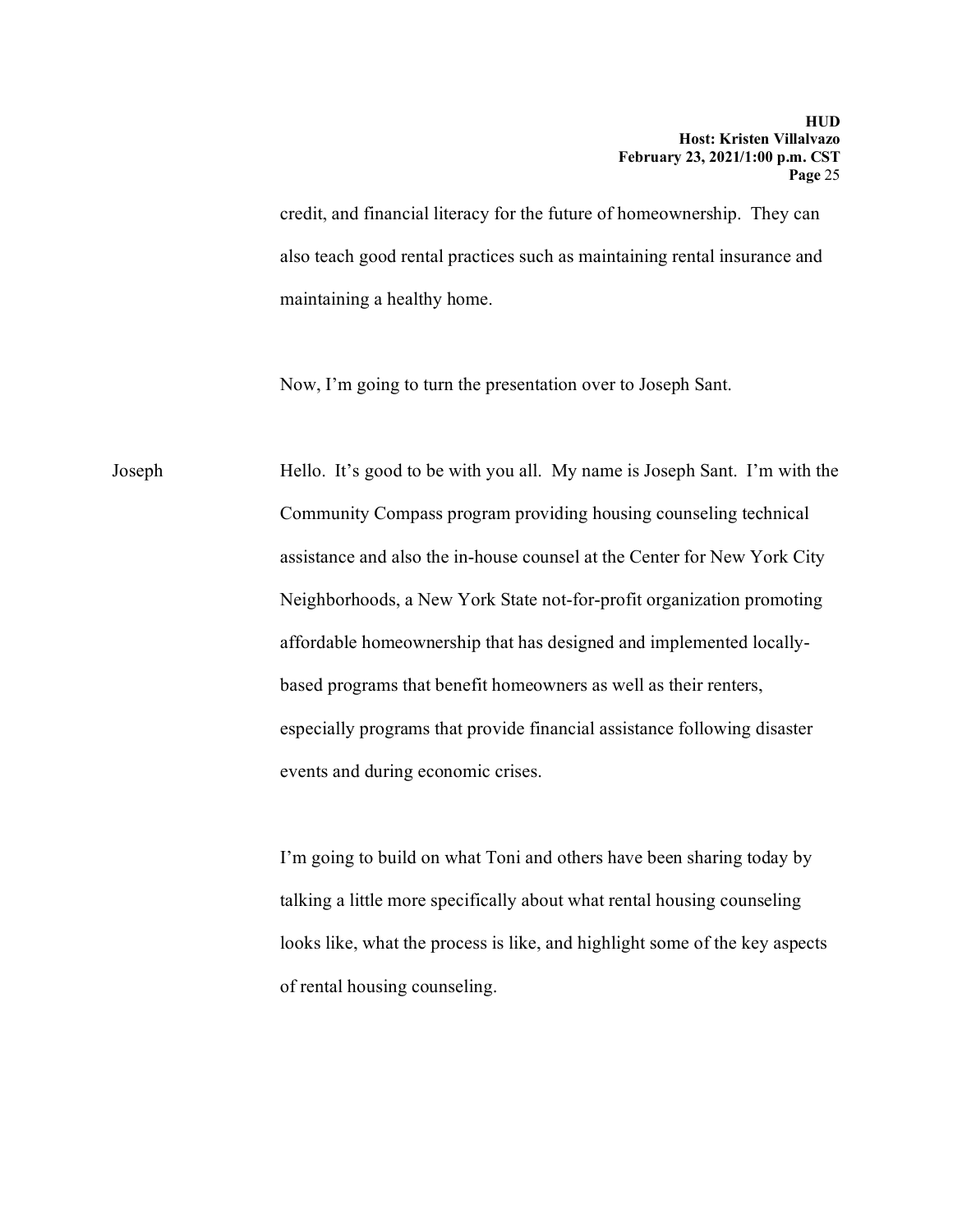credit, and financial literacy for the future of homeownership. They can also teach good rental practices such as maintaining rental insurance and maintaining a healthy home.

Now, I'm going to turn the presentation over to Joseph Sant.

Joseph Hello. It's good to be with you all. My name is Joseph Sant. I'm with the Community Compass program providing housing counseling technical assistance and also the in-house counsel at the Center for New York City Neighborhoods, a New York State not-for-profit organization promoting affordable homeownership that has designed and implemented locallybased programs that benefit homeowners as well as their renters, especially programs that provide financial assistance following disaster events and during economic crises.

> I'm going to build on what Toni and others have been sharing today by talking a little more specifically about what rental housing counseling looks like, what the process is like, and highlight some of the key aspects of rental housing counseling.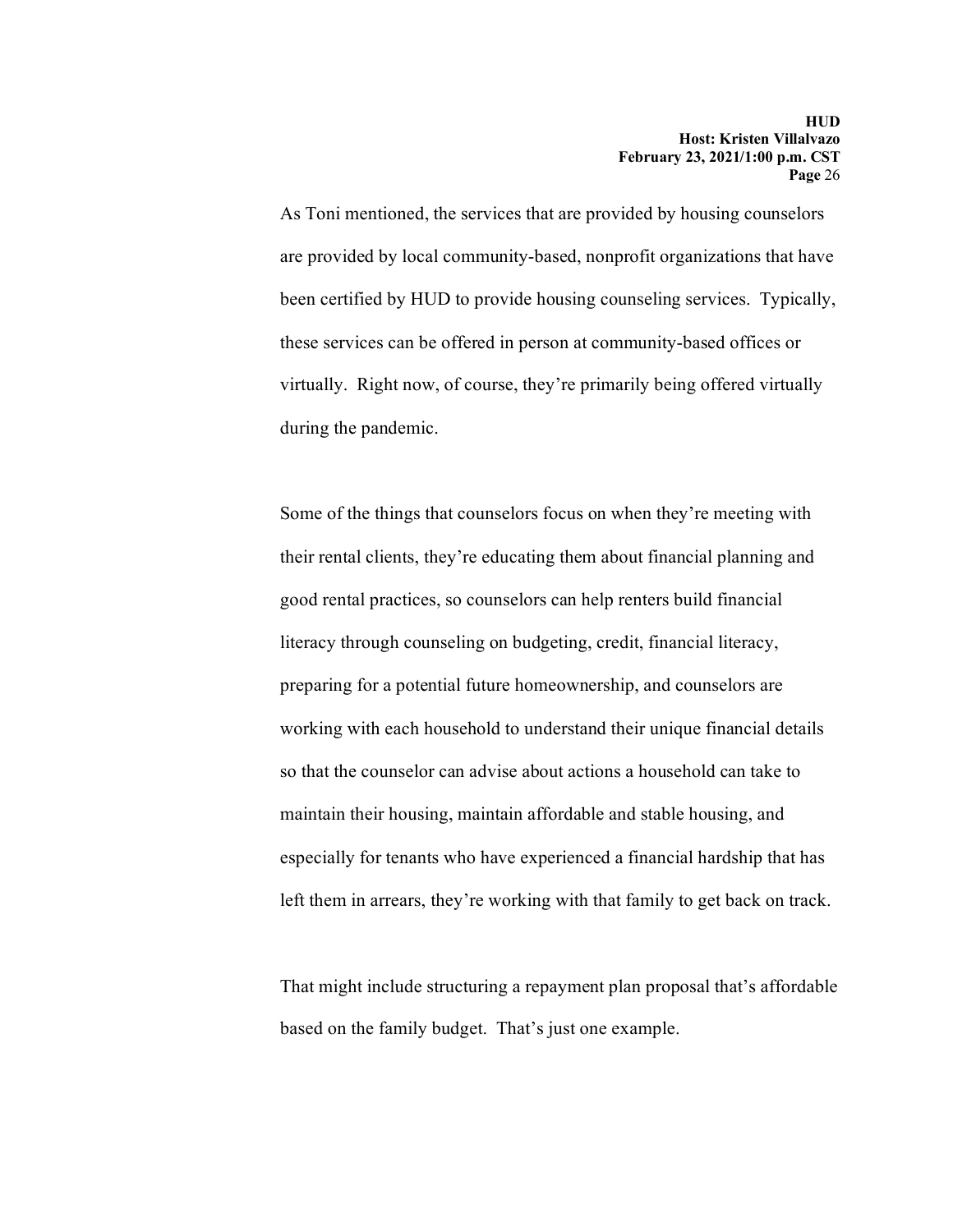As Toni mentioned, the services that are provided by housing counselors are provided by local community-based, nonprofit organizations that have been certified by HUD to provide housing counseling services. Typically, these services can be offered in person at community-based offices or virtually. Right now, of course, they're primarily being offered virtually during the pandemic.

Some of the things that counselors focus on when they're meeting with their rental clients, they're educating them about financial planning and good rental practices, so counselors can help renters build financial literacy through counseling on budgeting, credit, financial literacy, preparing for a potential future homeownership, and counselors are working with each household to understand their unique financial details so that the counselor can advise about actions a household can take to maintain their housing, maintain affordable and stable housing, and especially for tenants who have experienced a financial hardship that has left them in arrears, they're working with that family to get back on track.

That might include structuring a repayment plan proposal that's affordable based on the family budget. That's just one example.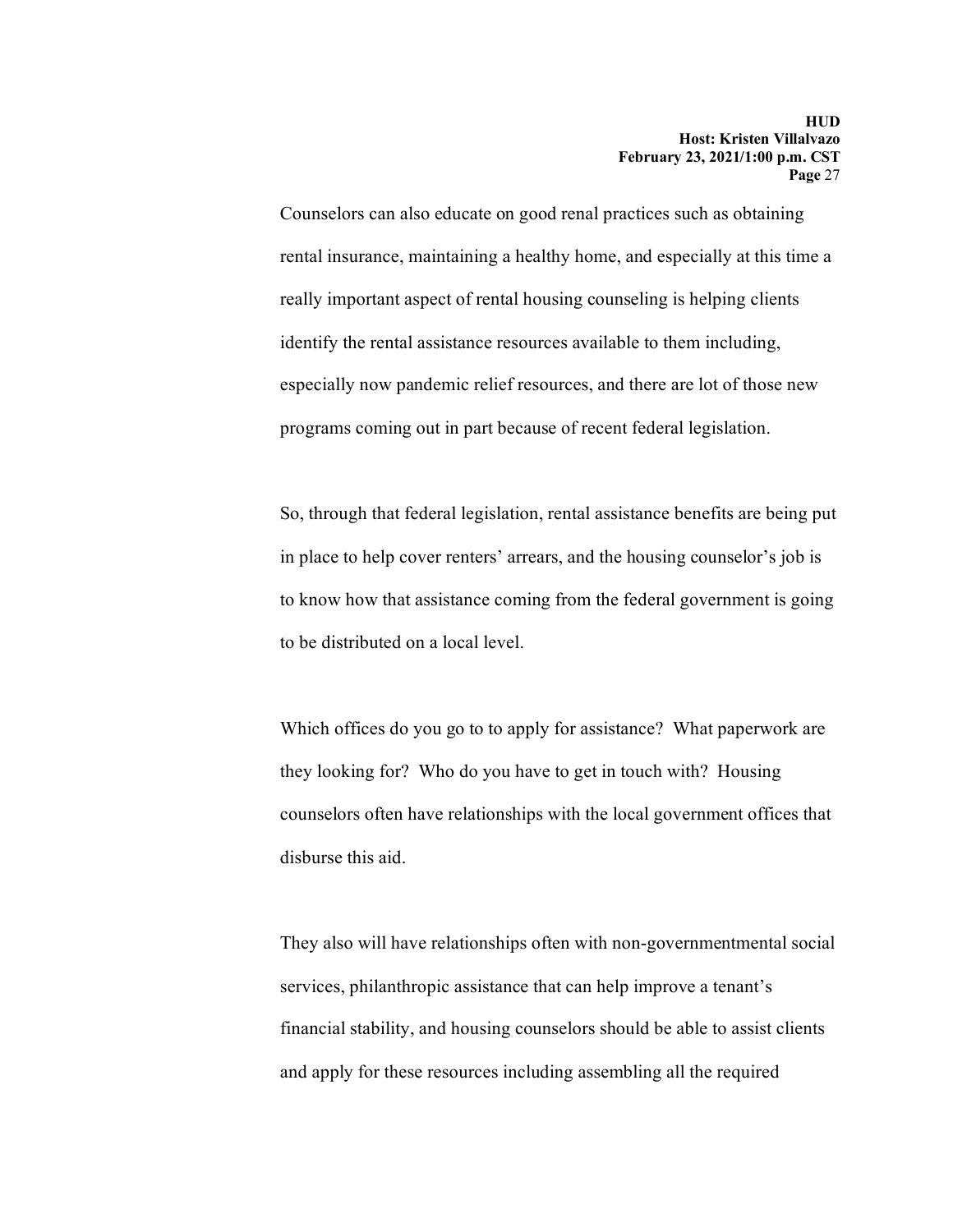Counselors can also educate on good renal practices such as obtaining rental insurance, maintaining a healthy home, and especially at this time a really important aspect of rental housing counseling is helping clients identify the rental assistance resources available to them including, especially now pandemic relief resources, and there are lot of those new programs coming out in part because of recent federal legislation.

So, through that federal legislation, rental assistance benefits are being put in place to help cover renters' arrears, and the housing counselor's job is to know how that assistance coming from the federal government is going to be distributed on a local level.

Which offices do you go to to apply for assistance? What paperwork are they looking for? Who do you have to get in touch with? Housing counselors often have relationships with the local government offices that disburse this aid.

They also will have relationships often with non-governmentmental social services, philanthropic assistance that can help improve a tenant's financial stability, and housing counselors should be able to assist clients and apply for these resources including assembling all the required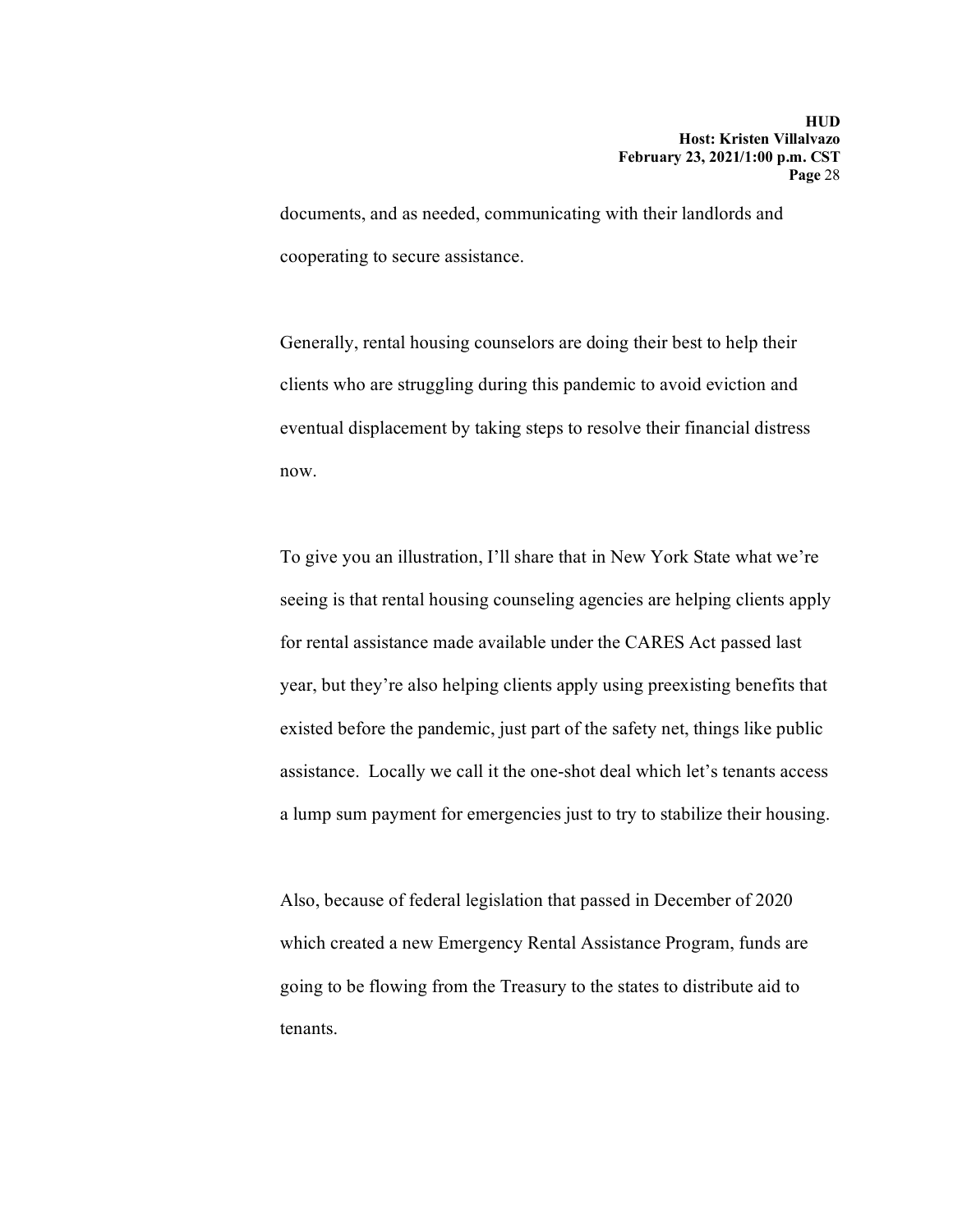documents, and as needed, communicating with their landlords and cooperating to secure assistance.

Generally, rental housing counselors are doing their best to help their clients who are struggling during this pandemic to avoid eviction and eventual displacement by taking steps to resolve their financial distress now.

To give you an illustration, I'll share that in New York State what we're seeing is that rental housing counseling agencies are helping clients apply for rental assistance made available under the CARES Act passed last year, but they're also helping clients apply using preexisting benefits that existed before the pandemic, just part of the safety net, things like public assistance. Locally we call it the one-shot deal which let's tenants access a lump sum payment for emergencies just to try to stabilize their housing.

Also, because of federal legislation that passed in December of 2020 which created a new Emergency Rental Assistance Program, funds are going to be flowing from the Treasury to the states to distribute aid to tenants.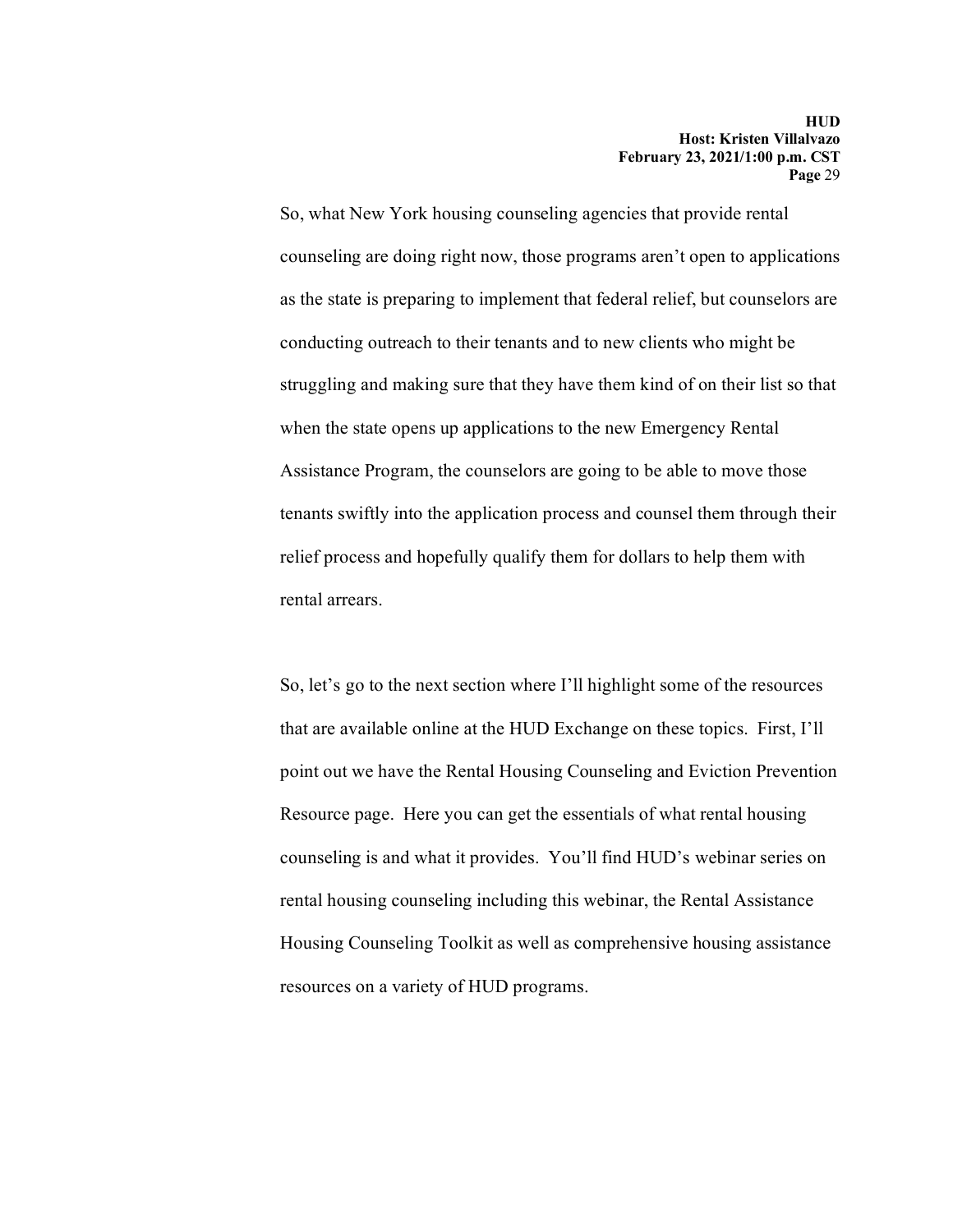So, what New York housing counseling agencies that provide rental counseling are doing right now, those programs aren't open to applications as the state is preparing to implement that federal relief, but counselors are conducting outreach to their tenants and to new clients who might be struggling and making sure that they have them kind of on their list so that when the state opens up applications to the new Emergency Rental Assistance Program, the counselors are going to be able to move those tenants swiftly into the application process and counsel them through their relief process and hopefully qualify them for dollars to help them with rental arrears.

So, let's go to the next section where I'll highlight some of the resources that are available online at the HUD Exchange on these topics. First, I'll point out we have the Rental Housing Counseling and Eviction Prevention Resource page. Here you can get the essentials of what rental housing counseling is and what it provides. You'll find HUD's webinar series on rental housing counseling including this webinar, the Rental Assistance Housing Counseling Toolkit as well as comprehensive housing assistance resources on a variety of HUD programs.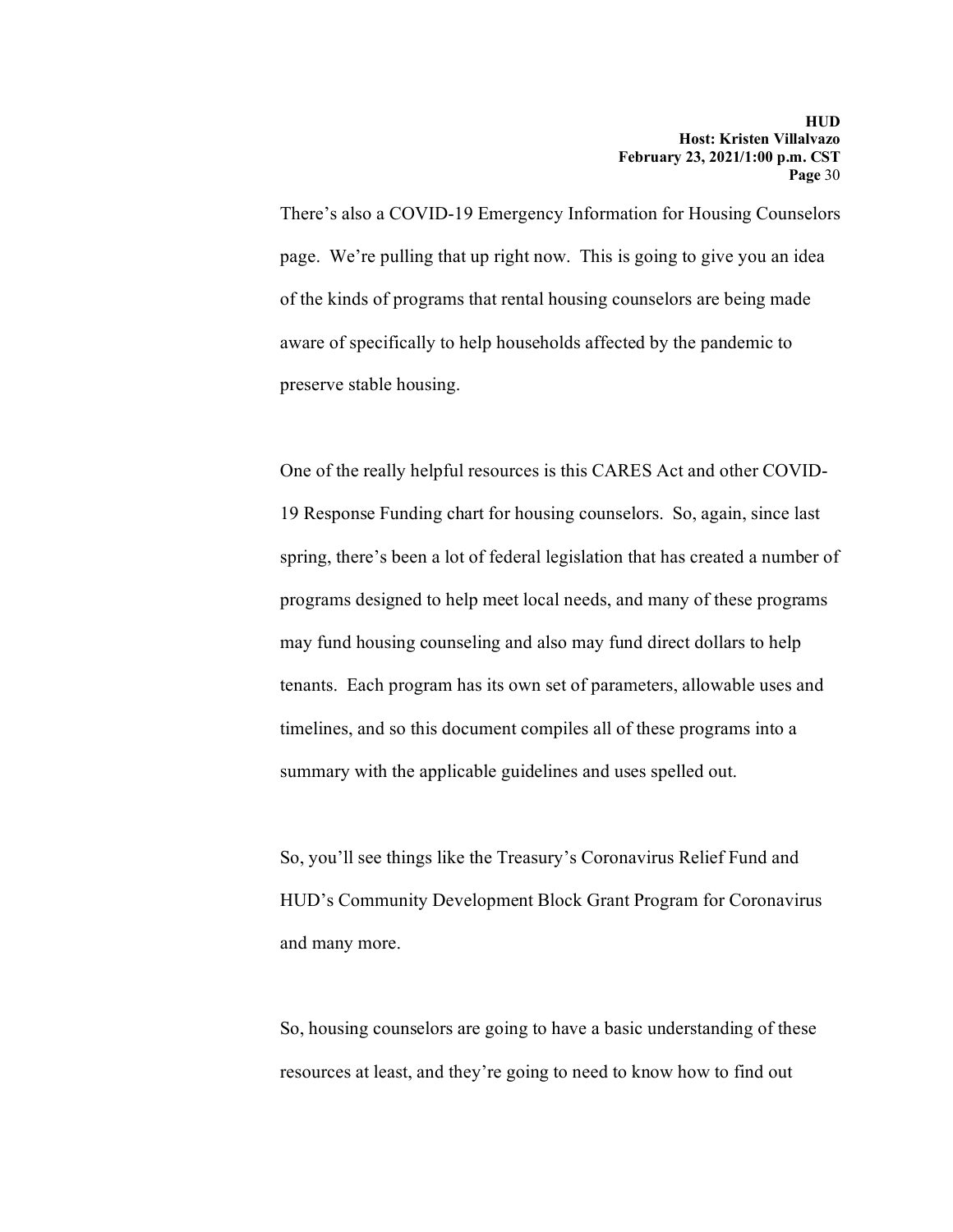There's also a COVID-19 Emergency Information for Housing Counselors page. We're pulling that up right now. This is going to give you an idea of the kinds of programs that rental housing counselors are being made aware of specifically to help households affected by the pandemic to preserve stable housing.

One of the really helpful resources is this CARES Act and other COVID-19 Response Funding chart for housing counselors. So, again, since last spring, there's been a lot of federal legislation that has created a number of programs designed to help meet local needs, and many of these programs may fund housing counseling and also may fund direct dollars to help tenants. Each program has its own set of parameters, allowable uses and timelines, and so this document compiles all of these programs into a summary with the applicable guidelines and uses spelled out.

So, you'll see things like the Treasury's Coronavirus Relief Fund and HUD's Community Development Block Grant Program for Coronavirus and many more.

So, housing counselors are going to have a basic understanding of these resources at least, and they're going to need to know how to find out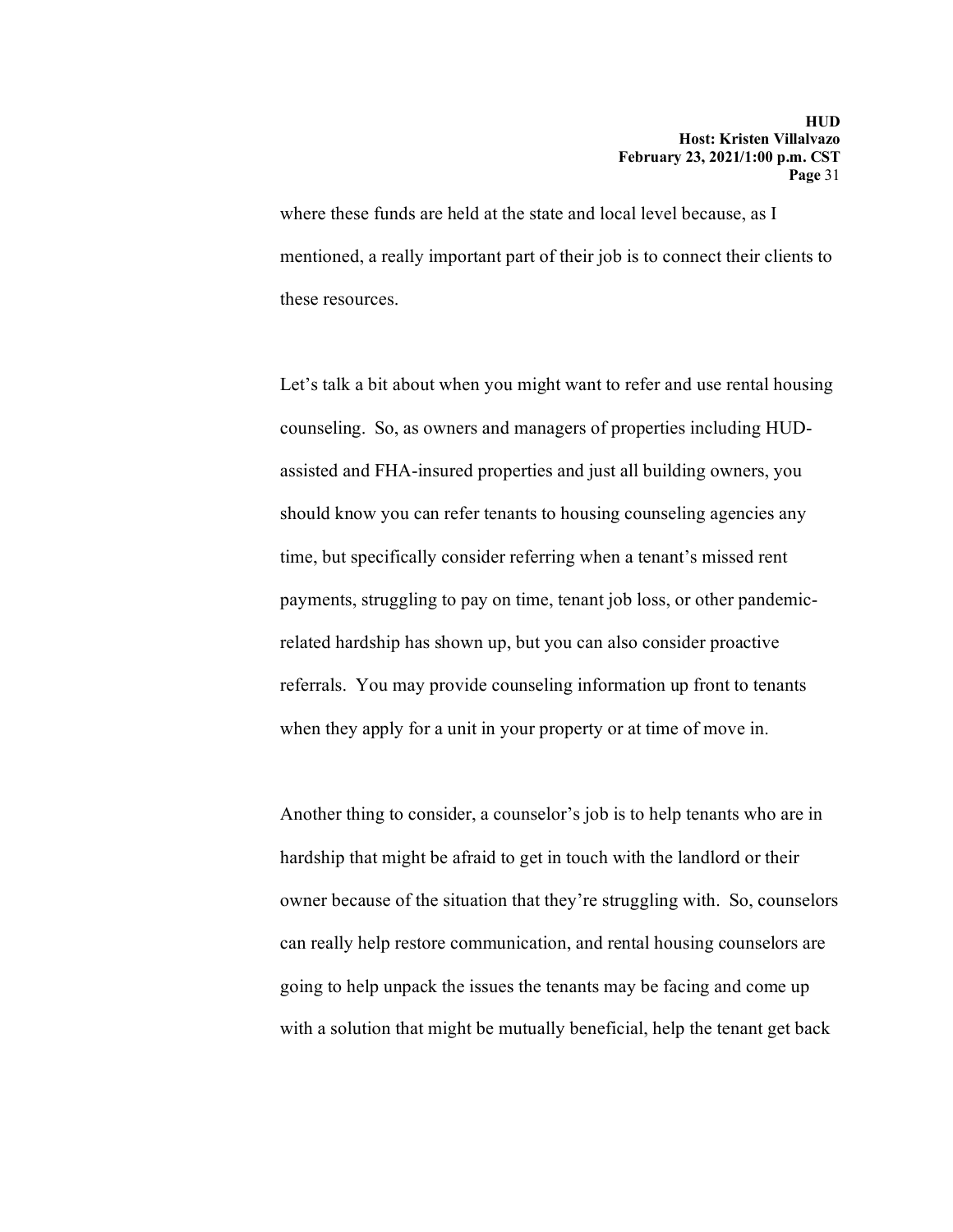where these funds are held at the state and local level because, as I mentioned, a really important part of their job is to connect their clients to these resources.

Let's talk a bit about when you might want to refer and use rental housing counseling. So, as owners and managers of properties including HUDassisted and FHA-insured properties and just all building owners, you should know you can refer tenants to housing counseling agencies any time, but specifically consider referring when a tenant's missed rent payments, struggling to pay on time, tenant job loss, or other pandemicrelated hardship has shown up, but you can also consider proactive referrals. You may provide counseling information up front to tenants when they apply for a unit in your property or at time of move in.

Another thing to consider, a counselor's job is to help tenants who are in hardship that might be afraid to get in touch with the landlord or their owner because of the situation that they're struggling with. So, counselors can really help restore communication, and rental housing counselors are going to help unpack the issues the tenants may be facing and come up with a solution that might be mutually beneficial, help the tenant get back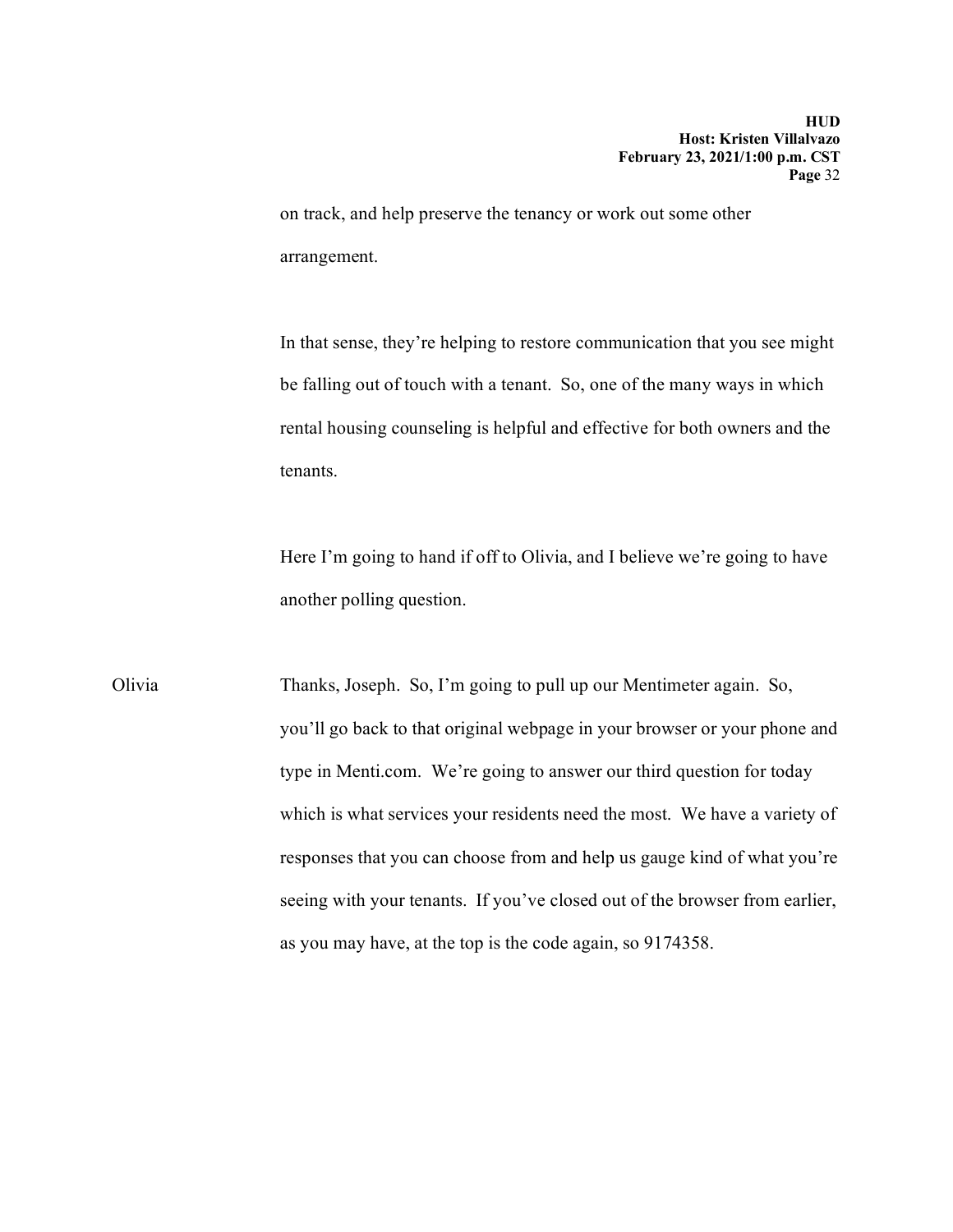on track, and help preserve the tenancy or work out some other arrangement.

In that sense, they're helping to restore communication that you see might be falling out of touch with a tenant. So, one of the many ways in which rental housing counseling is helpful and effective for both owners and the tenants.

Here I'm going to hand if off to Olivia, and I believe we're going to have another polling question.

Olivia Thanks, Joseph. So, I'm going to pull up our Mentimeter again. So, you'll go back to that original webpage in your browser or your phone and type in Menti.com. We're going to answer our third question for today which is what services your residents need the most. We have a variety of responses that you can choose from and help us gauge kind of what you're seeing with your tenants. If you've closed out of the browser from earlier, as you may have, at the top is the code again, so 9174358.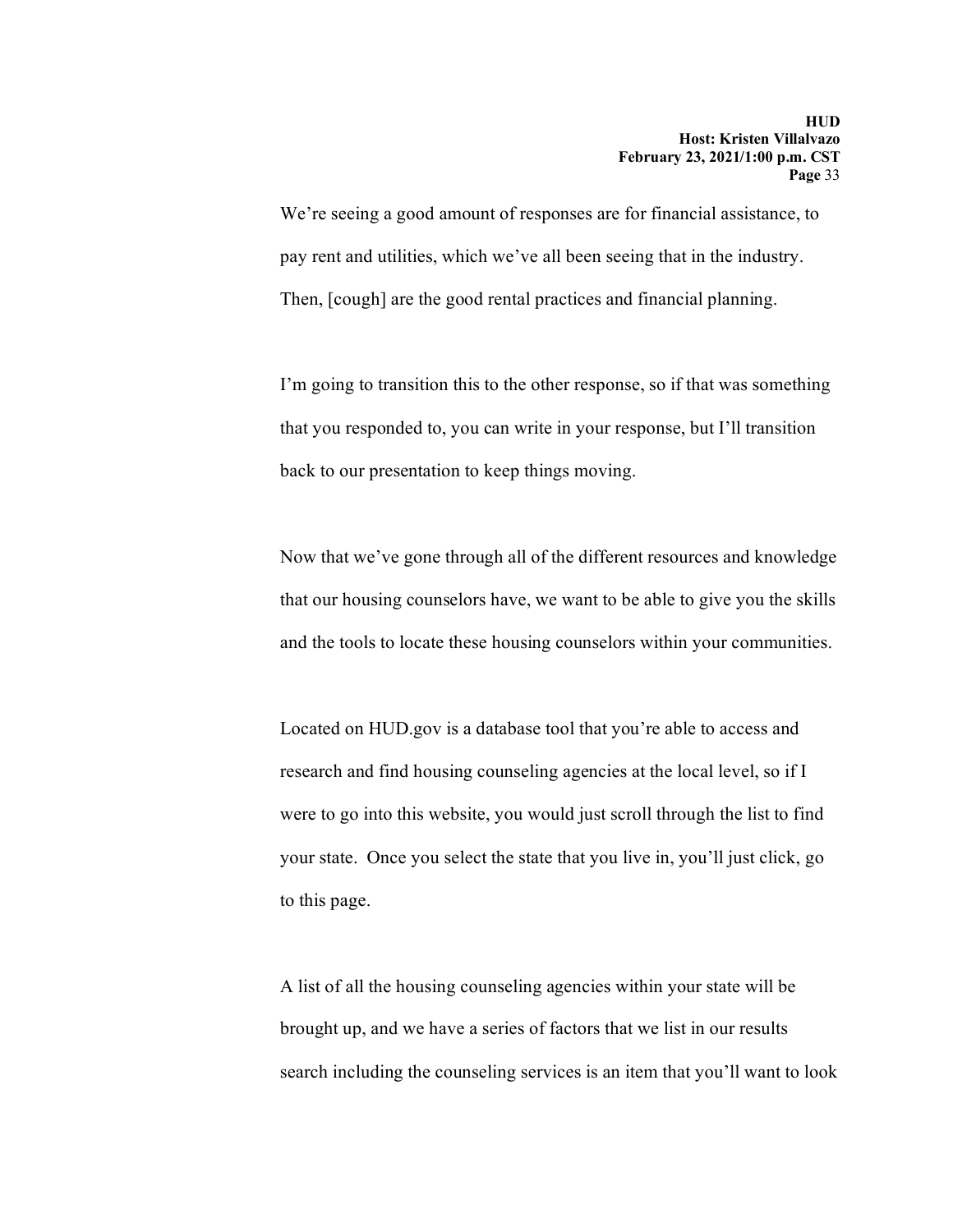We're seeing a good amount of responses are for financial assistance, to pay rent and utilities, which we've all been seeing that in the industry. Then, [cough] are the good rental practices and financial planning.

I'm going to transition this to the other response, so if that was something that you responded to, you can write in your response, but I'll transition back to our presentation to keep things moving.

Now that we've gone through all of the different resources and knowledge that our housing counselors have, we want to be able to give you the skills and the tools to locate these housing counselors within your communities.

Located on HUD.gov is a database tool that you're able to access and research and find housing counseling agencies at the local level, so if I were to go into this website, you would just scroll through the list to find your state. Once you select the state that you live in, you'll just click, go to this page.

A list of all the housing counseling agencies within your state will be brought up, and we have a series of factors that we list in our results search including the counseling services is an item that you'll want to look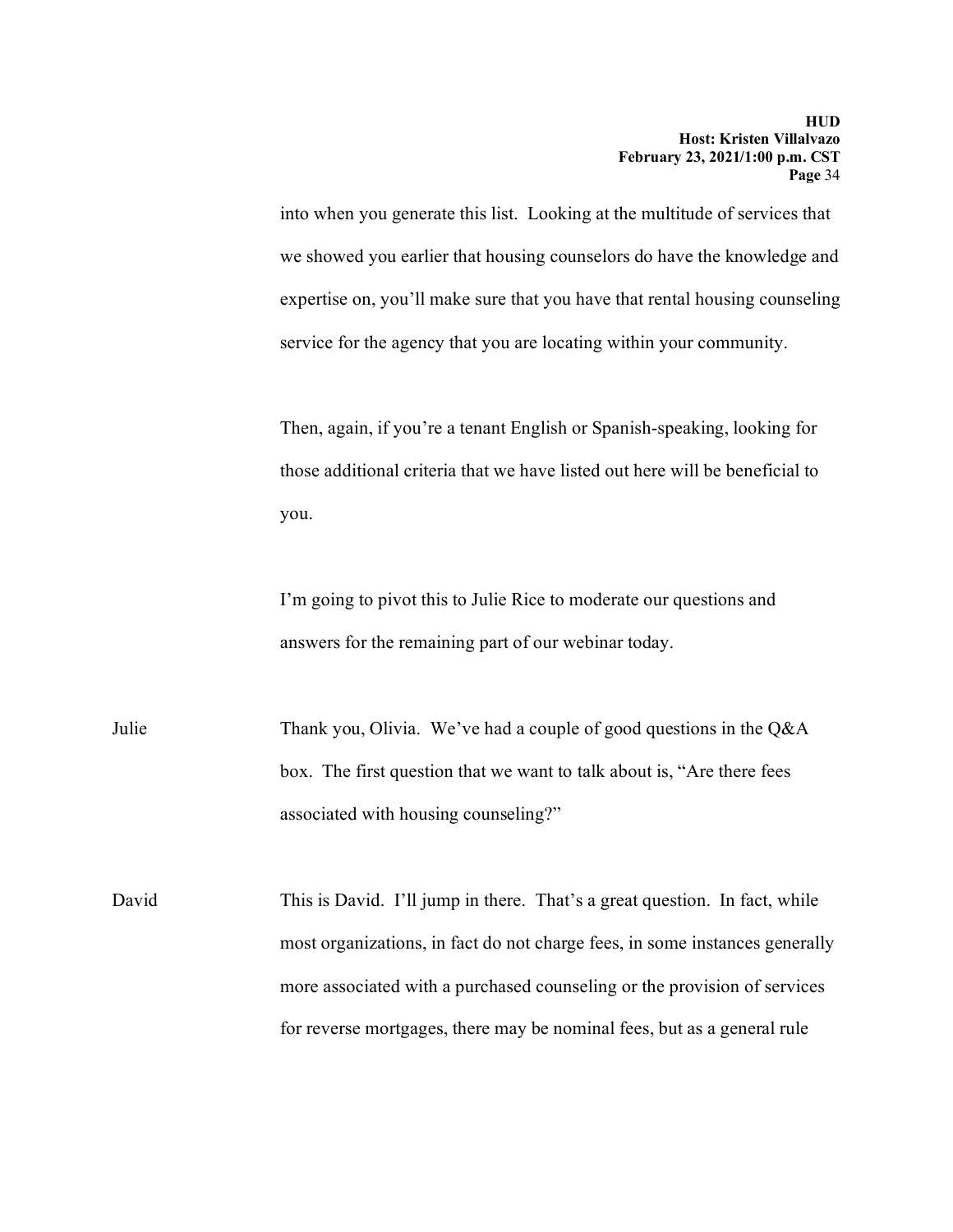into when you generate this list. Looking at the multitude of services that we showed you earlier that housing counselors do have the knowledge and expertise on, you'll make sure that you have that rental housing counseling service for the agency that you are locating within your community.

Then, again, if you're a tenant English or Spanish-speaking, looking for those additional criteria that we have listed out here will be beneficial to you.

I'm going to pivot this to Julie Rice to moderate our questions and answers for the remaining part of our webinar today.

Julie Thank you, Olivia. We've had a couple of good questions in the Q&A box. The first question that we want to talk about is, "Are there fees associated with housing counseling?"

David This is David. I'll jump in there. That's a great question. In fact, while most organizations, in fact do not charge fees, in some instances generally more associated with a purchased counseling or the provision of services for reverse mortgages, there may be nominal fees, but as a general rule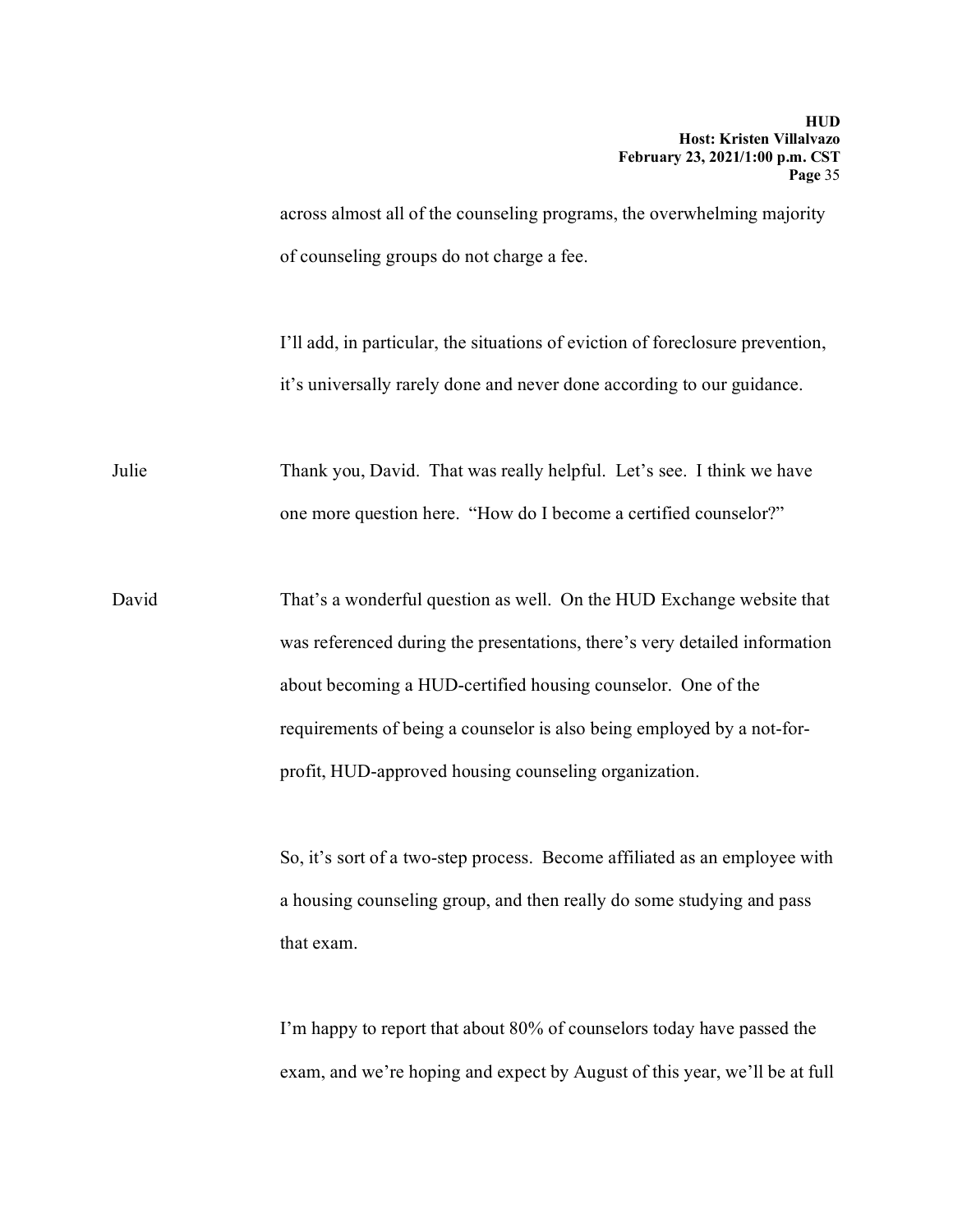across almost all of the counseling programs, the overwhelming majority of counseling groups do not charge a fee.

I'll add, in particular, the situations of eviction of foreclosure prevention, it's universally rarely done and never done according to our guidance.

Julie Thank you, David. That was really helpful. Let's see. I think we have one more question here. "How do I become a certified counselor?"

David That's a wonderful question as well. On the HUD Exchange website that was referenced during the presentations, there's very detailed information about becoming a HUD-certified housing counselor. One of the requirements of being a counselor is also being employed by a not-forprofit, HUD-approved housing counseling organization.

> So, it's sort of a two-step process. Become affiliated as an employee with a housing counseling group, and then really do some studying and pass that exam.

> I'm happy to report that about 80% of counselors today have passed the exam, and we're hoping and expect by August of this year, we'll be at full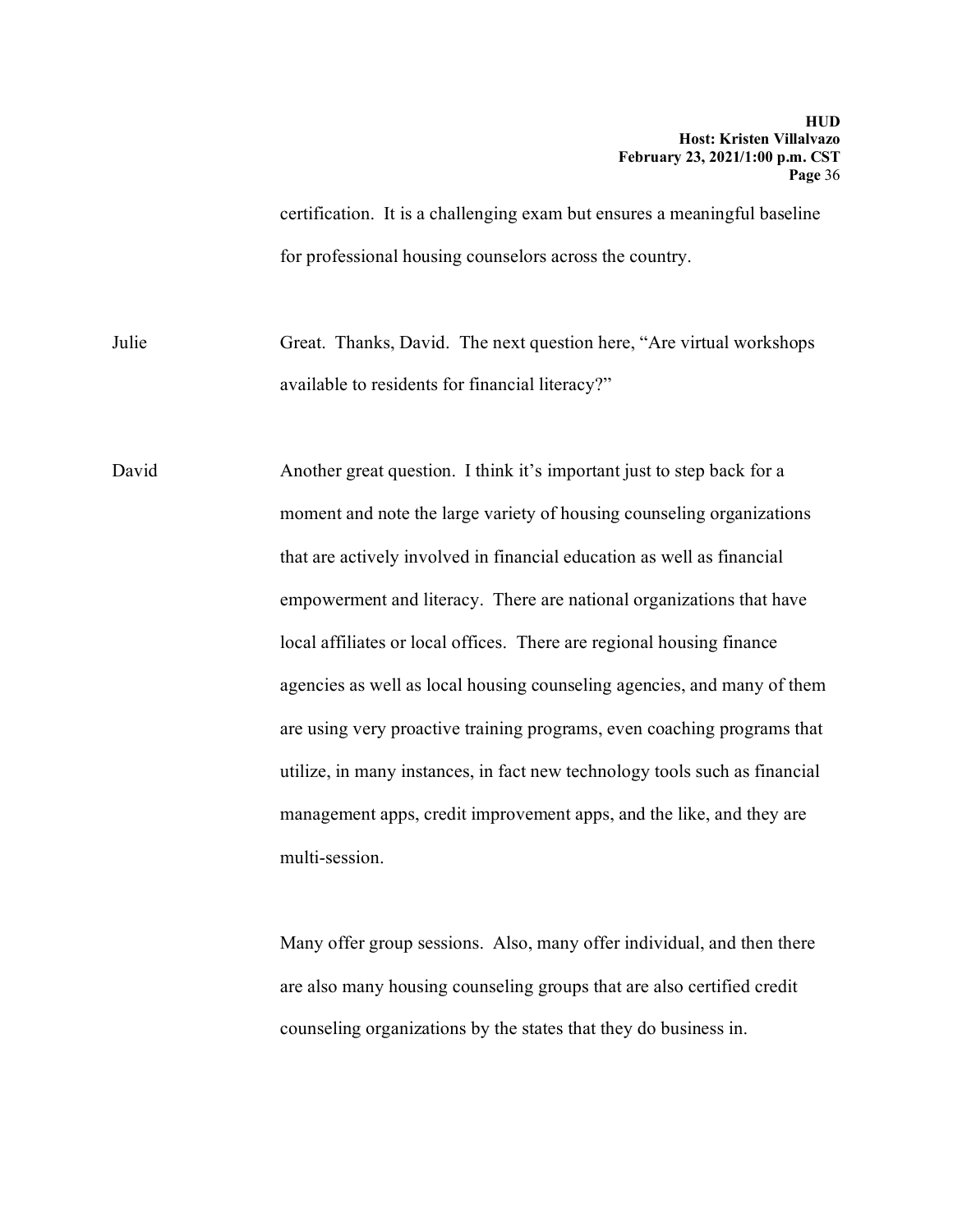certification. It is a challenging exam but ensures a meaningful baseline for professional housing counselors across the country.

Julie Great. Thanks, David. The next question here, "Are virtual workshops available to residents for financial literacy?"

David Another great question. I think it's important just to step back for a moment and note the large variety of housing counseling organizations that are actively involved in financial education as well as financial empowerment and literacy. There are national organizations that have local affiliates or local offices. There are regional housing finance agencies as well as local housing counseling agencies, and many of them are using very proactive training programs, even coaching programs that utilize, in many instances, in fact new technology tools such as financial management apps, credit improvement apps, and the like, and they are multi-session.

> Many offer group sessions. Also, many offer individual, and then there are also many housing counseling groups that are also certified credit counseling organizations by the states that they do business in.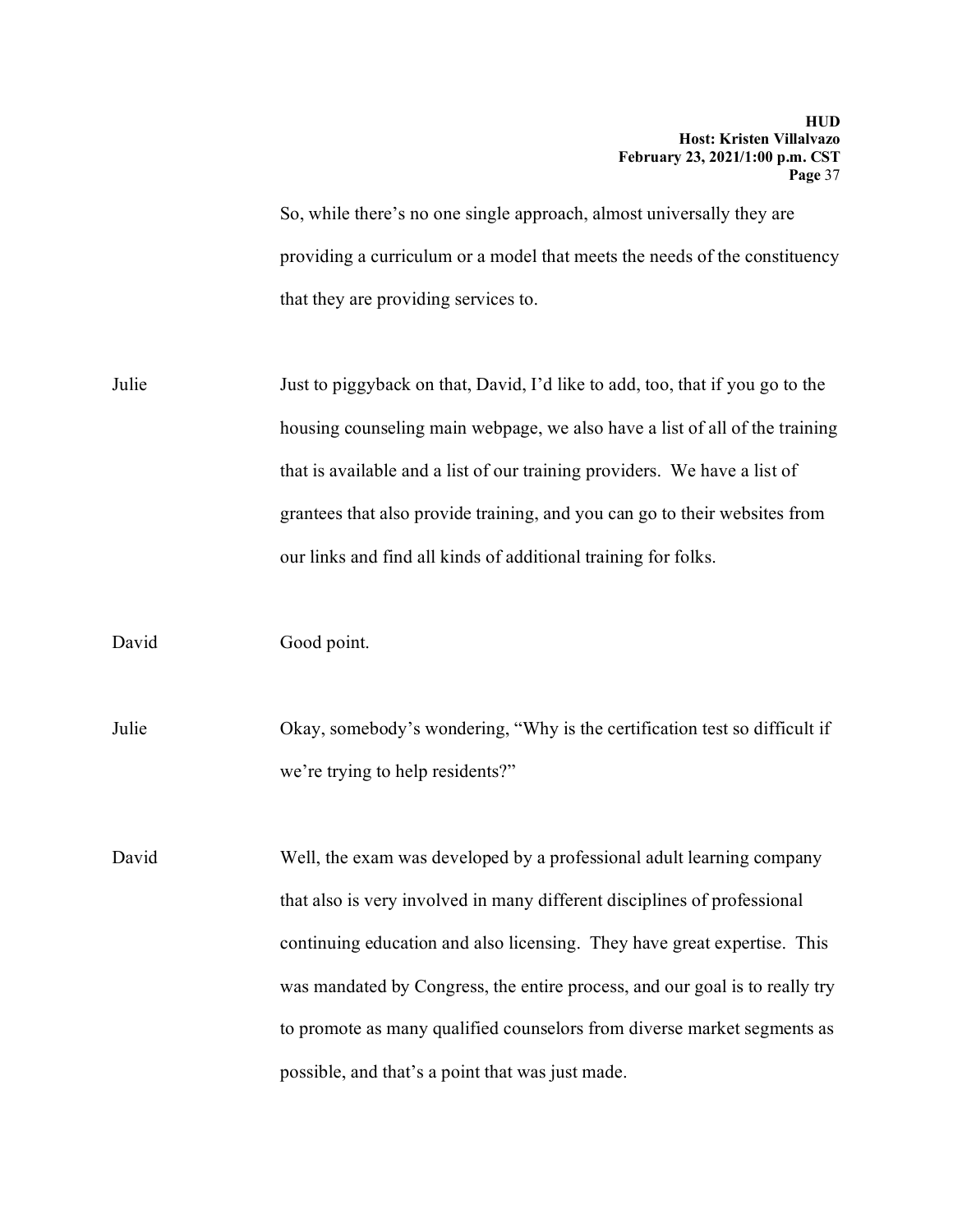So, while there's no one single approach, almost universally they are providing a curriculum or a model that meets the needs of the constituency that they are providing services to.

Julie Just to piggyback on that, David, I'd like to add, too, that if you go to the housing counseling main webpage, we also have a list of all of the training that is available and a list of our training providers. We have a list of grantees that also provide training, and you can go to their websites from our links and find all kinds of additional training for folks.

David Good point.

Julie Okay, somebody's wondering, "Why is the certification test so difficult if we're trying to help residents?"

David Well, the exam was developed by a professional adult learning company that also is very involved in many different disciplines of professional continuing education and also licensing. They have great expertise. This was mandated by Congress, the entire process, and our goal is to really try to promote as many qualified counselors from diverse market segments as possible, and that's a point that was just made.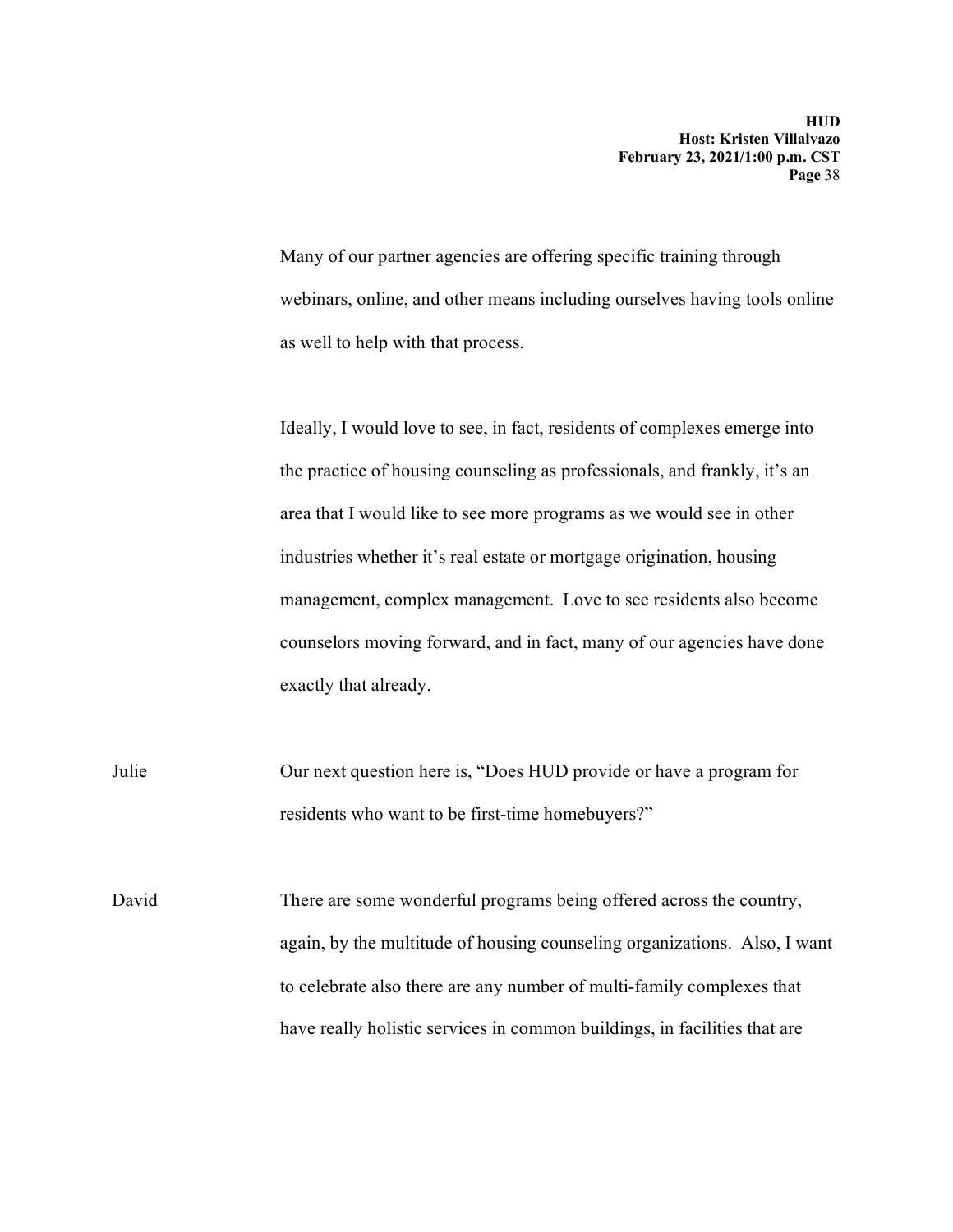Many of our partner agencies are offering specific training through webinars, online, and other means including ourselves having tools online as well to help with that process.

Ideally, I would love to see, in fact, residents of complexes emerge into the practice of housing counseling as professionals, and frankly, it's an area that I would like to see more programs as we would see in other industries whether it's real estate or mortgage origination, housing management, complex management. Love to see residents also become counselors moving forward, and in fact, many of our agencies have done exactly that already.

Julie Our next question here is, "Does HUD provide or have a program for residents who want to be first-time homebuyers?"

David There are some wonderful programs being offered across the country, again, by the multitude of housing counseling organizations. Also, I want to celebrate also there are any number of multi-family complexes that have really holistic services in common buildings, in facilities that are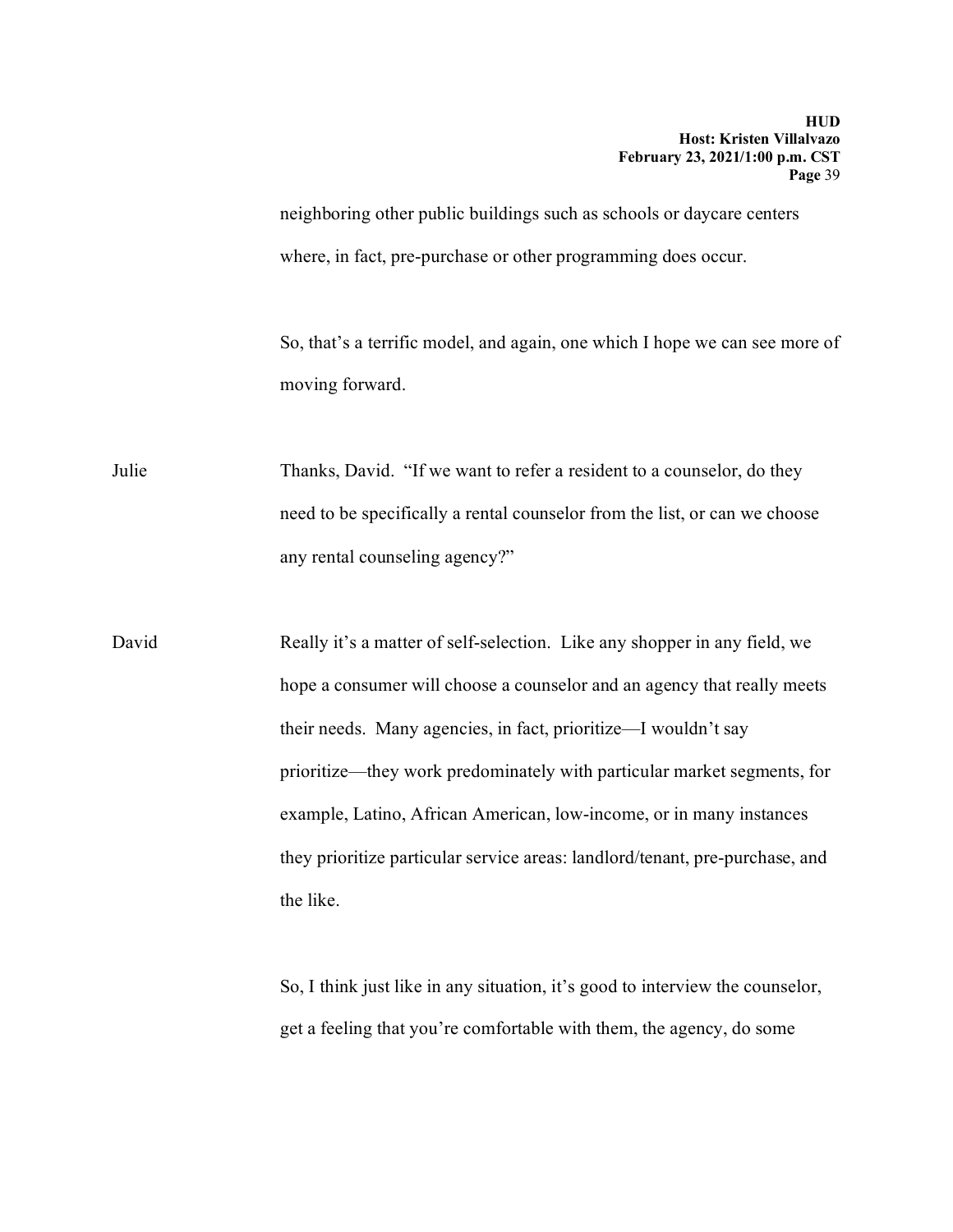neighboring other public buildings such as schools or daycare centers where, in fact, pre-purchase or other programming does occur.

So, that's a terrific model, and again, one which I hope we can see more of moving forward.

Julie Thanks, David. "If we want to refer a resident to a counselor, do they need to be specifically a rental counselor from the list, or can we choose any rental counseling agency?"

David Really it's a matter of self-selection. Like any shopper in any field, we hope a consumer will choose a counselor and an agency that really meets their needs. Many agencies, in fact, prioritize—I wouldn't say prioritize—they work predominately with particular market segments, for example, Latino, African American, low-income, or in many instances they prioritize particular service areas: landlord/tenant, pre-purchase, and the like.

> So, I think just like in any situation, it's good to interview the counselor, get a feeling that you're comfortable with them, the agency, do some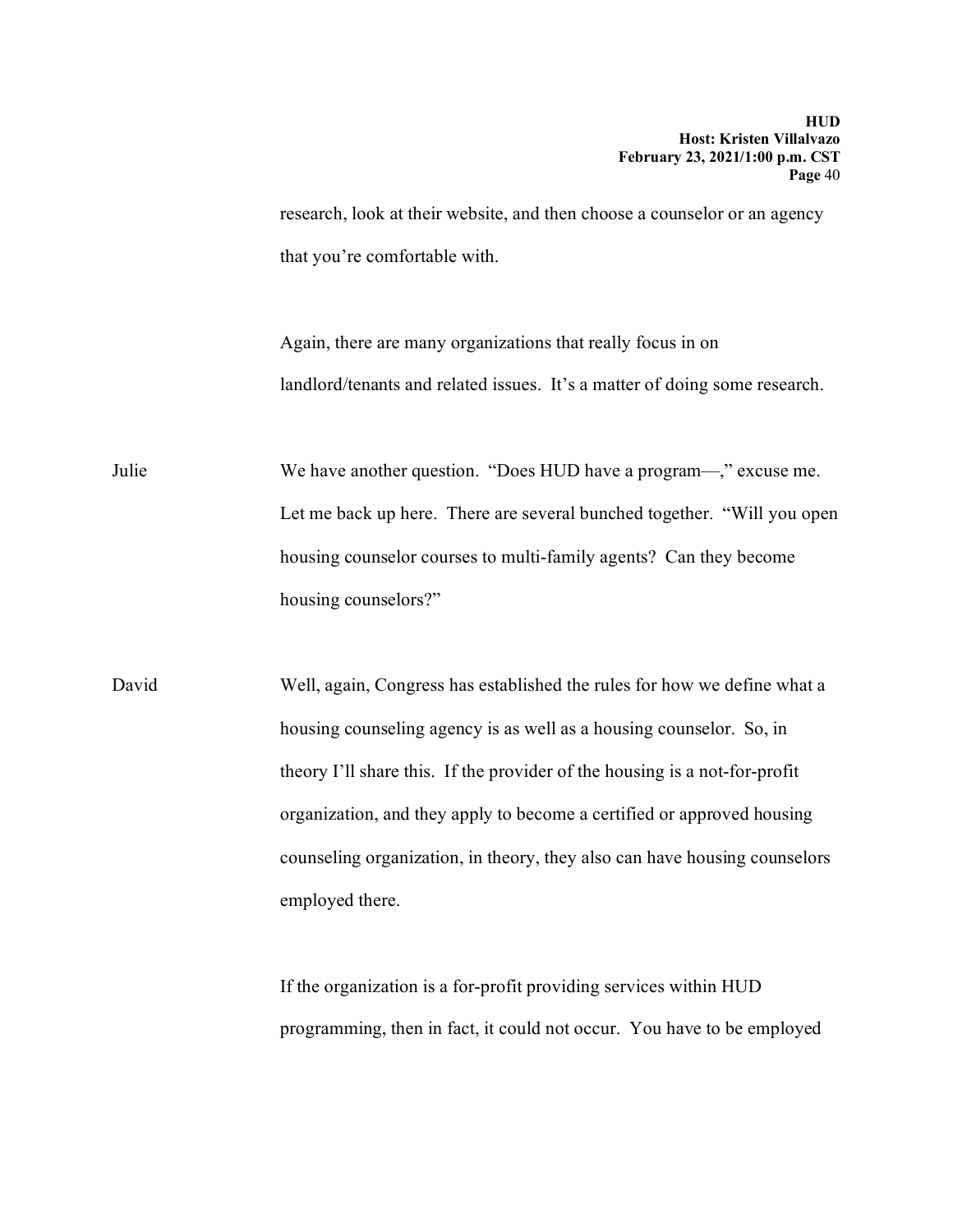research, look at their website, and then choose a counselor or an agency that you're comfortable with.

Again, there are many organizations that really focus in on landlord/tenants and related issues. It's a matter of doing some research.

Julie We have another question. "Does HUD have a program—," excuse me. Let me back up here. There are several bunched together. "Will you open housing counselor courses to multi-family agents? Can they become housing counselors?"

David Well, again, Congress has established the rules for how we define what a housing counseling agency is as well as a housing counselor. So, in theory I'll share this. If the provider of the housing is a not-for-profit organization, and they apply to become a certified or approved housing counseling organization, in theory, they also can have housing counselors employed there.

> If the organization is a for-profit providing services within HUD programming, then in fact, it could not occur. You have to be employed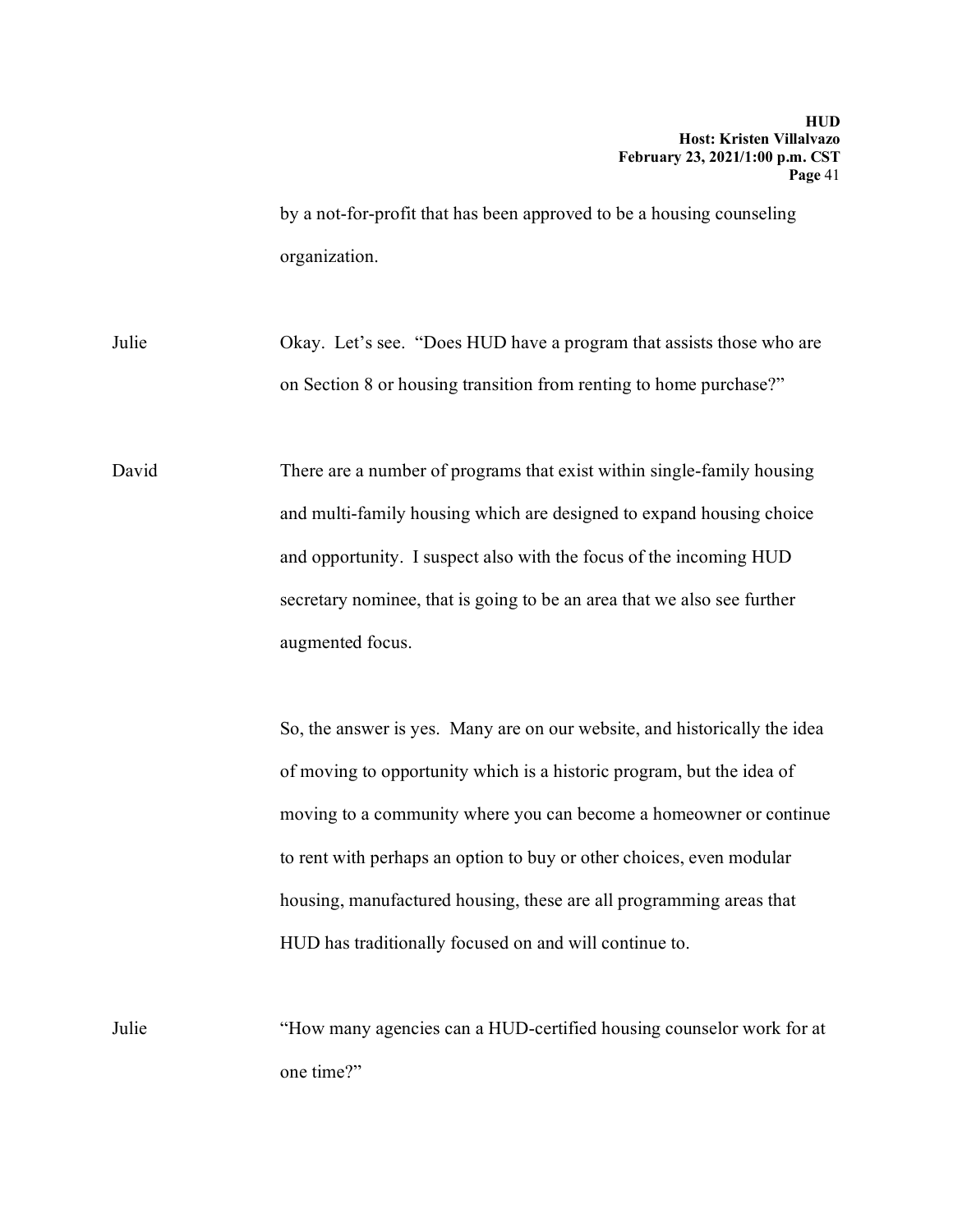by a not-for-profit that has been approved to be a housing counseling organization.

Julie Okay. Let's see. "Does HUD have a program that assists those who are on Section 8 or housing transition from renting to home purchase?"

David There are a number of programs that exist within single-family housing and multi-family housing which are designed to expand housing choice and opportunity. I suspect also with the focus of the incoming HUD secretary nominee, that is going to be an area that we also see further augmented focus.

> So, the answer is yes. Many are on our website, and historically the idea of moving to opportunity which is a historic program, but the idea of moving to a community where you can become a homeowner or continue to rent with perhaps an option to buy or other choices, even modular housing, manufactured housing, these are all programming areas that HUD has traditionally focused on and will continue to.

Julie "How many agencies can a HUD-certified housing counselor work for at one time?"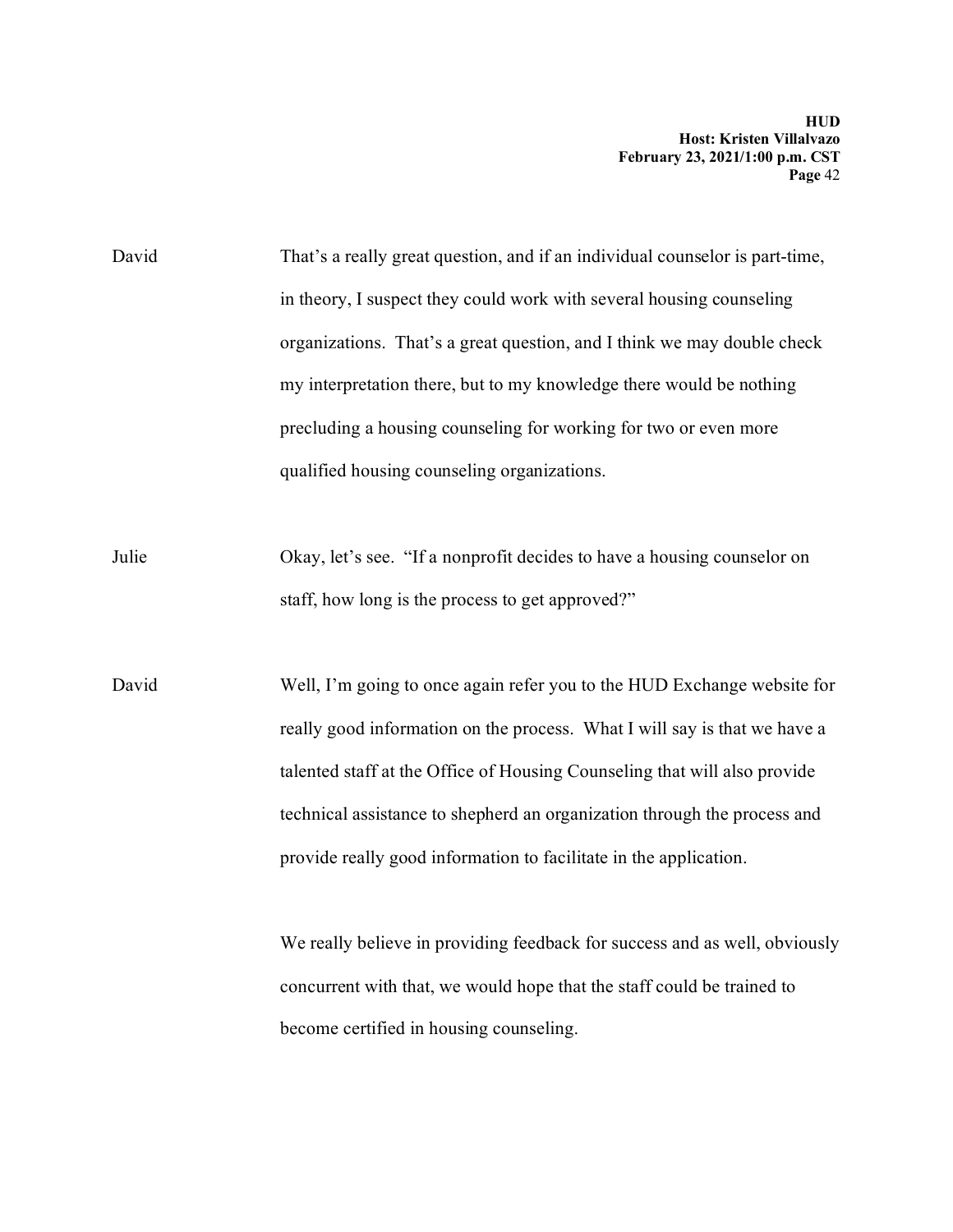David That's a really great question, and if an individual counselor is part-time, in theory, I suspect they could work with several housing counseling organizations. That's a great question, and I think we may double check my interpretation there, but to my knowledge there would be nothing precluding a housing counseling for working for two or even more qualified housing counseling organizations.

Julie Okay, let's see. "If a nonprofit decides to have a housing counselor on staff, how long is the process to get approved?"

David Well, I'm going to once again refer you to the HUD Exchange website for really good information on the process. What I will say is that we have a talented staff at the Office of Housing Counseling that will also provide technical assistance to shepherd an organization through the process and provide really good information to facilitate in the application.

> We really believe in providing feedback for success and as well, obviously concurrent with that, we would hope that the staff could be trained to become certified in housing counseling.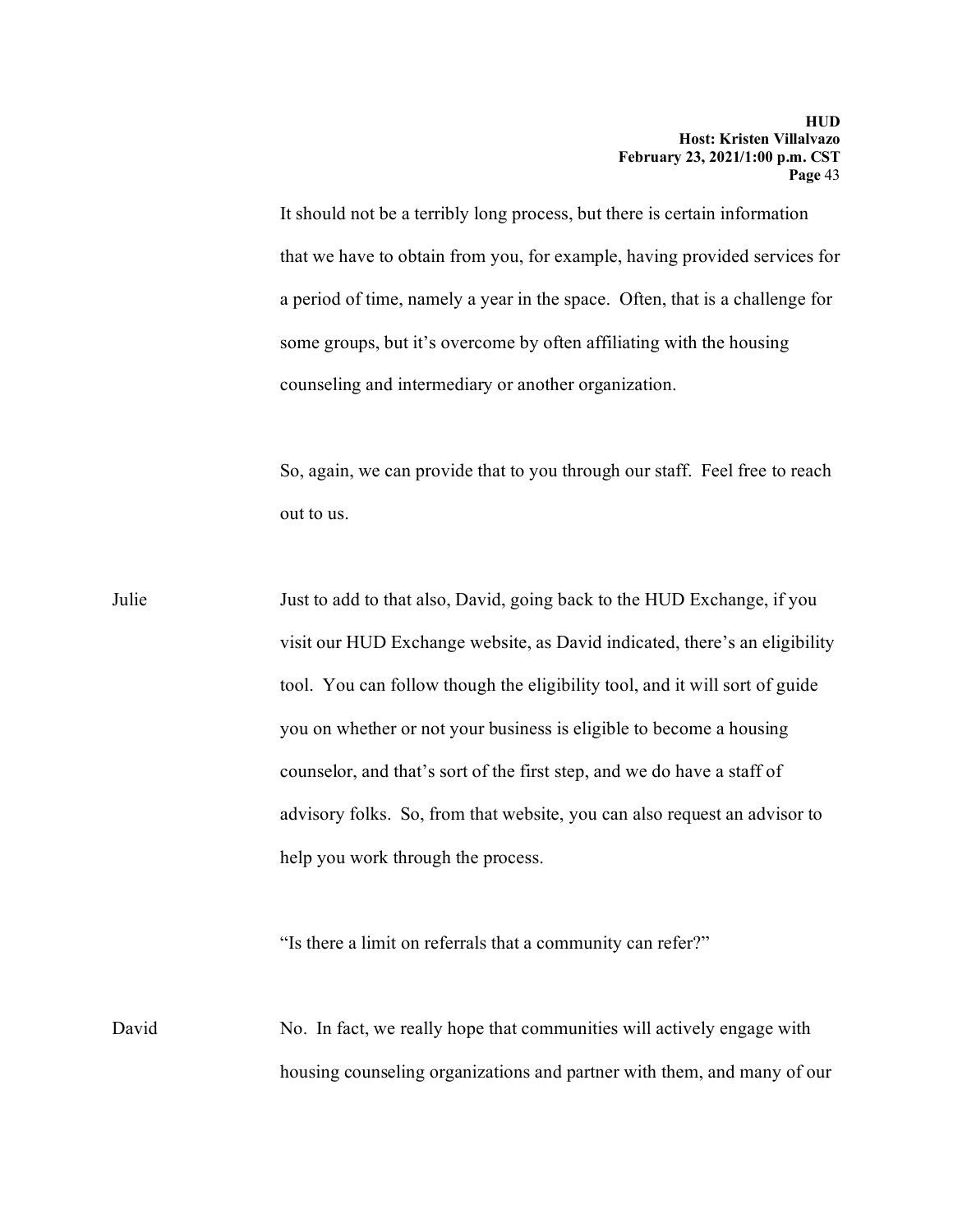It should not be a terribly long process, but there is certain information that we have to obtain from you, for example, having provided services for a period of time, namely a year in the space. Often, that is a challenge for some groups, but it's overcome by often affiliating with the housing counseling and intermediary or another organization.

So, again, we can provide that to you through our staff. Feel free to reach out to us.

Julie Just to add to that also, David, going back to the HUD Exchange, if you visit our HUD Exchange website, as David indicated, there's an eligibility tool. You can follow though the eligibility tool, and it will sort of guide you on whether or not your business is eligible to become a housing counselor, and that's sort of the first step, and we do have a staff of advisory folks. So, from that website, you can also request an advisor to help you work through the process.

"Is there a limit on referrals that a community can refer?"

David No. In fact, we really hope that communities will actively engage with housing counseling organizations and partner with them, and many of our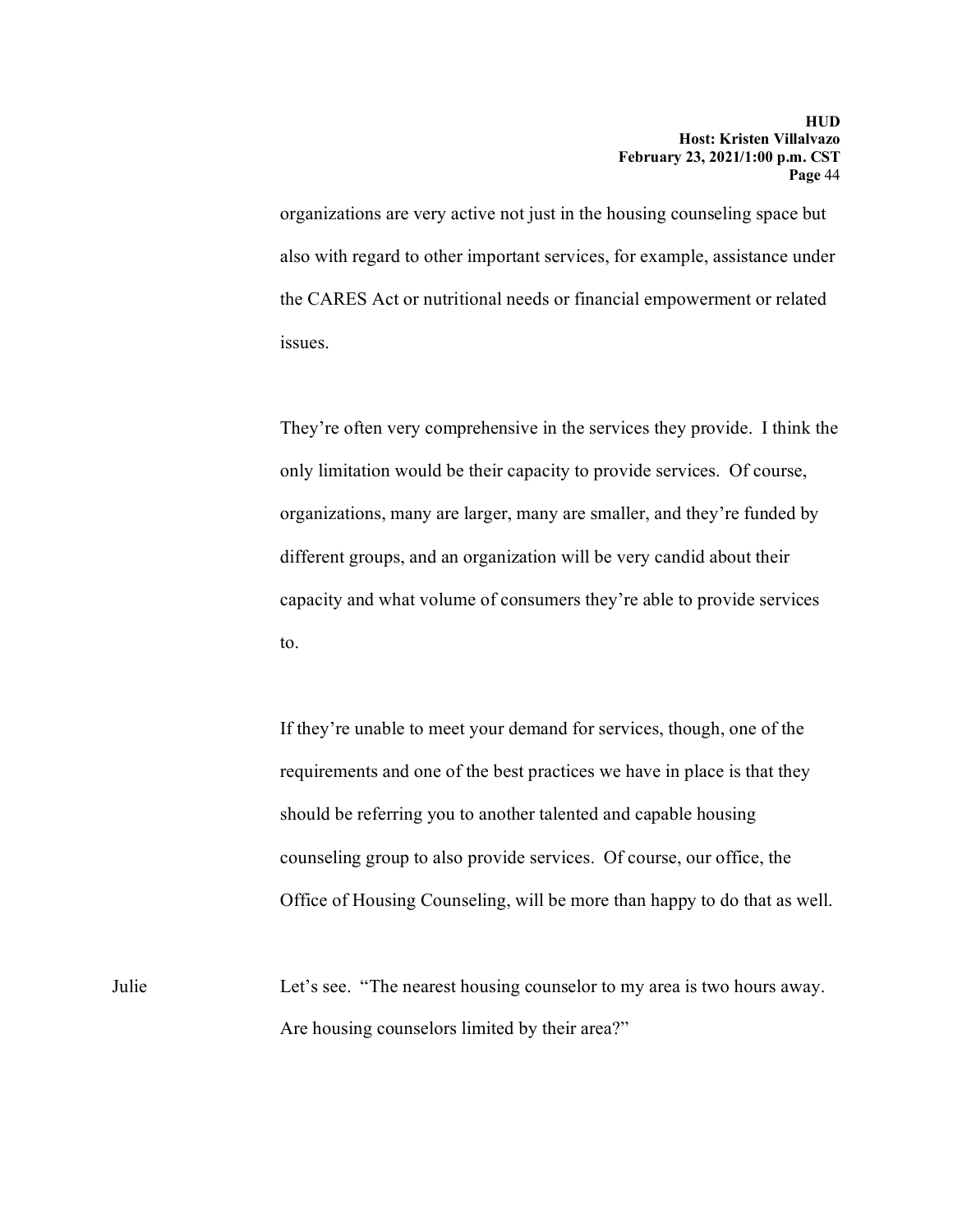organizations are very active not just in the housing counseling space but also with regard to other important services, for example, assistance under the CARES Act or nutritional needs or financial empowerment or related issues.

They're often very comprehensive in the services they provide. I think the only limitation would be their capacity to provide services. Of course, organizations, many are larger, many are smaller, and they're funded by different groups, and an organization will be very candid about their capacity and what volume of consumers they're able to provide services to.

If they're unable to meet your demand for services, though, one of the requirements and one of the best practices we have in place is that they should be referring you to another talented and capable housing counseling group to also provide services. Of course, our office, the Office of Housing Counseling, will be more than happy to do that as well.

Julie Let's see. "The nearest housing counselor to my area is two hours away. Are housing counselors limited by their area?"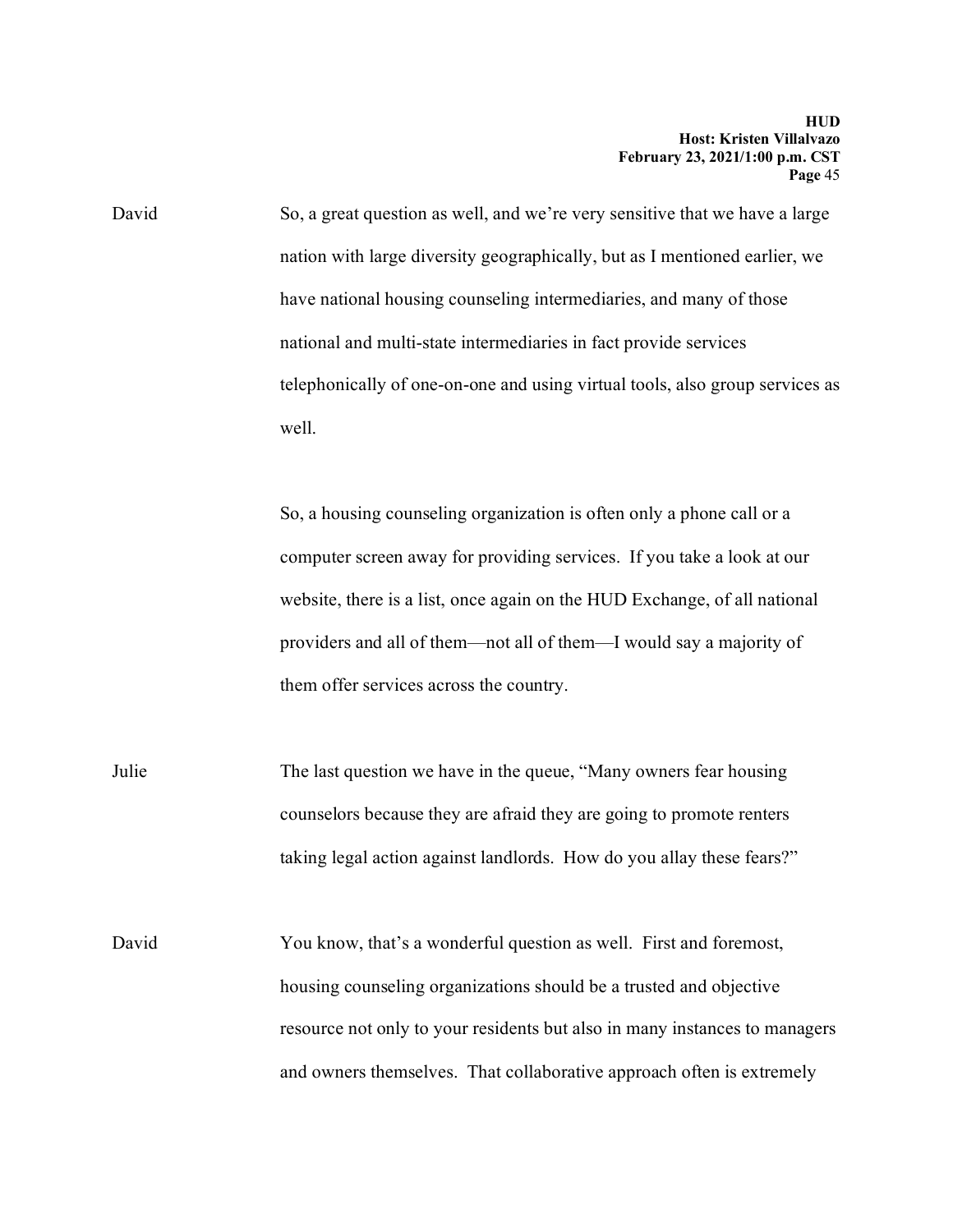David So, a great question as well, and we're very sensitive that we have a large nation with large diversity geographically, but as I mentioned earlier, we have national housing counseling intermediaries, and many of those national and multi-state intermediaries in fact provide services telephonically of one-on-one and using virtual tools, also group services as well.

> So, a housing counseling organization is often only a phone call or a computer screen away for providing services. If you take a look at our website, there is a list, once again on the HUD Exchange, of all national providers and all of them—not all of them—I would say a majority of them offer services across the country.

Julie The last question we have in the queue, "Many owners fear housing counselors because they are afraid they are going to promote renters taking legal action against landlords. How do you allay these fears?"

David You know, that's a wonderful question as well. First and foremost, housing counseling organizations should be a trusted and objective resource not only to your residents but also in many instances to managers and owners themselves. That collaborative approach often is extremely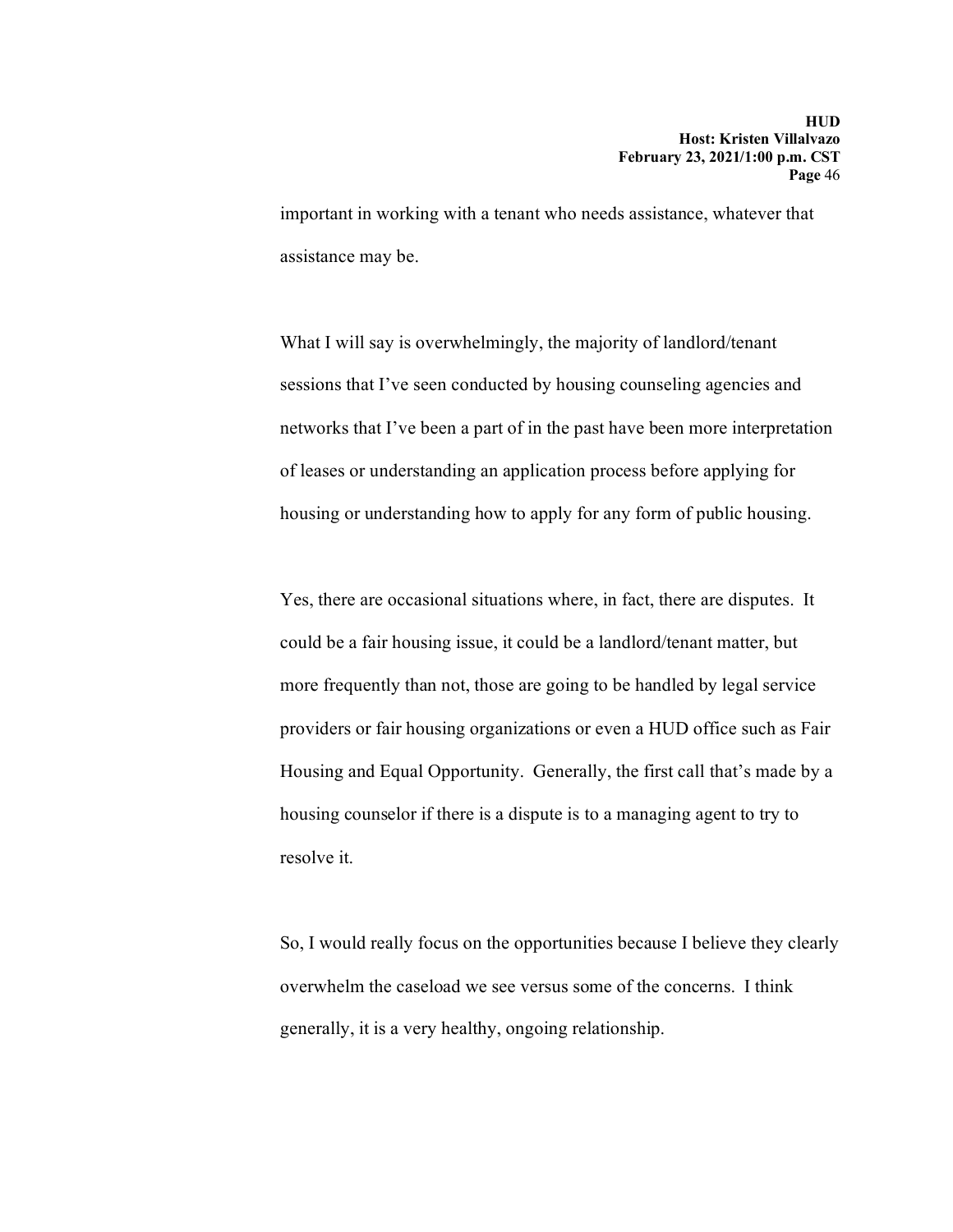important in working with a tenant who needs assistance, whatever that assistance may be.

What I will say is overwhelmingly, the majority of landlord/tenant sessions that I've seen conducted by housing counseling agencies and networks that I've been a part of in the past have been more interpretation of leases or understanding an application process before applying for housing or understanding how to apply for any form of public housing.

Yes, there are occasional situations where, in fact, there are disputes. It could be a fair housing issue, it could be a landlord/tenant matter, but more frequently than not, those are going to be handled by legal service providers or fair housing organizations or even a HUD office such as Fair Housing and Equal Opportunity. Generally, the first call that's made by a housing counselor if there is a dispute is to a managing agent to try to resolve it.

So, I would really focus on the opportunities because I believe they clearly overwhelm the caseload we see versus some of the concerns. I think generally, it is a very healthy, ongoing relationship.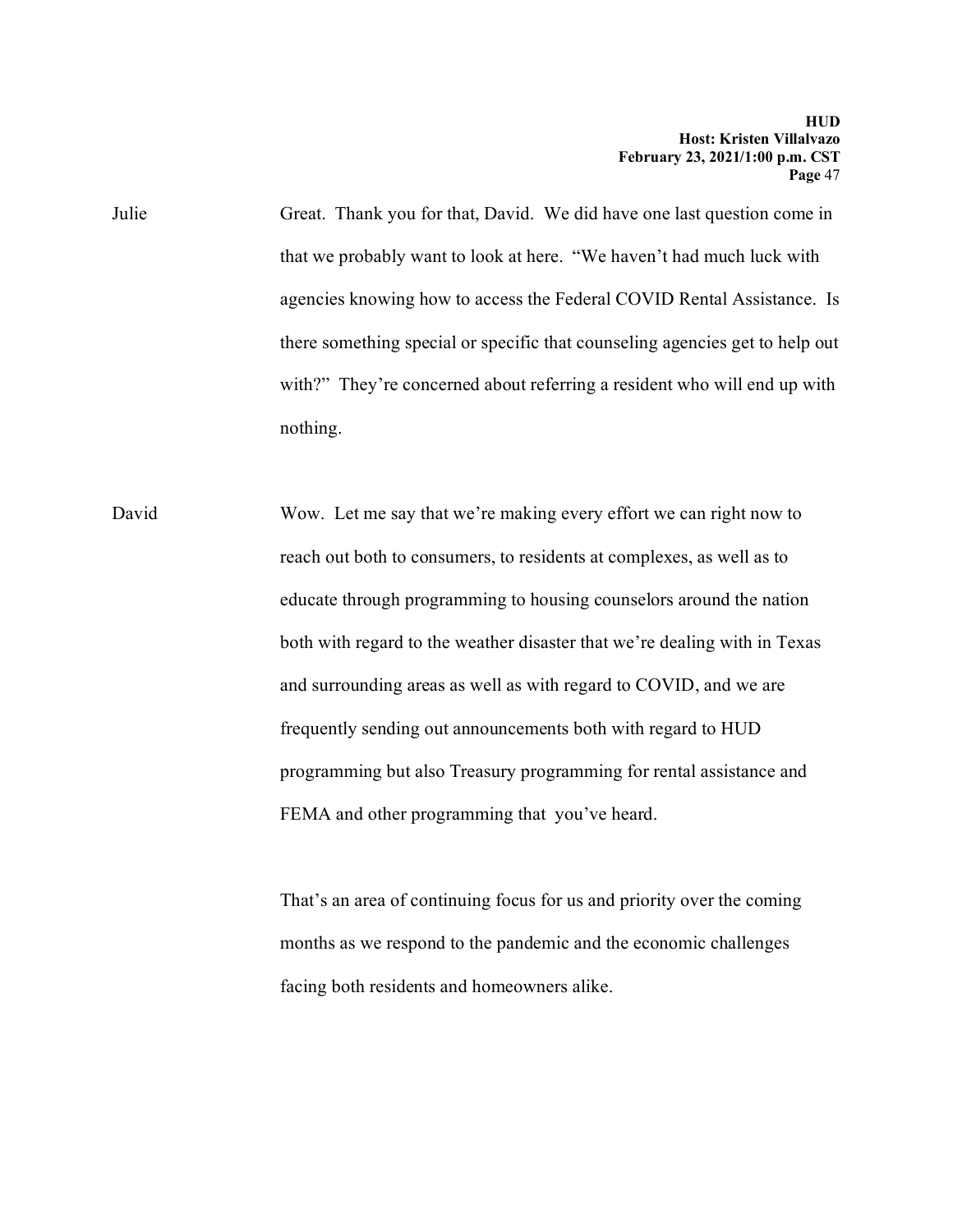Julie Great. Thank you for that, David. We did have one last question come in that we probably want to look at here. "We haven't had much luck with agencies knowing how to access the Federal COVID Rental Assistance. Is there something special or specific that counseling agencies get to help out with?" They're concerned about referring a resident who will end up with nothing.

David Wow. Let me say that we're making every effort we can right now to reach out both to consumers, to residents at complexes, as well as to educate through programming to housing counselors around the nation both with regard to the weather disaster that we're dealing with in Texas and surrounding areas as well as with regard to COVID, and we are frequently sending out announcements both with regard to HUD programming but also Treasury programming for rental assistance and FEMA and other programming that you've heard.

> That's an area of continuing focus for us and priority over the coming months as we respond to the pandemic and the economic challenges facing both residents and homeowners alike.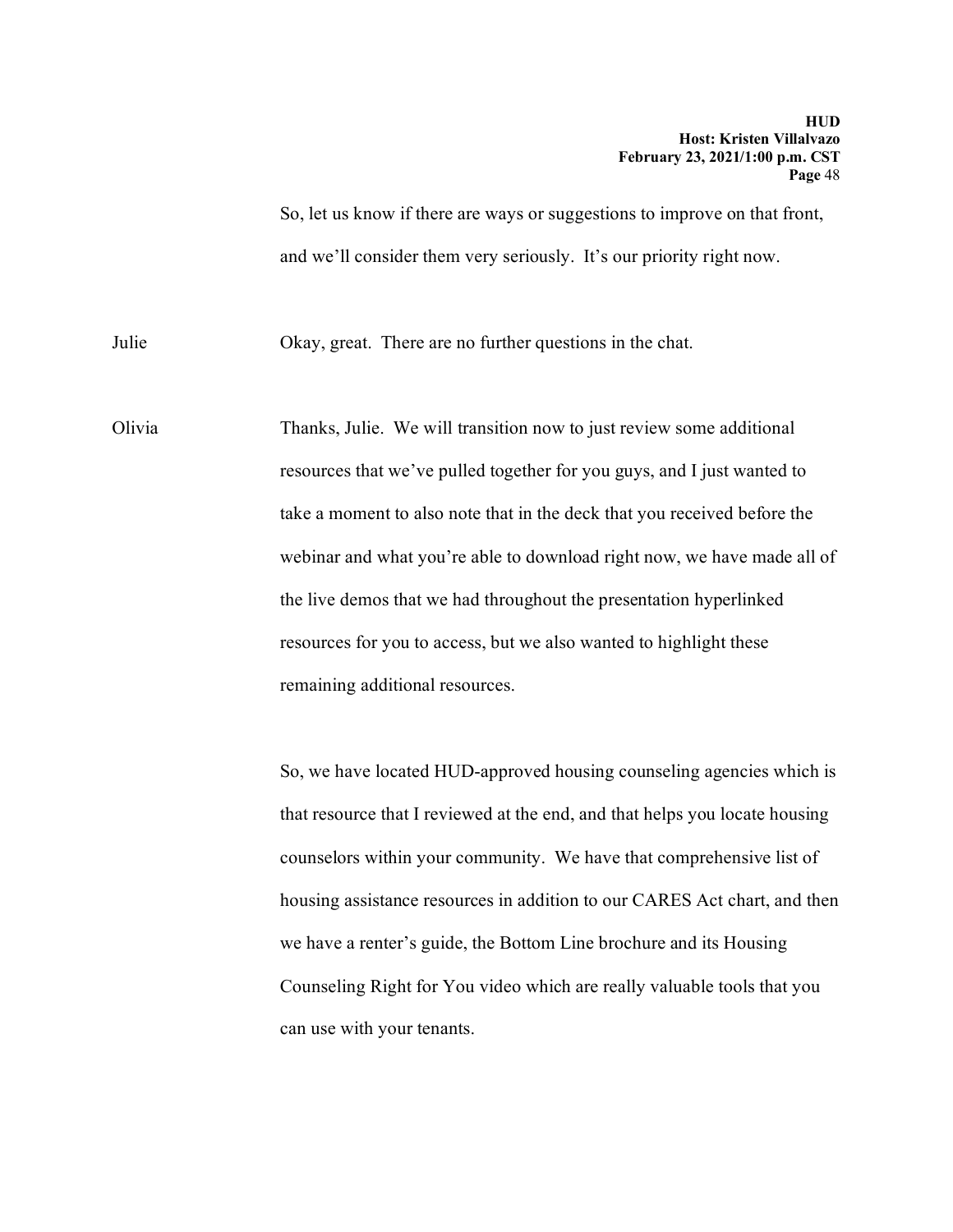So, let us know if there are ways or suggestions to improve on that front, and we'll consider them very seriously. It's our priority right now.

Julie Okay, great. There are no further questions in the chat.

Olivia Thanks, Julie. We will transition now to just review some additional resources that we've pulled together for you guys, and I just wanted to take a moment to also note that in the deck that you received before the webinar and what you're able to download right now, we have made all of the live demos that we had throughout the presentation hyperlinked resources for you to access, but we also wanted to highlight these remaining additional resources.

> So, we have located HUD-approved housing counseling agencies which is that resource that I reviewed at the end, and that helps you locate housing counselors within your community. We have that comprehensive list of housing assistance resources in addition to our CARES Act chart, and then we have a renter's guide, the Bottom Line brochure and its Housing Counseling Right for You video which are really valuable tools that you can use with your tenants.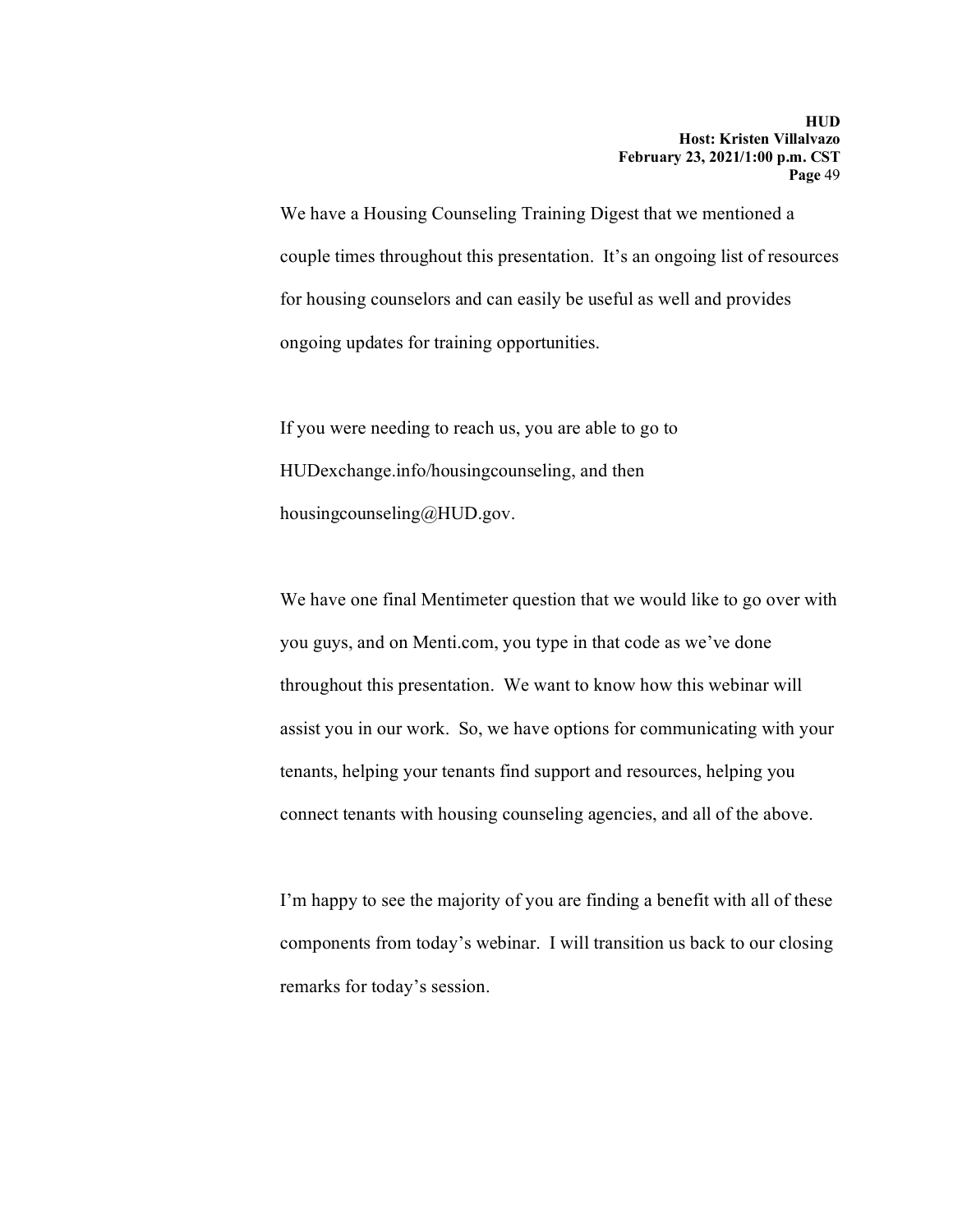We have a Housing Counseling Training Digest that we mentioned a couple times throughout this presentation. It's an ongoing list of resources for housing counselors and can easily be useful as well and provides ongoing updates for training opportunities.

If you were needing to reach us, you are able to go to HUDexchange.info/housingcounseling, and then housingcounseling@HUD.gov.

We have one final Mentimeter question that we would like to go over with you guys, and on Menti.com, you type in that code as we've done throughout this presentation. We want to know how this webinar will assist you in our work. So, we have options for communicating with your tenants, helping your tenants find support and resources, helping you connect tenants with housing counseling agencies, and all of the above.

I'm happy to see the majority of you are finding a benefit with all of these components from today's webinar. I will transition us back to our closing remarks for today's session.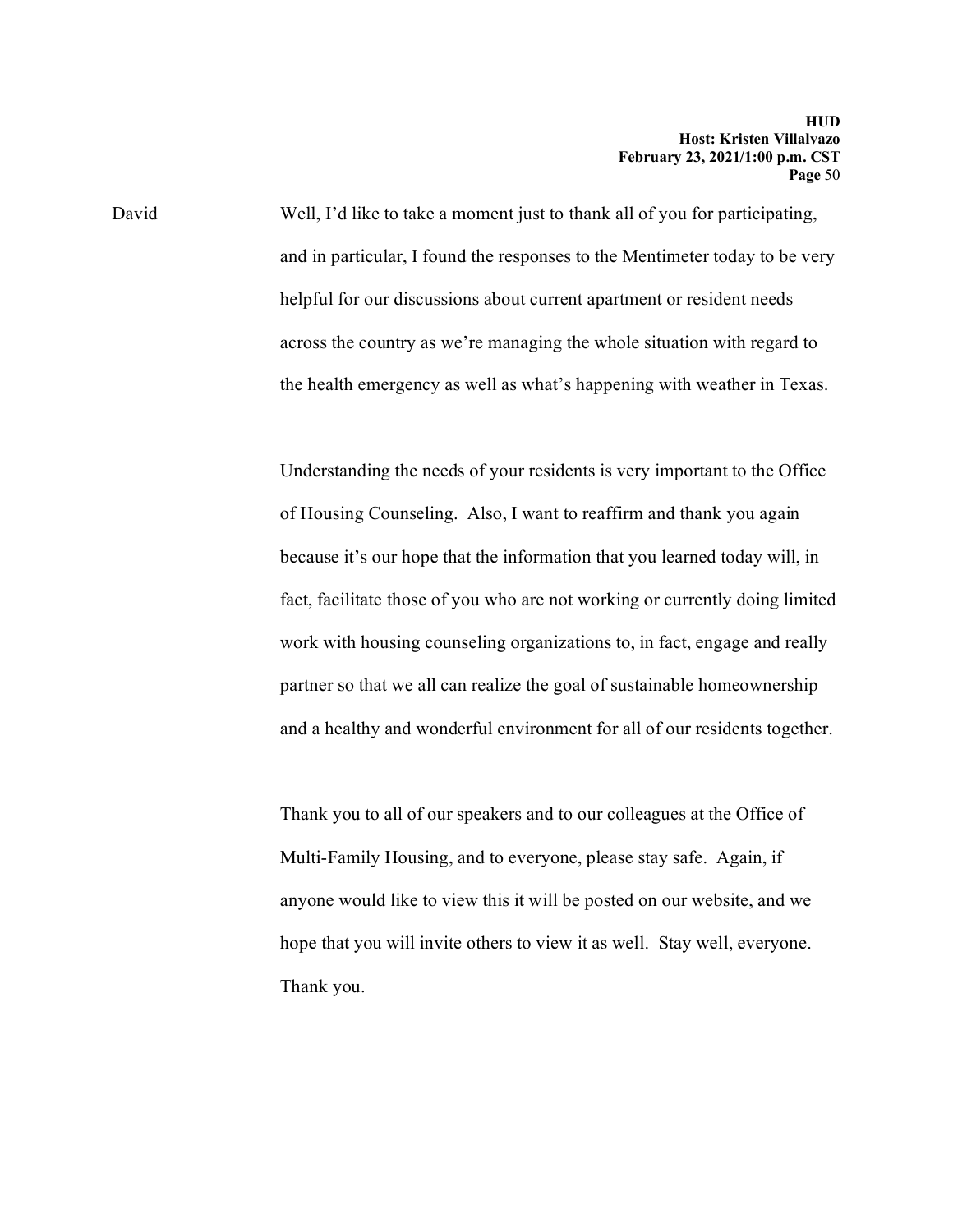David Well, I'd like to take a moment just to thank all of you for participating, and in particular, I found the responses to the Mentimeter today to be very helpful for our discussions about current apartment or resident needs across the country as we're managing the whole situation with regard to the health emergency as well as what's happening with weather in Texas.

> Understanding the needs of your residents is very important to the Office of Housing Counseling. Also, I want to reaffirm and thank you again because it's our hope that the information that you learned today will, in fact, facilitate those of you who are not working or currently doing limited work with housing counseling organizations to, in fact, engage and really partner so that we all can realize the goal of sustainable homeownership and a healthy and wonderful environment for all of our residents together.

Thank you to all of our speakers and to our colleagues at the Office of Multi-Family Housing, and to everyone, please stay safe. Again, if anyone would like to view this it will be posted on our website, and we hope that you will invite others to view it as well. Stay well, everyone. Thank you.